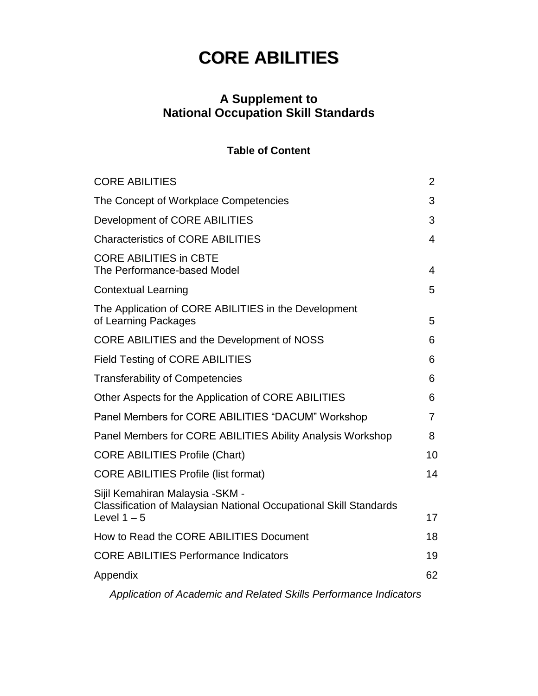#### **A Supplement to National Occupation Skill Standards**

#### **Table of Content**

| <b>CORE ABILITIES</b>                                                                                                        | $\overline{2}$ |
|------------------------------------------------------------------------------------------------------------------------------|----------------|
| The Concept of Workplace Competencies                                                                                        | 3              |
| Development of CORE ABILITIES                                                                                                | 3              |
| <b>Characteristics of CORE ABILITIES</b>                                                                                     | 4              |
| <b>CORE ABILITIES in CBTE</b><br>The Performance-based Model                                                                 | $\overline{4}$ |
| <b>Contextual Learning</b>                                                                                                   | 5              |
| The Application of CORE ABILITIES in the Development<br>of Learning Packages                                                 | 5              |
| CORE ABILITIES and the Development of NOSS                                                                                   | 6              |
| <b>Field Testing of CORE ABILITIES</b>                                                                                       | 6              |
| <b>Transferability of Competencies</b>                                                                                       | 6              |
| Other Aspects for the Application of CORE ABILITIES                                                                          | 6              |
| Panel Members for CORE ABILITIES "DACUM" Workshop                                                                            | $\overline{7}$ |
| Panel Members for CORE ABILITIES Ability Analysis Workshop                                                                   | 8              |
| <b>CORE ABILITIES Profile (Chart)</b>                                                                                        | 10             |
| <b>CORE ABILITIES Profile (list format)</b>                                                                                  | 14             |
| Sijil Kemahiran Malaysia -SKM -<br><b>Classification of Malaysian National Occupational Skill Standards</b><br>Level $1 - 5$ | 17             |
| How to Read the CORE ABILITIES Document                                                                                      | 18             |
| <b>CORE ABILITIES Performance Indicators</b>                                                                                 | 19             |
| Appendix                                                                                                                     | 62             |
| Application of Academic and Related Skills Performance Indicators                                                            |                |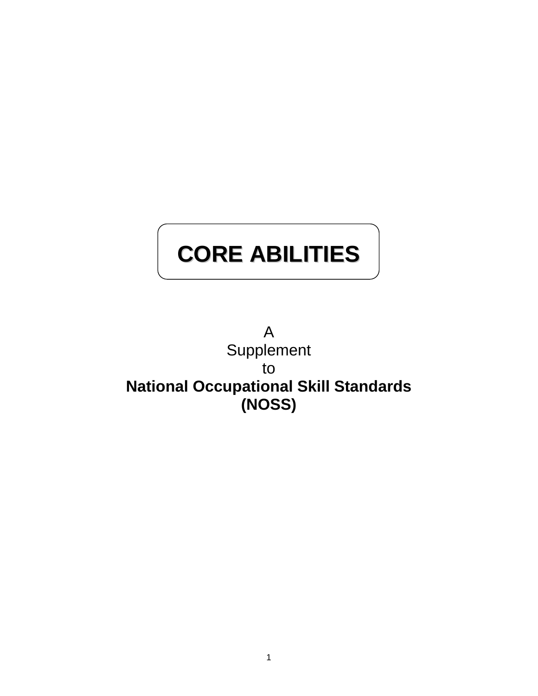A Supplement to **National Occupational Skill Standards (NOSS)**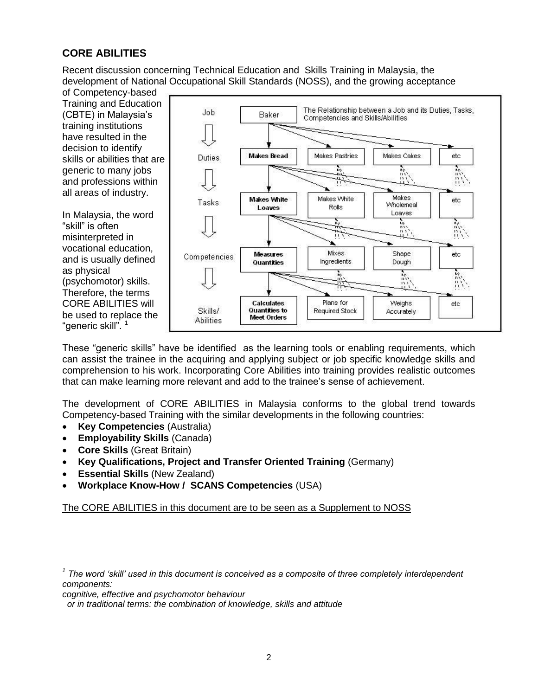Recent discussion concerning Technical Education and Skills Training in Malaysia, the development of National Occupational Skill Standards (NOSS), and the growing acceptance



These "generic skills" have be identified as the learning tools or enabling requirements, which can assist the trainee in the acquiring and applying subject or job specific knowledge skills and comprehension to his work. Incorporating Core Abilities into training provides realistic outcomes that can make learning more relevant and add to the trainee"s sense of achievement.

The development of CORE ABILITIES in Malaysia conforms to the global trend towards Competency-based Training with the similar developments in the following countries:

- **Key Competencies** (Australia)
- **Employability Skills** (Canada)
- **Core Skills** (Great Britain)
- **Key Qualifications, Project and Transfer Oriented Training** (Germany)
- **Essential Skills** (New Zealand)
- **Workplace Know-How / SCANS Competencies** (USA)

The CORE ABILITIES in this document are to be seen as a Supplement to NOSS

*cognitive, effective and psychomotor behaviour* 

 *or in traditional terms: the combination of knowledge, skills and attitude*

<sup>&</sup>lt;sup>1</sup> The word 'skill' used in this document is conceived as a composite of three completely interdependent *components:*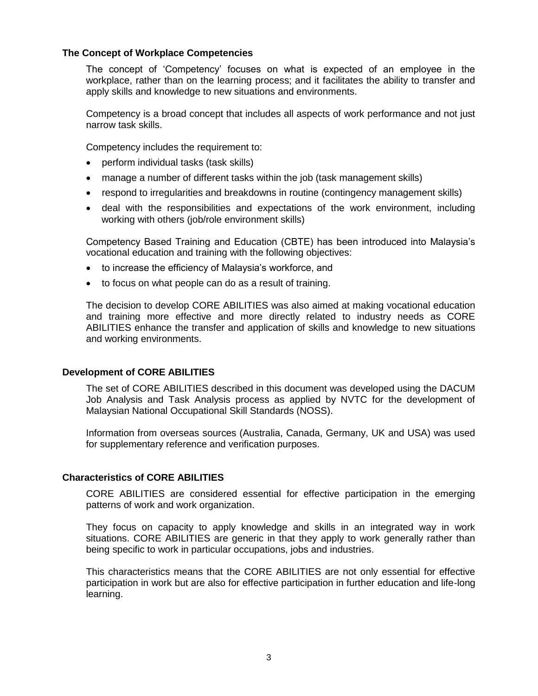#### **The Concept of Workplace Competencies**

The concept of "Competency" focuses on what is expected of an employee in the workplace, rather than on the learning process; and it facilitates the ability to transfer and apply skills and knowledge to new situations and environments.

Competency is a broad concept that includes all aspects of work performance and not just narrow task skills.

Competency includes the requirement to:

- perform individual tasks (task skills)
- manage a number of different tasks within the job (task management skills)
- respond to irregularities and breakdowns in routine (contingency management skills)
- deal with the responsibilities and expectations of the work environment, including working with others (job/role environment skills)

Competency Based Training and Education (CBTE) has been introduced into Malaysia"s vocational education and training with the following objectives:

- to increase the efficiency of Malaysia's workforce, and
- to focus on what people can do as a result of training.

The decision to develop CORE ABILITIES was also aimed at making vocational education and training more effective and more directly related to industry needs as CORE ABILITIES enhance the transfer and application of skills and knowledge to new situations and working environments.

#### **Development of CORE ABILITIES**

The set of CORE ABILITIES described in this document was developed using the DACUM Job Analysis and Task Analysis process as applied by NVTC for the development of Malaysian National Occupational Skill Standards (NOSS).

Information from overseas sources (Australia, Canada, Germany, UK and USA) was used for supplementary reference and verification purposes.

#### **Characteristics of CORE ABILITIES**

CORE ABILITIES are considered essential for effective participation in the emerging patterns of work and work organization.

They focus on capacity to apply knowledge and skills in an integrated way in work situations. CORE ABILITIES are generic in that they apply to work generally rather than being specific to work in particular occupations, jobs and industries.

This characteristics means that the CORE ABILITIES are not only essential for effective participation in work but are also for effective participation in further education and life-long learning.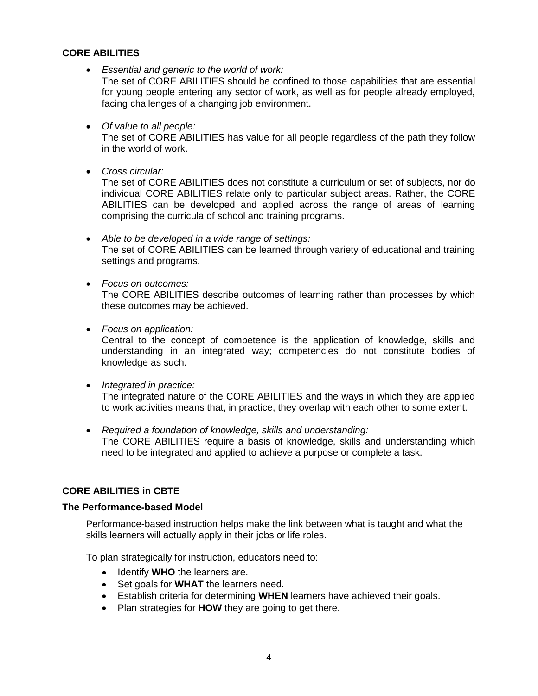*Essential and generic to the world of work:*

The set of CORE ABILITIES should be confined to those capabilities that are essential for young people entering any sector of work, as well as for people already employed, facing challenges of a changing job environment.

*Of value to all people:*

The set of CORE ABILITIES has value for all people regardless of the path they follow in the world of work.

*Cross circular:*

The set of CORE ABILITIES does not constitute a curriculum or set of subjects, nor do individual CORE ABILITIES relate only to particular subject areas. Rather, the CORE ABILITIES can be developed and applied across the range of areas of learning comprising the curricula of school and training programs.

- *Able to be developed in a wide range of settings:* The set of CORE ABILITIES can be learned through variety of educational and training settings and programs.
- *Focus on outcomes:*

The CORE ABILITIES describe outcomes of learning rather than processes by which these outcomes may be achieved.

*Focus on application:*

Central to the concept of competence is the application of knowledge, skills and understanding in an integrated way; competencies do not constitute bodies of knowledge as such.

*Integrated in practice:*

The integrated nature of the CORE ABILITIES and the ways in which they are applied to work activities means that, in practice, they overlap with each other to some extent.

 *Required a foundation of knowledge, skills and understanding:* The CORE ABILITIES require a basis of knowledge, skills and understanding which need to be integrated and applied to achieve a purpose or complete a task.

#### **CORE ABILITIES in CBTE**

#### **The Performance-based Model**

Performance-based instruction helps make the link between what is taught and what the skills learners will actually apply in their jobs or life roles.

To plan strategically for instruction, educators need to:

- Identify **WHO** the learners are.
- Set goals for **WHAT** the learners need.
- Establish criteria for determining **WHEN** learners have achieved their goals.
- Plan strategies for **HOW** they are going to get there.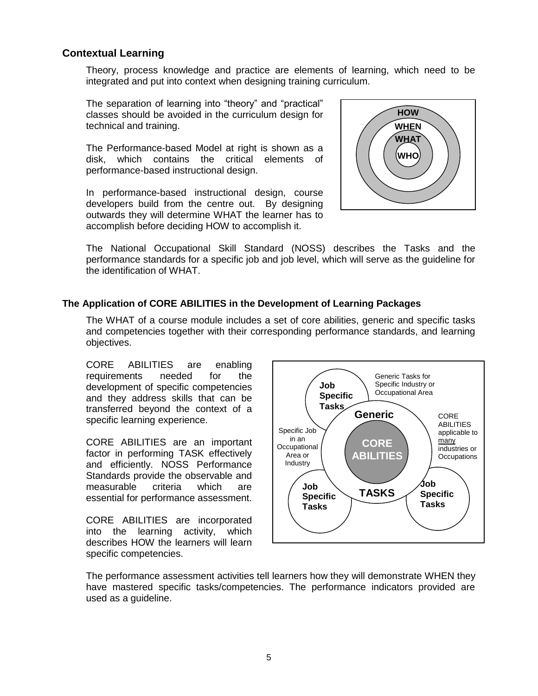#### **Contextual Learning**

Theory, process knowledge and practice are elements of learning, which need to be integrated and put into context when designing training curriculum.

The separation of learning into "theory" and "practical" classes should be avoided in the curriculum design for technical and training.

The Performance-based Model at right is shown as a disk, which contains the critical elements of performance-based instructional design.

In performance-based instructional design, course developers build from the centre out. By designing outwards they will determine WHAT the learner has to accomplish before deciding HOW to accomplish it.



The National Occupational Skill Standard (NOSS) describes the Tasks and the performance standards for a specific job and job level, which will serve as the guideline for the identification of WHAT.

#### **The Application of CORE ABILITIES in the Development of Learning Packages**

The WHAT of a course module includes a set of core abilities, generic and specific tasks and competencies together with their corresponding performance standards, and learning objectives.

CORE ABILITIES are enabling requirements needed for the development of specific competencies and they address skills that can be transferred beyond the context of a specific learning experience.

CORE ABILITIES are an important factor in performing TASK effectively and efficiently. NOSS Performance Standards provide the observable and measurable criteria which are essential for performance assessment.

CORE ABILITIES are incorporated into the learning activity, which describes HOW the learners will learn specific competencies.



The performance assessment activities tell learners how they will demonstrate WHEN they have mastered specific tasks/competencies. The performance indicators provided are used as a guideline.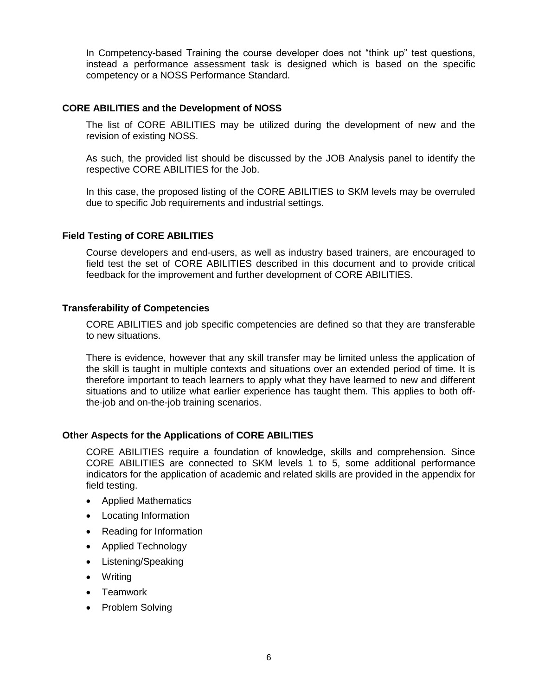In Competency-based Training the course developer does not "think up" test questions, instead a performance assessment task is designed which is based on the specific competency or a NOSS Performance Standard.

#### **CORE ABILITIES and the Development of NOSS**

The list of CORE ABILITIES may be utilized during the development of new and the revision of existing NOSS.

As such, the provided list should be discussed by the JOB Analysis panel to identify the respective CORE ABILITIES for the Job.

In this case, the proposed listing of the CORE ABILITIES to SKM levels may be overruled due to specific Job requirements and industrial settings.

#### **Field Testing of CORE ABILITIES**

Course developers and end-users, as well as industry based trainers, are encouraged to field test the set of CORE ABILITIES described in this document and to provide critical feedback for the improvement and further development of CORE ABILITIES.

#### **Transferability of Competencies**

CORE ABILITIES and job specific competencies are defined so that they are transferable to new situations.

There is evidence, however that any skill transfer may be limited unless the application of the skill is taught in multiple contexts and situations over an extended period of time. It is therefore important to teach learners to apply what they have learned to new and different situations and to utilize what earlier experience has taught them. This applies to both offthe-job and on-the-job training scenarios.

#### **Other Aspects for the Applications of CORE ABILITIES**

CORE ABILITIES require a foundation of knowledge, skills and comprehension. Since CORE ABILITIES are connected to SKM levels 1 to 5, some additional performance indicators for the application of academic and related skills are provided in the appendix for field testing.

- Applied Mathematics
- Locating Information
- Reading for Information
- Applied Technology
- Listening/Speaking
- Writing
- Teamwork
- Problem Solving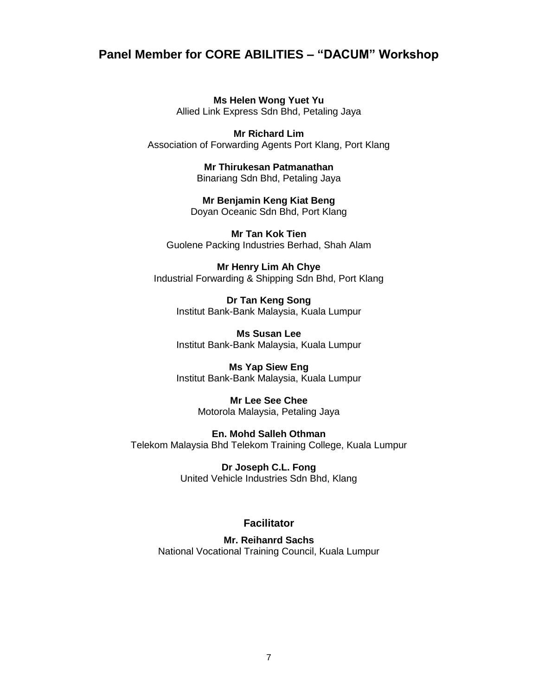#### **Panel Member for CORE ABILITIES – "DACUM" Workshop**

**Ms Helen Wong Yuet Yu** Allied Link Express Sdn Bhd, Petaling Jaya

**Mr Richard Lim** Association of Forwarding Agents Port Klang, Port Klang

> **Mr Thirukesan Patmanathan** Binariang Sdn Bhd, Petaling Jaya

**Mr Benjamin Keng Kiat Beng** Doyan Oceanic Sdn Bhd, Port Klang

**Mr Tan Kok Tien**  Guolene Packing Industries Berhad, Shah Alam

**Mr Henry Lim Ah Chye** Industrial Forwarding & Shipping Sdn Bhd, Port Klang

> **Dr Tan Keng Song** Institut Bank-Bank Malaysia, Kuala Lumpur

> **Ms Susan Lee** Institut Bank-Bank Malaysia, Kuala Lumpur

> **Ms Yap Siew Eng** Institut Bank-Bank Malaysia, Kuala Lumpur

> > **Mr Lee See Chee** Motorola Malaysia, Petaling Jaya

**En. Mohd Salleh Othman** Telekom Malaysia Bhd Telekom Training College, Kuala Lumpur

> **Dr Joseph C.L. Fong** United Vehicle Industries Sdn Bhd, Klang

#### **Facilitator**

**Mr. Reihanrd Sachs** National Vocational Training Council, Kuala Lumpur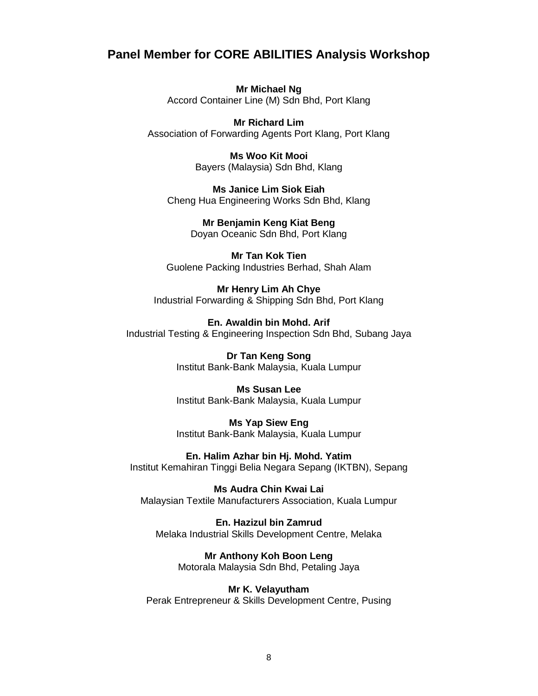#### **Panel Member for CORE ABILITIES Analysis Workshop**

**Mr Michael Ng** Accord Container Line (M) Sdn Bhd, Port Klang

**Mr Richard Lim** Association of Forwarding Agents Port Klang, Port Klang

> **Ms Woo Kit Mooi** Bayers (Malaysia) Sdn Bhd, Klang

**Ms Janice Lim Siok Eiah** Cheng Hua Engineering Works Sdn Bhd, Klang

> **Mr Benjamin Keng Kiat Beng** Doyan Oceanic Sdn Bhd, Port Klang

**Mr Tan Kok Tien**  Guolene Packing Industries Berhad, Shah Alam

**Mr Henry Lim Ah Chye** Industrial Forwarding & Shipping Sdn Bhd, Port Klang

**En. Awaldin bin Mohd. Arif** Industrial Testing & Engineering Inspection Sdn Bhd, Subang Jaya

> **Dr Tan Keng Song** Institut Bank-Bank Malaysia, Kuala Lumpur

> **Ms Susan Lee** Institut Bank-Bank Malaysia, Kuala Lumpur

> **Ms Yap Siew Eng** Institut Bank-Bank Malaysia, Kuala Lumpur

**En. Halim Azhar bin Hj. Mohd. Yatim** Institut Kemahiran Tinggi Belia Negara Sepang (IKTBN), Sepang

**Ms Audra Chin Kwai Lai** Malaysian Textile Manufacturers Association, Kuala Lumpur

**En. Hazizul bin Zamrud** Melaka Industrial Skills Development Centre, Melaka

> **Mr Anthony Koh Boon Leng** Motorala Malaysia Sdn Bhd, Petaling Jaya

**Mr K. Velayutham** Perak Entrepreneur & Skills Development Centre, Pusing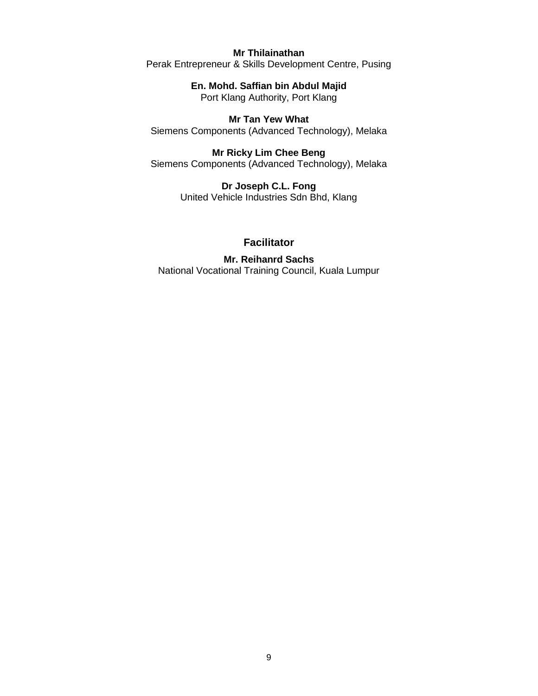#### **Mr Thilainathan**

Perak Entrepreneur & Skills Development Centre, Pusing

**En. Mohd. Saffian bin Abdul Majid** Port Klang Authority, Port Klang

**Mr Tan Yew What** Siemens Components (Advanced Technology), Melaka

**Mr Ricky Lim Chee Beng** Siemens Components (Advanced Technology), Melaka

> **Dr Joseph C.L. Fong** United Vehicle Industries Sdn Bhd, Klang

#### **Facilitator**

**Mr. Reihanrd Sachs** National Vocational Training Council, Kuala Lumpur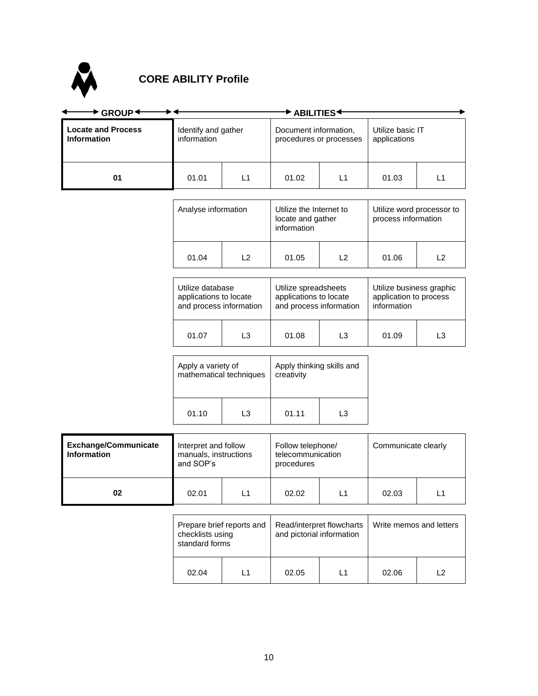

#### **CORE ABILITY Profile**

| $\blacktriangleright$ GROUP $\blacklozenge$       | $\blacktriangleright$ Abilities $\blacktriangleright$                 |                |                                                                           |                |                                                                   |                |
|---------------------------------------------------|-----------------------------------------------------------------------|----------------|---------------------------------------------------------------------------|----------------|-------------------------------------------------------------------|----------------|
| <b>Locate and Process</b><br><b>Information</b>   | Identify and gather<br>information                                    |                | Document information,<br>procedures or processes                          |                | Utilize basic IT<br>applications                                  |                |
| 01                                                | 01.01                                                                 | L1             | 01.02                                                                     | L1             | 01.03                                                             | L1             |
|                                                   | Analyse information                                                   |                | Utilize the Internet to<br>locate and gather<br>information               |                | Utilize word processor to<br>process information                  |                |
|                                                   | 01.04                                                                 | L2             | 01.05                                                                     | L2             | 01.06                                                             | L2             |
|                                                   | Utilize database<br>applications to locate<br>and process information |                | Utilize spreadsheets<br>applications to locate<br>and process information |                | Utilize business graphic<br>application to process<br>information |                |
|                                                   | 01.07                                                                 | L <sub>3</sub> | 01.08                                                                     | L <sub>3</sub> | 01.09                                                             | L <sub>3</sub> |
|                                                   | Apply a variety of<br>mathematical techniques                         |                | Apply thinking skills and<br>creativity                                   |                |                                                                   |                |
|                                                   | 01.10                                                                 | L3             | 01.11                                                                     | L <sub>3</sub> |                                                                   |                |
| <b>Exchange/Communicate</b><br><b>Information</b> | Interpret and follow<br>manuals, instructions<br>and SOP's            |                | Follow telephone/<br>telecommunication<br>procedures                      |                | Communicate clearly                                               |                |
| 02                                                | 02.01                                                                 | L1             | 02.02                                                                     | L1             | 02.03                                                             | L1             |
|                                                   |                                                                       |                |                                                                           |                |                                                                   |                |

| checklists using<br>standard forms | Prepare brief reports and | Read/interpret flowcharts<br>and pictorial information |  | Write memos and letters |     |  |
|------------------------------------|---------------------------|--------------------------------------------------------|--|-------------------------|-----|--|
| 02.04                              | l 1                       | 02.05                                                  |  | 02.06                   | כ ו |  |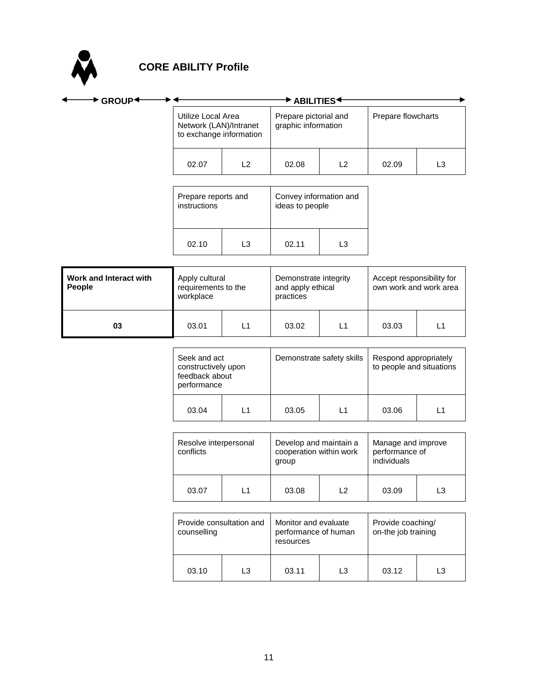

| ▶ GROUP <sup>4</sup>             |                                                                         |                | $\blacktriangleright$ Abilities $\blacktriangleright$      |                |                                                     |                |
|----------------------------------|-------------------------------------------------------------------------|----------------|------------------------------------------------------------|----------------|-----------------------------------------------------|----------------|
|                                  | Utilize Local Area<br>Network (LAN)/Intranet<br>to exchange information |                | Prepare pictorial and<br>graphic information               |                | Prepare flowcharts                                  |                |
|                                  | 02.07                                                                   | L2             | 02.08                                                      | L2             | 02.09                                               | L <sub>3</sub> |
|                                  | Prepare reports and<br>instructions                                     |                | Convey information and<br>ideas to people                  |                |                                                     |                |
|                                  | 02.10                                                                   | L <sub>3</sub> | 02.11                                                      | L <sub>3</sub> |                                                     |                |
| Work and Interact with<br>People | Apply cultural<br>requirements to the<br>workplace                      |                | Demonstrate integrity<br>and apply ethical<br>practices    |                | Accept responsibility for<br>own work and work area |                |
| 03                               | 03.01                                                                   | L1             | 03.02                                                      | L1             | 03.03                                               | L1             |
|                                  | Seek and act<br>constructively upon<br>feedback about<br>performance    |                | Demonstrate safety skills                                  |                | Respond appropriately<br>to people and situations   |                |
|                                  | 03.04                                                                   | L1             | 03.05                                                      | L1             | 03.06                                               | L1             |
|                                  | Resolve interpersonal<br>conflicts                                      |                | Develop and maintain a<br>cooperation within work<br>group |                | Manage and improve<br>performance of<br>individuals |                |
|                                  | 03.07                                                                   | L1             | 03.08                                                      | L2             | 03.09                                               | L <sub>3</sub> |
|                                  | Provide consultation and<br>counselling                                 |                | Monitor and evaluate<br>performance of human<br>resources  |                | Provide coaching/<br>on-the job training            |                |

03.10 | L3 | 03.11 | L3 | 03.12 | L3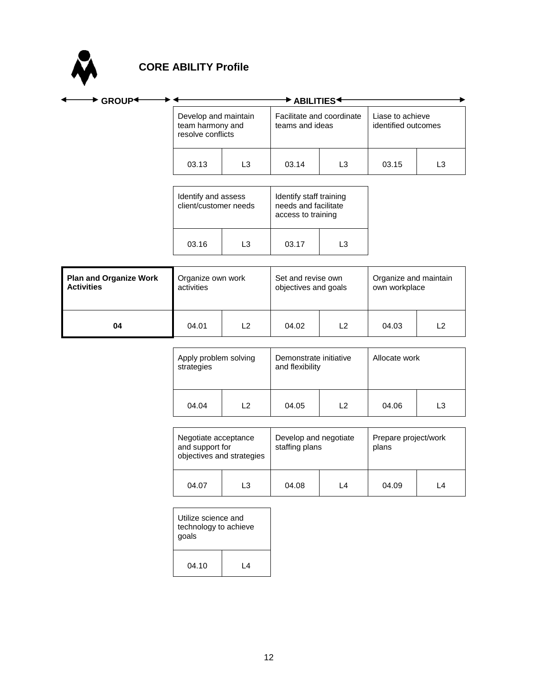

| $\blacktriangleright$ GROUP <sup>+</sup>           | $\blacktriangleright$ ABILITIES $\blacktriangleleft$                                                                  |                |                                              |                |                                         |                |  |
|----------------------------------------------------|-----------------------------------------------------------------------------------------------------------------------|----------------|----------------------------------------------|----------------|-----------------------------------------|----------------|--|
|                                                    | Develop and maintain<br>team harmony and<br>resolve conflicts                                                         |                | Facilitate and coordinate<br>teams and ideas |                | Liase to achieve<br>identified outcomes |                |  |
|                                                    | 03.13                                                                                                                 | L <sub>3</sub> | 03.14                                        | L <sub>3</sub> | 03.15                                   | L <sub>3</sub> |  |
|                                                    | Identify and assess<br>Identify staff training<br>client/customer needs<br>needs and facilitate<br>access to training |                |                                              |                |                                         |                |  |
|                                                    | 03.16                                                                                                                 | L <sub>3</sub> | 03.17                                        | L <sub>3</sub> |                                         |                |  |
| <b>Plan and Organize Work</b><br><b>Activities</b> | Organize own work<br>activities                                                                                       |                | Set and revise own<br>objectives and goals   |                | Organize and maintain<br>own workplace  |                |  |
| 04                                                 | 04.01                                                                                                                 | L2             | 04.02                                        | L2             | 04.03                                   | L2             |  |
|                                                    | Apply problem solving<br>strategies                                                                                   |                | Demonstrate initiative<br>and flexibility    |                | Allocate work                           |                |  |
|                                                    | 04.04                                                                                                                 | L2             | 04.05                                        | L2             | 04.06                                   | L <sub>3</sub> |  |
|                                                    | Nogotiato accontanco                                                                                                  |                | Dovelon and nogotiate                        |                | <b>Droparo project/work</b>             |                |  |

| Negotiate acceptance<br>and support for<br>objectives and strategies |    | Develop and negotiate<br>staffing plans |     | Prepare project/work<br>plans |     |  |
|----------------------------------------------------------------------|----|-----------------------------------------|-----|-------------------------------|-----|--|
| 04.07                                                                | L3 | 04.08                                   | l 4 | 04.09                         | l 4 |  |

| Utilize science and<br>technology to achieve<br>qoals |     |  |  |  |
|-------------------------------------------------------|-----|--|--|--|
| 04.10                                                 | l 4 |  |  |  |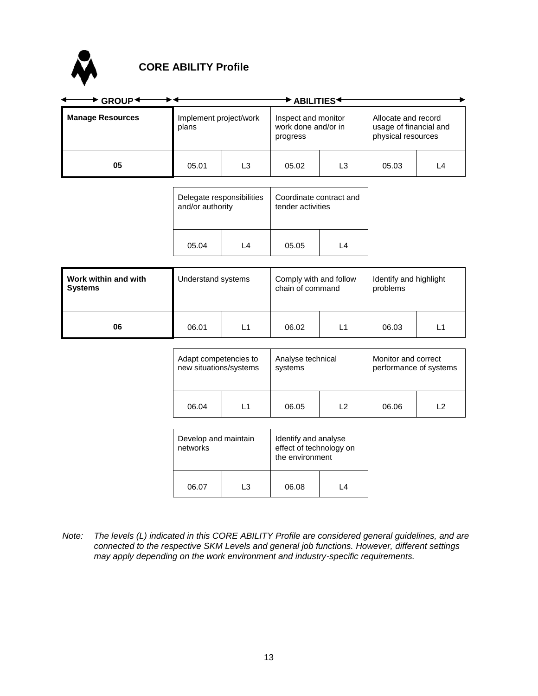

#### **CORE ABILITY Profile**

| GROUP <sup>+</sup>      | <b>ABILITIES</b>                |    |                                                        |    |                                                                     |    |
|-------------------------|---------------------------------|----|--------------------------------------------------------|----|---------------------------------------------------------------------|----|
| <b>Manage Resources</b> | Implement project/work<br>plans |    | Inspect and monitor<br>work done and/or in<br>progress |    | Allocate and record<br>usage of financial and<br>physical resources |    |
| 05                      | 05.01                           | L3 | 05.02                                                  | L3 | 05.03                                                               | L4 |

| Delegate responsibilities |  | Coordinate contract and |    |  |
|---------------------------|--|-------------------------|----|--|
| and/or authority          |  | tender activities       |    |  |
| 05.04<br>l 4              |  | 05.05                   | IΔ |  |

| Work within and with<br>Understand systems<br>Systems |       | Comply with and follow<br>chain of command |       | Identify and highlight<br>problems |       |    |
|-------------------------------------------------------|-------|--------------------------------------------|-------|------------------------------------|-------|----|
| 06                                                    | 06.01 | L1                                         | 06.02 | L1                                 | 06.03 | L1 |

| Adapt competencies to  |     | Analyse technical |    | Monitor and correct    |     |  |
|------------------------|-----|-------------------|----|------------------------|-----|--|
| new situations/systems |     | systems           |    | performance of systems |     |  |
| 06.04                  | l 1 | 06.05             | 12 | 06.06                  | ر ا |  |

| Develop and maintain<br>networks |  | Identify and analyse<br>effect of technology on<br>the environment |    |  |
|----------------------------------|--|--------------------------------------------------------------------|----|--|
| 3. ا<br>06.07                    |  | 06.08                                                              | IΔ |  |

*Note: The levels (L) indicated in this CORE ABILITY Profile are considered general guidelines, and are connected to the respective SKM Levels and general job functions. However, different settings may apply depending on the work environment and industry-specific requirements.*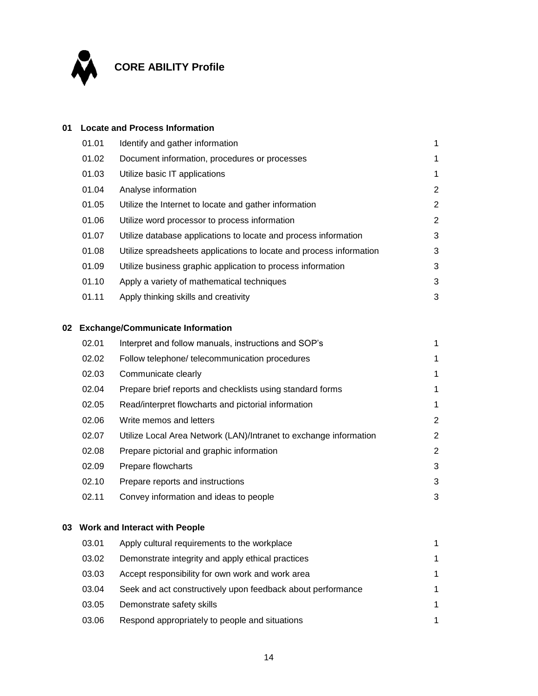

#### **01 Locate and Process Information**

| 01.01 | Identify and gather information                                     |                       |
|-------|---------------------------------------------------------------------|-----------------------|
| 01.02 | Document information, procedures or processes                       | 1                     |
| 01.03 | Utilize basic IT applications                                       | 1                     |
| 01.04 | Analyse information                                                 | $\mathbf{2}^{\prime}$ |
| 01.05 | Utilize the Internet to locate and gather information               | $\overline{2}$        |
| 01.06 | Utilize word processor to process information                       | $\mathbf{2}^{\circ}$  |
| 01.07 | Utilize database applications to locate and process information     | 3                     |
| 01.08 | Utilize spreadsheets applications to locate and process information | 3                     |
| 01.09 | Utilize business graphic application to process information         | 3                     |
| 01.10 | Apply a variety of mathematical techniques                          | 3                     |
| 01.11 | Apply thinking skills and creativity                                | 3                     |

#### **02 Exchange/Communicate Information**

| 02.01 | Interpret and follow manuals, instructions and SOP's              |                |
|-------|-------------------------------------------------------------------|----------------|
| 02.02 | Follow telephone/ telecommunication procedures                    | 1              |
| 02.03 | Communicate clearly                                               | 1              |
| 02.04 | Prepare brief reports and checklists using standard forms         | 1              |
| 02.05 | Read/interpret flowcharts and pictorial information               | 1              |
| 02.06 | Write memos and letters                                           | $\overline{2}$ |
| 02.07 | Utilize Local Area Network (LAN)/Intranet to exchange information | $\overline{2}$ |
| 02.08 | Prepare pictorial and graphic information                         | $\overline{2}$ |
| 02.09 | Prepare flowcharts                                                | 3              |
| 02.10 | Prepare reports and instructions                                  | 3              |
| 02.11 | Convey information and ideas to people                            | 3              |

#### **03 Work and Interact with People**

| 03.01 | Apply cultural requirements to the workplace                | 1 |
|-------|-------------------------------------------------------------|---|
| 03.02 | Demonstrate integrity and apply ethical practices           | 1 |
| 03.03 | Accept responsibility for own work and work area            | 1 |
| 03.04 | Seek and act constructively upon feedback about performance | 1 |
| 03.05 | Demonstrate safety skills                                   | 1 |
| 03.06 | Respond appropriately to people and situations              | 1 |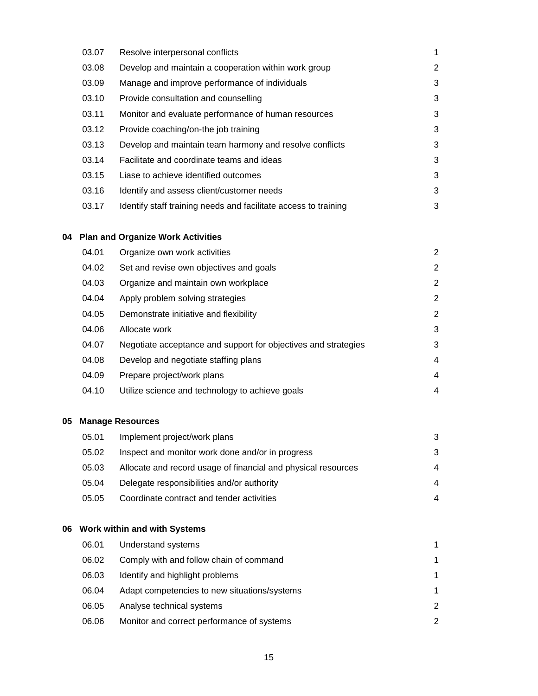| 03.07 | Resolve interpersonal conflicts                                 | 1 |
|-------|-----------------------------------------------------------------|---|
| 03.08 | Develop and maintain a cooperation within work group            | 2 |
| 03.09 | Manage and improve performance of individuals                   | 3 |
| 03.10 | Provide consultation and counselling                            | 3 |
| 03.11 | Monitor and evaluate performance of human resources             | 3 |
| 03.12 | Provide coaching/on-the job training                            | 3 |
| 03.13 | Develop and maintain team harmony and resolve conflicts         | 3 |
| 03.14 | Facilitate and coordinate teams and ideas                       | 3 |
| 03.15 | Liase to achieve identified outcomes                            | 3 |
| 03.16 | Identify and assess client/customer needs                       | 3 |
| 03.17 | Identify staff training needs and facilitate access to training | 3 |

#### **04 Plan and Organize Work Activities**

| 04.01 | Organize own work activities                                   | 2 |
|-------|----------------------------------------------------------------|---|
| 04.02 | Set and revise own objectives and goals                        | 2 |
| 04.03 | Organize and maintain own workplace                            | 2 |
| 04.04 | Apply problem solving strategies                               | 2 |
| 04.05 | Demonstrate initiative and flexibility                         | 2 |
| 04.06 | Allocate work                                                  | 3 |
| 04.07 | Negotiate acceptance and support for objectives and strategies | 3 |
| 04.08 | Develop and negotiate staffing plans                           | 4 |
| 04.09 | Prepare project/work plans                                     | 4 |
| 04.10 | Utilize science and technology to achieve goals                | 4 |

#### **05 Manage Resources**

| 05.01 | Implement project/work plans                                  | 3 |
|-------|---------------------------------------------------------------|---|
| 05.02 | Inspect and monitor work done and/or in progress              | 3 |
| 05.03 | Allocate and record usage of financial and physical resources | 4 |
| 05.04 | Delegate responsibilities and/or authority                    | 4 |
| 05.05 | Coordinate contract and tender activities                     | 4 |

#### **06 Work within and with Systems**

| 06.01 | Understand systems                           |               |
|-------|----------------------------------------------|---------------|
| 06.02 | Comply with and follow chain of command      | 1             |
| 06.03 | Identify and highlight problems              | 1             |
| 06.04 | Adapt competencies to new situations/systems | 1.            |
| 06.05 | Analyse technical systems                    | $\mathcal{P}$ |
| 06.06 | Monitor and correct performance of systems   | $\mathcal{P}$ |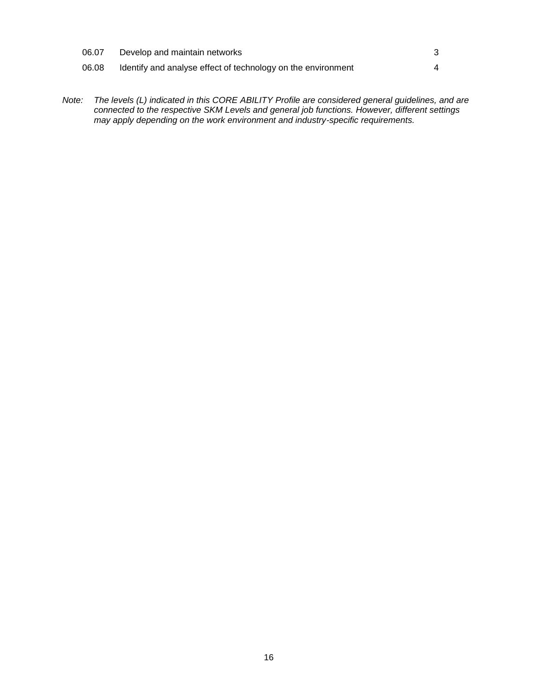| 06.07 | Develop and maintain networks                                |  |
|-------|--------------------------------------------------------------|--|
| 06.08 | Identify and analyse effect of technology on the environment |  |

*Note: The levels (L) indicated in this CORE ABILITY Profile are considered general guidelines, and are connected to the respective SKM Levels and general job functions. However, different settings may apply depending on the work environment and industry-specific requirements.*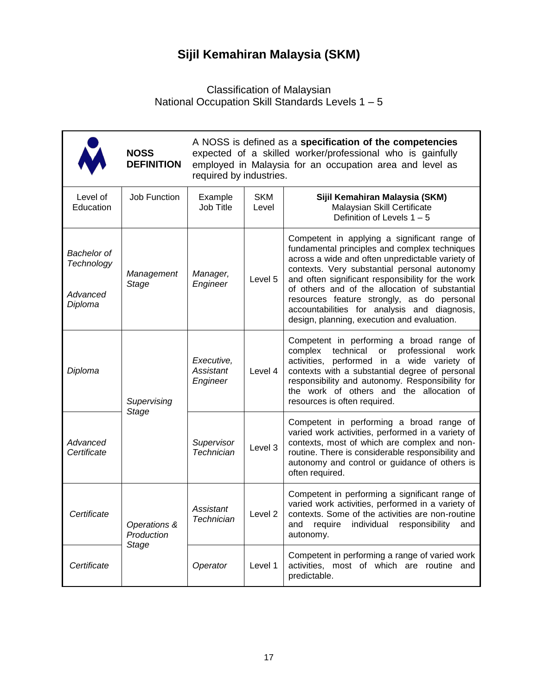### **Sijil Kemahiran Malaysia (SKM)**

#### Classification of Malaysian National Occupation Skill Standards Levels 1 – 5

|                                                  | <b>NOSS</b><br><b>DEFINITION</b> | A NOSS is defined as a specification of the competencies<br>expected of a skilled worker/professional who is gainfully<br>employed in Malaysia for an occupation area and level as<br>required by industries. |                     |                                                                                                                                                                                                                                                                                                                                                                                                                                                       |  |  |
|--------------------------------------------------|----------------------------------|---------------------------------------------------------------------------------------------------------------------------------------------------------------------------------------------------------------|---------------------|-------------------------------------------------------------------------------------------------------------------------------------------------------------------------------------------------------------------------------------------------------------------------------------------------------------------------------------------------------------------------------------------------------------------------------------------------------|--|--|
| Level of<br>Education                            | <b>Job Function</b>              | Example<br>Job Title                                                                                                                                                                                          | <b>SKM</b><br>Level | Sijil Kemahiran Malaysia (SKM)<br>Malaysian Skill Certificate<br>Definition of Levels $1 - 5$                                                                                                                                                                                                                                                                                                                                                         |  |  |
| Bachelor of<br>Technology<br>Advanced<br>Diploma | Management<br>Stage              | Manager,<br>Engineer                                                                                                                                                                                          | Level 5             | Competent in applying a significant range of<br>fundamental principles and complex techniques<br>across a wide and often unpredictable variety of<br>contexts. Very substantial personal autonomy<br>and often significant responsibility for the work<br>of others and of the allocation of substantial<br>resources feature strongly, as do personal<br>accountabilities for analysis and diagnosis,<br>design, planning, execution and evaluation. |  |  |
| Diploma                                          | Supervising                      | Executive,<br>Assistant<br>Engineer                                                                                                                                                                           | Level 4             | Competent in performing a broad range of<br>professional<br>complex<br>technical<br>or<br>work<br>activities, performed in a wide variety of<br>contexts with a substantial degree of personal<br>responsibility and autonomy. Responsibility for<br>the work of others and the allocation of<br>resources is often required.                                                                                                                         |  |  |
| Advanced<br>Certificate                          | Stage                            | Supervisor<br>Technician                                                                                                                                                                                      | Level 3             | Competent in performing a broad range of<br>varied work activities, performed in a variety of<br>contexts, most of which are complex and non-<br>routine. There is considerable responsibility and<br>autonomy and control or guidance of others is<br>often required.                                                                                                                                                                                |  |  |
| Certificate                                      | Operations &<br>Production       | Assistant<br>Technician                                                                                                                                                                                       | Level <sub>2</sub>  | Competent in performing a significant range of<br>varied work activities, performed in a variety of<br>contexts. Some of the activities are non-routine<br>individual responsibility<br>and require<br>and<br>autonomy.                                                                                                                                                                                                                               |  |  |
| Certificate                                      | Stage                            | Operator                                                                                                                                                                                                      | Level 1             | Competent in performing a range of varied work<br>activities, most of which are routine and<br>predictable.                                                                                                                                                                                                                                                                                                                                           |  |  |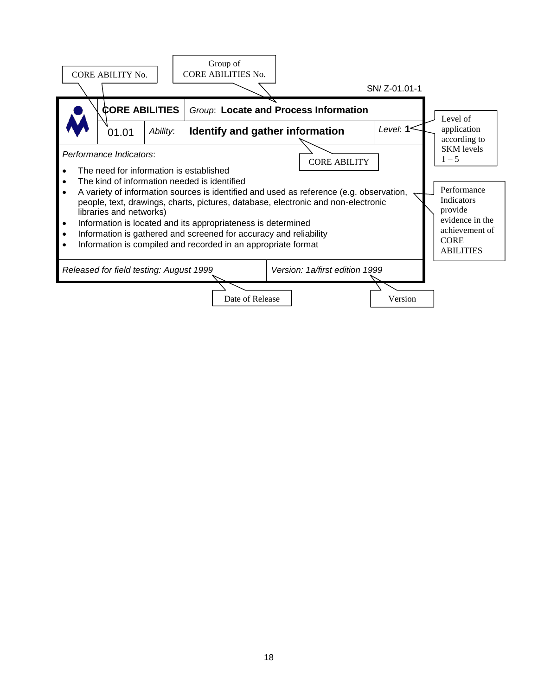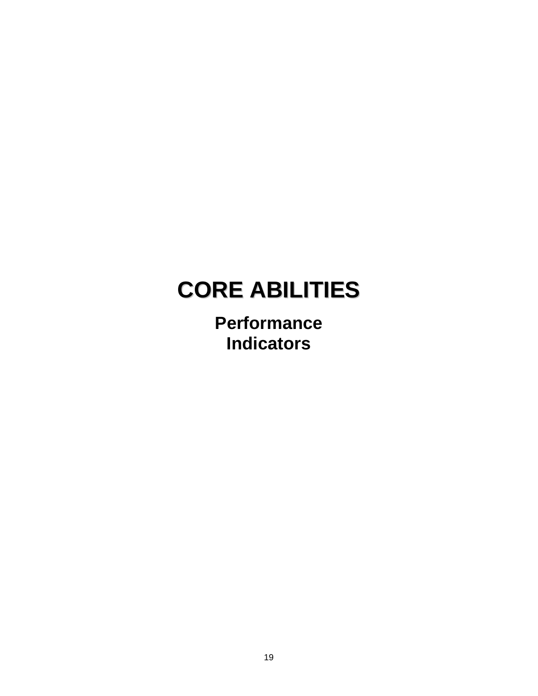**Performance Indicators**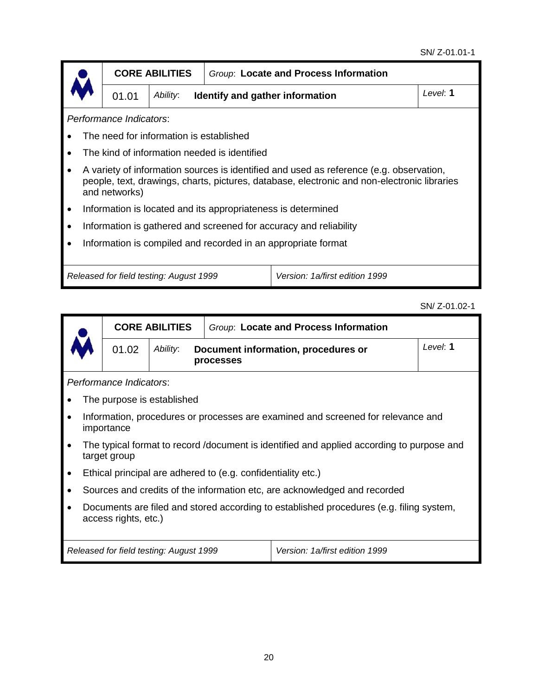|                                                                                                                                                                                                         |                         | <b>CORE ABILITIES</b>                   | Group: Locate and Process Information        |  |          |
|---------------------------------------------------------------------------------------------------------------------------------------------------------------------------------------------------------|-------------------------|-----------------------------------------|----------------------------------------------|--|----------|
|                                                                                                                                                                                                         | 01.01                   | Ability:                                | Identify and gather information              |  | Level: 1 |
|                                                                                                                                                                                                         | Performance Indicators: |                                         |                                              |  |          |
|                                                                                                                                                                                                         |                         | The need for information is established |                                              |  |          |
|                                                                                                                                                                                                         |                         |                                         | The kind of information needed is identified |  |          |
| A variety of information sources is identified and used as reference (e.g. observation,<br>people, text, drawings, charts, pictures, database, electronic and non-electronic libraries<br>and networks) |                         |                                         |                                              |  |          |
| Information is located and its appropriateness is determined                                                                                                                                            |                         |                                         |                                              |  |          |
| Information is gathered and screened for accuracy and reliability                                                                                                                                       |                         |                                         |                                              |  |          |
| Information is compiled and recorded in an appropriate format                                                                                                                                           |                         |                                         |                                              |  |          |
|                                                                                                                                                                                                         |                         |                                         |                                              |  |          |
| Released for field testing: August 1999<br>Version: 1a/first edition 1999                                                                                                                               |                         |                                         |                                              |  |          |

SN/ Z-01.02-1

|                                                                                                                 |                                                                                                           | <b>CORE ABILITIES</b>                   | Group: Locate and Process Information                        |                                                                                  |          |  |
|-----------------------------------------------------------------------------------------------------------------|-----------------------------------------------------------------------------------------------------------|-----------------------------------------|--------------------------------------------------------------|----------------------------------------------------------------------------------|----------|--|
|                                                                                                                 | 01.02                                                                                                     | Ability:                                | Document information, procedures or<br><b>processes</b>      |                                                                                  | Level: 1 |  |
|                                                                                                                 | Performance Indicators:                                                                                   |                                         |                                                              |                                                                                  |          |  |
|                                                                                                                 |                                                                                                           | The purpose is established              |                                                              |                                                                                  |          |  |
| $\bullet$                                                                                                       | importance                                                                                                |                                         |                                                              | Information, procedures or processes are examined and screened for relevance and |          |  |
| $\bullet$                                                                                                       | The typical format to record /document is identified and applied according to purpose and<br>target group |                                         |                                                              |                                                                                  |          |  |
|                                                                                                                 |                                                                                                           |                                         | Ethical principal are adhered to (e.g. confidentiality etc.) |                                                                                  |          |  |
|                                                                                                                 | Sources and credits of the information etc, are acknowledged and recorded                                 |                                         |                                                              |                                                                                  |          |  |
| Documents are filed and stored according to established procedures (e.g. filing system,<br>access rights, etc.) |                                                                                                           |                                         |                                                              |                                                                                  |          |  |
|                                                                                                                 |                                                                                                           | Released for field testing: August 1999 |                                                              | Version: 1a/first edition 1999                                                   |          |  |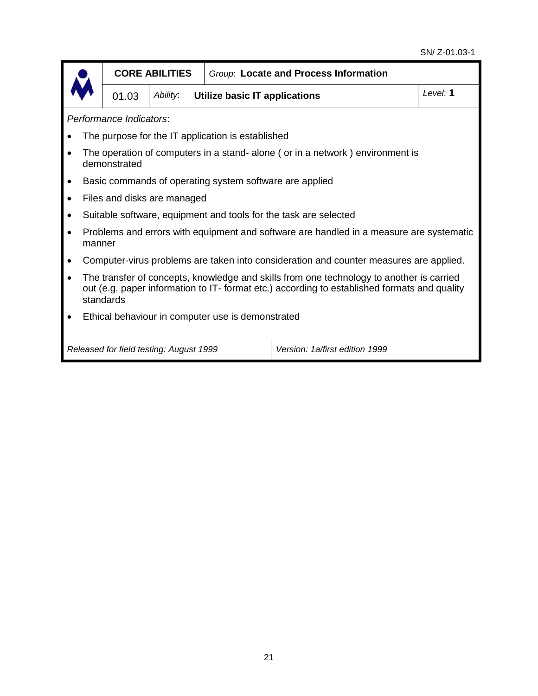#### SN/ Z-01.03-1

|                                                                                                                                                                                                       |                                                                                        | <b>CORE ABILITIES</b>                   |                                                         | Group: Locate and Process Information                                                   |  |  |  |
|-------------------------------------------------------------------------------------------------------------------------------------------------------------------------------------------------------|----------------------------------------------------------------------------------------|-----------------------------------------|---------------------------------------------------------|-----------------------------------------------------------------------------------------|--|--|--|
|                                                                                                                                                                                                       | 01.03                                                                                  | Ability:                                | Utilize basic IT applications                           | Level: 1                                                                                |  |  |  |
|                                                                                                                                                                                                       | Performance Indicators:                                                                |                                         |                                                         |                                                                                         |  |  |  |
|                                                                                                                                                                                                       |                                                                                        |                                         | The purpose for the IT application is established       |                                                                                         |  |  |  |
|                                                                                                                                                                                                       | demonstrated                                                                           |                                         |                                                         | The operation of computers in a stand- alone (or in a network) environment is           |  |  |  |
|                                                                                                                                                                                                       |                                                                                        |                                         | Basic commands of operating system software are applied |                                                                                         |  |  |  |
|                                                                                                                                                                                                       |                                                                                        | Files and disks are managed             |                                                         |                                                                                         |  |  |  |
|                                                                                                                                                                                                       |                                                                                        |                                         |                                                         | Suitable software, equipment and tools for the task are selected                        |  |  |  |
| manner                                                                                                                                                                                                |                                                                                        |                                         |                                                         | Problems and errors with equipment and software are handled in a measure are systematic |  |  |  |
|                                                                                                                                                                                                       | Computer-virus problems are taken into consideration and counter measures are applied. |                                         |                                                         |                                                                                         |  |  |  |
| The transfer of concepts, knowledge and skills from one technology to another is carried<br>out (e.g. paper information to IT- format etc.) according to established formats and quality<br>standards |                                                                                        |                                         |                                                         |                                                                                         |  |  |  |
| Ethical behaviour in computer use is demonstrated                                                                                                                                                     |                                                                                        |                                         |                                                         |                                                                                         |  |  |  |
|                                                                                                                                                                                                       |                                                                                        | Released for field testing: August 1999 |                                                         | Version: 1a/first edition 1999                                                          |  |  |  |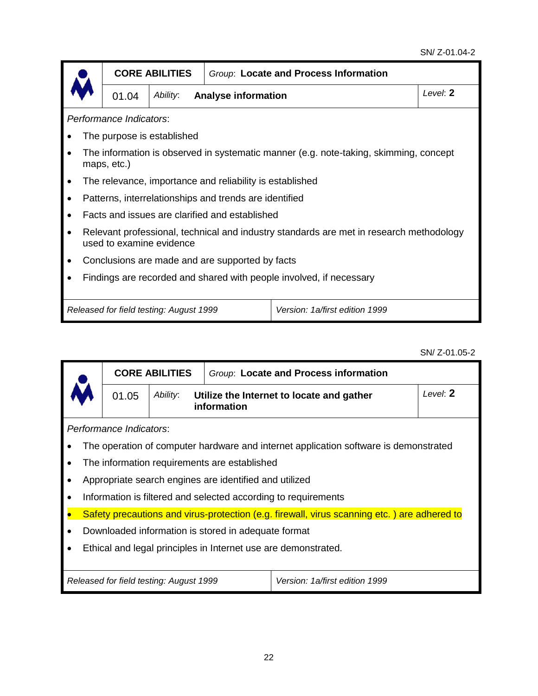|                         |                                                                                                                     | <b>CORE ABILITIES</b>                   |                                                          | Group: Locate and Process Information |          |  |  |  |  |
|-------------------------|---------------------------------------------------------------------------------------------------------------------|-----------------------------------------|----------------------------------------------------------|---------------------------------------|----------|--|--|--|--|
|                         | 01.04                                                                                                               | Ability:                                | <b>Analyse information</b>                               |                                       | Level: 2 |  |  |  |  |
| Performance Indicators: |                                                                                                                     |                                         |                                                          |                                       |          |  |  |  |  |
|                         |                                                                                                                     | The purpose is established              |                                                          |                                       |          |  |  |  |  |
| $\bullet$               | The information is observed in systematic manner (e.g. note-taking, skimming, concept<br>maps, etc.)                |                                         |                                                          |                                       |          |  |  |  |  |
| $\bullet$               |                                                                                                                     |                                         | The relevance, importance and reliability is established |                                       |          |  |  |  |  |
| $\bullet$               |                                                                                                                     |                                         | Patterns, interrelationships and trends are identified   |                                       |          |  |  |  |  |
| $\bullet$               |                                                                                                                     |                                         | Facts and issues are clarified and established           |                                       |          |  |  |  |  |
| $\bullet$               | Relevant professional, technical and industry standards are met in research methodology<br>used to examine evidence |                                         |                                                          |                                       |          |  |  |  |  |
|                         |                                                                                                                     |                                         | Conclusions are made and are supported by facts          |                                       |          |  |  |  |  |
|                         | Findings are recorded and shared with people involved, if necessary                                                 |                                         |                                                          |                                       |          |  |  |  |  |
|                         |                                                                                                                     |                                         |                                                          |                                       |          |  |  |  |  |
|                         |                                                                                                                     | Released for field testing: August 1999 |                                                          | Version: 1a/first edition 1999        |          |  |  |  |  |

SN/ Z-01.05-2

|                                                                | <b>CORE ABILITIES</b>                   |                                                        | Group: Locate and Process information                                                       |          |  |  |  |  |
|----------------------------------------------------------------|-----------------------------------------|--------------------------------------------------------|---------------------------------------------------------------------------------------------|----------|--|--|--|--|
| 01.05                                                          | Ability:<br>information                 |                                                        | Utilize the Internet to locate and gather                                                   | Level: 2 |  |  |  |  |
| Performance Indicators:                                        |                                         |                                                        |                                                                                             |          |  |  |  |  |
|                                                                |                                         |                                                        | The operation of computer hardware and internet application software is demonstrated        |          |  |  |  |  |
|                                                                |                                         | The information requirements are established           |                                                                                             |          |  |  |  |  |
|                                                                |                                         | Appropriate search engines are identified and utilized |                                                                                             |          |  |  |  |  |
|                                                                |                                         |                                                        | Information is filtered and selected according to requirements                              |          |  |  |  |  |
|                                                                |                                         |                                                        | Safety precautions and virus-protection (e.g. firewall, virus scanning etc.) are adhered to |          |  |  |  |  |
| Downloaded information is stored in adequate format            |                                         |                                                        |                                                                                             |          |  |  |  |  |
| Ethical and legal principles in Internet use are demonstrated. |                                         |                                                        |                                                                                             |          |  |  |  |  |
|                                                                |                                         |                                                        |                                                                                             |          |  |  |  |  |
|                                                                | Released for field testing: August 1999 |                                                        | Version: 1a/first edition 1999                                                              |          |  |  |  |  |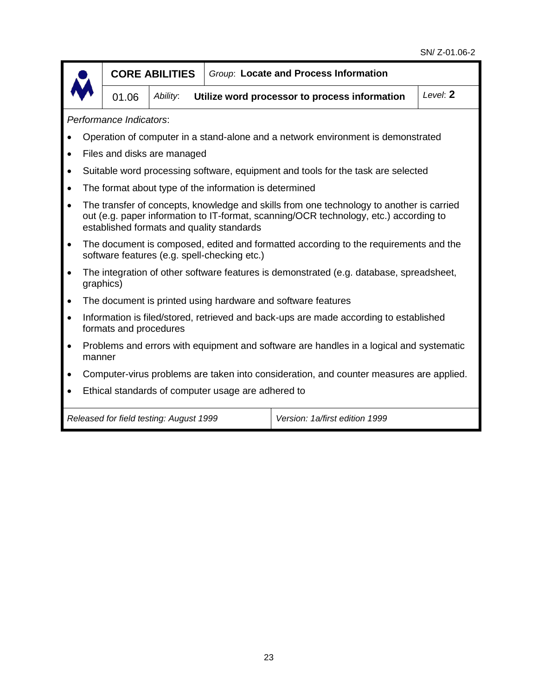

#### **CORE ABILITIES** *Group*: **Locate and Process Information**

01.06 *Ability*: **Utilize word processor to process information** *Level*: **2**

*Performance Indicators*:

- Operation of computer in a stand-alone and a network environment is demonstrated
- Files and disks are managed
- Suitable word processing software, equipment and tools for the task are selected
- The format about type of the information is determined
- The transfer of concepts, knowledge and skills from one technology to another is carried out (e.g. paper information to IT-format, scanning/OCR technology, etc.) according to established formats and quality standards
- The document is composed, edited and formatted according to the requirements and the software features (e.g. spell-checking etc.)
- The integration of other software features is demonstrated (e.g. database, spreadsheet, graphics)
- The document is printed using hardware and software features
- Information is filed/stored, retrieved and back-ups are made according to established formats and procedures
- Problems and errors with equipment and software are handles in a logical and systematic manner
- Computer-virus problems are taken into consideration, and counter measures are applied.
- Ethical standards of computer usage are adhered to

*Released for field testing: August 1999 Version: 1a/first edition 1999*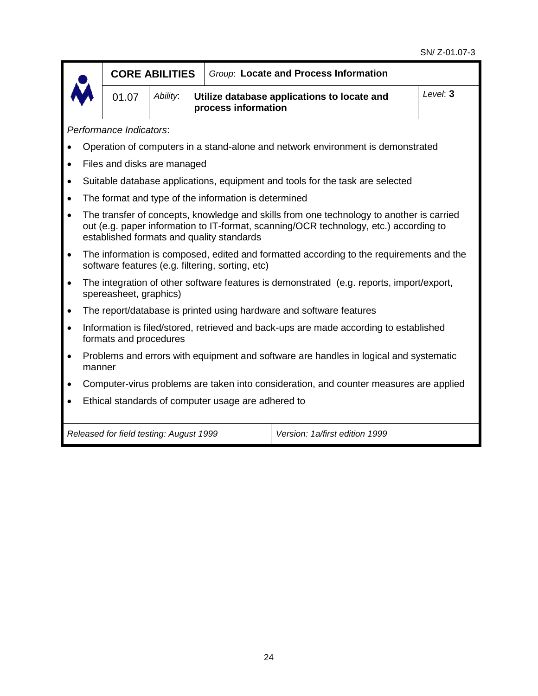|           |                                                                                                                                                                                                                                | <b>CORE ABILITIES</b>                                                                                                                       |                                         |                                                      | Group: Locate and Process Information                                                    |          |  |  |  |
|-----------|--------------------------------------------------------------------------------------------------------------------------------------------------------------------------------------------------------------------------------|---------------------------------------------------------------------------------------------------------------------------------------------|-----------------------------------------|------------------------------------------------------|------------------------------------------------------------------------------------------|----------|--|--|--|
|           |                                                                                                                                                                                                                                | 01.07                                                                                                                                       | Ability:                                | process information                                  | Utilize database applications to locate and                                              | Level: 3 |  |  |  |
|           | Performance Indicators:                                                                                                                                                                                                        |                                                                                                                                             |                                         |                                                      |                                                                                          |          |  |  |  |
|           |                                                                                                                                                                                                                                |                                                                                                                                             |                                         |                                                      | Operation of computers in a stand-alone and network environment is demonstrated          |          |  |  |  |
| $\bullet$ |                                                                                                                                                                                                                                |                                                                                                                                             | Files and disks are managed             |                                                      |                                                                                          |          |  |  |  |
| $\bullet$ |                                                                                                                                                                                                                                |                                                                                                                                             |                                         |                                                      | Suitable database applications, equipment and tools for the task are selected            |          |  |  |  |
| $\bullet$ |                                                                                                                                                                                                                                |                                                                                                                                             |                                         | The format and type of the information is determined |                                                                                          |          |  |  |  |
| $\bullet$ | The transfer of concepts, knowledge and skills from one technology to another is carried<br>out (e.g. paper information to IT-format, scanning/OCR technology, etc.) according to<br>established formats and quality standards |                                                                                                                                             |                                         |                                                      |                                                                                          |          |  |  |  |
| $\bullet$ |                                                                                                                                                                                                                                | The information is composed, edited and formatted according to the requirements and the<br>software features (e.g. filtering, sorting, etc) |                                         |                                                      |                                                                                          |          |  |  |  |
| $\bullet$ |                                                                                                                                                                                                                                | spereasheet, graphics)                                                                                                                      |                                         |                                                      | The integration of other software features is demonstrated (e.g. reports, import/export, |          |  |  |  |
| $\bullet$ |                                                                                                                                                                                                                                |                                                                                                                                             |                                         |                                                      | The report/database is printed using hardware and software features                      |          |  |  |  |
| $\bullet$ |                                                                                                                                                                                                                                | formats and procedures                                                                                                                      |                                         |                                                      | Information is filed/stored, retrieved and back-ups are made according to established    |          |  |  |  |
| $\bullet$ | manner                                                                                                                                                                                                                         |                                                                                                                                             |                                         |                                                      | Problems and errors with equipment and software are handles in logical and systematic    |          |  |  |  |
| $\bullet$ | Computer-virus problems are taken into consideration, and counter measures are applied                                                                                                                                         |                                                                                                                                             |                                         |                                                      |                                                                                          |          |  |  |  |
|           |                                                                                                                                                                                                                                |                                                                                                                                             |                                         | Ethical standards of computer usage are adhered to   |                                                                                          |          |  |  |  |
|           |                                                                                                                                                                                                                                |                                                                                                                                             | Released for field testing: August 1999 |                                                      | Version: 1a/first edition 1999                                                           |          |  |  |  |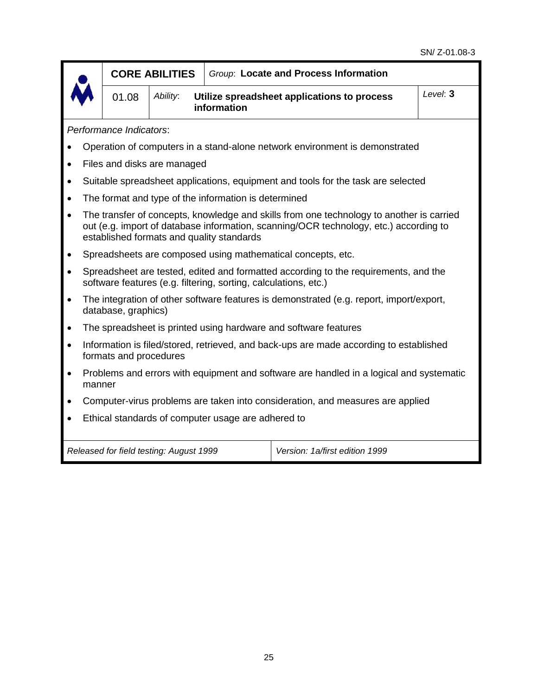|           | <b>CORE ABILITIES</b>                                                          |                        |                                         | Group: Locate and Process Information                           |                                                                                                                                                                                   |  |  |  |  |
|-----------|--------------------------------------------------------------------------------|------------------------|-----------------------------------------|-----------------------------------------------------------------|-----------------------------------------------------------------------------------------------------------------------------------------------------------------------------------|--|--|--|--|
|           |                                                                                | 01.08                  | Ability:                                | information                                                     | Utilize spreadsheet applications to process                                                                                                                                       |  |  |  |  |
|           | Performance Indicators:                                                        |                        |                                         |                                                                 |                                                                                                                                                                                   |  |  |  |  |
|           |                                                                                |                        |                                         |                                                                 | Operation of computers in a stand-alone network environment is demonstrated                                                                                                       |  |  |  |  |
| $\bullet$ |                                                                                |                        | Files and disks are managed             |                                                                 |                                                                                                                                                                                   |  |  |  |  |
| $\bullet$ |                                                                                |                        |                                         |                                                                 | Suitable spreadsheet applications, equipment and tools for the task are selected                                                                                                  |  |  |  |  |
| $\bullet$ |                                                                                |                        |                                         | The format and type of the information is determined            |                                                                                                                                                                                   |  |  |  |  |
| $\bullet$ |                                                                                |                        |                                         | established formats and quality standards                       | The transfer of concepts, knowledge and skills from one technology to another is carried<br>out (e.g. import of database information, scanning/OCR technology, etc.) according to |  |  |  |  |
|           |                                                                                |                        |                                         |                                                                 | Spreadsheets are composed using mathematical concepts, etc.                                                                                                                       |  |  |  |  |
| $\bullet$ |                                                                                |                        |                                         | software features (e.g. filtering, sorting, calculations, etc.) | Spreadsheet are tested, edited and formatted according to the requirements, and the                                                                                               |  |  |  |  |
| $\bullet$ |                                                                                | database, graphics)    |                                         |                                                                 | The integration of other software features is demonstrated (e.g. report, import/export,                                                                                           |  |  |  |  |
| $\bullet$ |                                                                                |                        |                                         |                                                                 | The spreadsheet is printed using hardware and software features                                                                                                                   |  |  |  |  |
| $\bullet$ |                                                                                | formats and procedures |                                         |                                                                 | Information is filed/stored, retrieved, and back-ups are made according to established                                                                                            |  |  |  |  |
| $\bullet$ | manner                                                                         |                        |                                         |                                                                 | Problems and errors with equipment and software are handled in a logical and systematic                                                                                           |  |  |  |  |
| $\bullet$ | Computer-virus problems are taken into consideration, and measures are applied |                        |                                         |                                                                 |                                                                                                                                                                                   |  |  |  |  |
| $\bullet$ |                                                                                |                        |                                         | Ethical standards of computer usage are adhered to              |                                                                                                                                                                                   |  |  |  |  |
|           |                                                                                |                        | Released for field testing: August 1999 |                                                                 | Version: 1a/first edition 1999                                                                                                                                                    |  |  |  |  |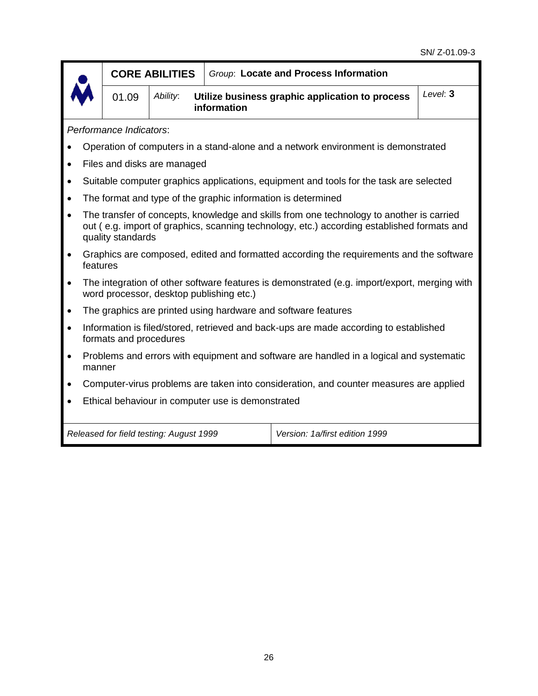| CO  |
|-----|
| 01. |

01.09 *Ability*: **Utilize business graphic application to process information** *Level*: **3**

*Performance Indicators*:

- Operation of computers in a stand-alone and a network environment is demonstrated
- Files and disks are managed
- Suitable computer graphics applications, equipment and tools for the task are selected
- The format and type of the graphic information is determined
- The transfer of concepts, knowledge and skills from one technology to another is carried out ( e.g. import of graphics, scanning technology, etc.) according established formats and quality standards
- Graphics are composed, edited and formatted according the requirements and the software features
- The integration of other software features is demonstrated (e.g. import/export, merging with word processor, desktop publishing etc.)
- The graphics are printed using hardware and software features
- Information is filed/stored, retrieved and back-ups are made according to established formats and procedures
- Problems and errors with equipment and software are handled in a logical and systematic manner
- Computer-virus problems are taken into consideration, and counter measures are applied
- Ethical behaviour in computer use is demonstrated

*Released for field testing: August 1999 Version: 1a/first edition 1999*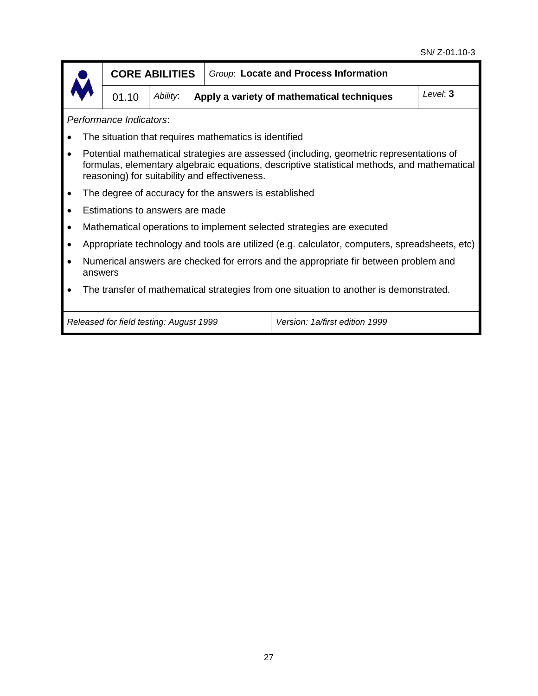|                                                                                                                                                                                                                                         | <b>CORE ABILITIES</b>                   |                                                       | Group: Locate and Process Information                                                         |          |  |  |  |  |  |
|-----------------------------------------------------------------------------------------------------------------------------------------------------------------------------------------------------------------------------------------|-----------------------------------------|-------------------------------------------------------|-----------------------------------------------------------------------------------------------|----------|--|--|--|--|--|
| 01.10                                                                                                                                                                                                                                   | Ability:                                |                                                       | Apply a variety of mathematical techniques                                                    | Level: 3 |  |  |  |  |  |
| Performance Indicators:                                                                                                                                                                                                                 |                                         |                                                       |                                                                                               |          |  |  |  |  |  |
|                                                                                                                                                                                                                                         |                                         | The situation that requires mathematics is identified |                                                                                               |          |  |  |  |  |  |
| Potential mathematical strategies are assessed (including, geometric representations of<br>formulas, elementary algebraic equations, descriptive statistical methods, and mathematical<br>reasoning) for suitability and effectiveness. |                                         |                                                       |                                                                                               |          |  |  |  |  |  |
|                                                                                                                                                                                                                                         |                                         | The degree of accuracy for the answers is established |                                                                                               |          |  |  |  |  |  |
|                                                                                                                                                                                                                                         | Estimations to answers are made         |                                                       |                                                                                               |          |  |  |  |  |  |
|                                                                                                                                                                                                                                         |                                         |                                                       | Mathematical operations to implement selected strategies are executed                         |          |  |  |  |  |  |
|                                                                                                                                                                                                                                         |                                         |                                                       | Appropriate technology and tools are utilized (e.g. calculator, computers, spreadsheets, etc) |          |  |  |  |  |  |
| Numerical answers are checked for errors and the appropriate fir between problem and<br>answers                                                                                                                                         |                                         |                                                       |                                                                                               |          |  |  |  |  |  |
|                                                                                                                                                                                                                                         |                                         |                                                       | The transfer of mathematical strategies from one situation to another is demonstrated.        |          |  |  |  |  |  |
|                                                                                                                                                                                                                                         | Released for field testing: August 1999 |                                                       | Version: 1a/first edition 1999                                                                |          |  |  |  |  |  |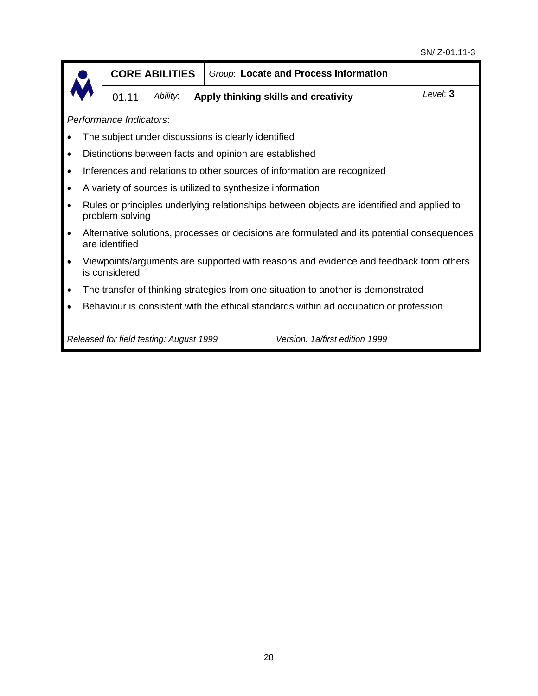|           |                                                                                                        | <b>CORE ABILITIES</b>                   |                                                            | Group: Locate and Process Information                                                       |          |  |  |  |  |
|-----------|--------------------------------------------------------------------------------------------------------|-----------------------------------------|------------------------------------------------------------|---------------------------------------------------------------------------------------------|----------|--|--|--|--|
|           | 01.11                                                                                                  | Ability:                                |                                                            | Apply thinking skills and creativity                                                        | Level: 3 |  |  |  |  |
|           | Performance Indicators:                                                                                |                                         |                                                            |                                                                                             |          |  |  |  |  |
|           |                                                                                                        |                                         | The subject under discussions is clearly identified        |                                                                                             |          |  |  |  |  |
| $\bullet$ |                                                                                                        |                                         | Distinctions between facts and opinion are established     |                                                                                             |          |  |  |  |  |
| $\bullet$ |                                                                                                        |                                         |                                                            | Inferences and relations to other sources of information are recognized                     |          |  |  |  |  |
| $\bullet$ |                                                                                                        |                                         | A variety of sources is utilized to synthesize information |                                                                                             |          |  |  |  |  |
| $\bullet$ | problem solving                                                                                        |                                         |                                                            | Rules or principles underlying relationships between objects are identified and applied to  |          |  |  |  |  |
| $\bullet$ | are identified                                                                                         |                                         |                                                            | Alternative solutions, processes or decisions are formulated and its potential consequences |          |  |  |  |  |
|           | Viewpoints/arguments are supported with reasons and evidence and feedback form others<br>is considered |                                         |                                                            |                                                                                             |          |  |  |  |  |
| $\bullet$ |                                                                                                        |                                         |                                                            | The transfer of thinking strategies from one situation to another is demonstrated           |          |  |  |  |  |
|           | Behaviour is consistent with the ethical standards within ad occupation or profession                  |                                         |                                                            |                                                                                             |          |  |  |  |  |
|           |                                                                                                        |                                         |                                                            |                                                                                             |          |  |  |  |  |
|           |                                                                                                        | Released for field testing: August 1999 |                                                            | Version: 1a/first edition 1999                                                              |          |  |  |  |  |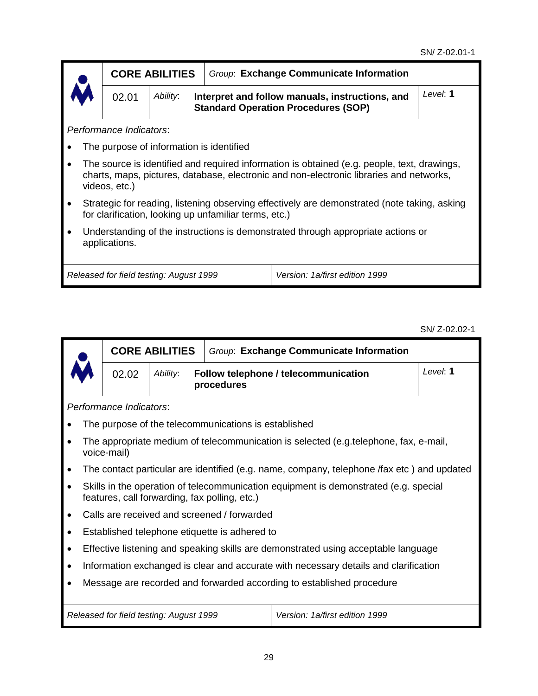|                                | <b>CORE ABILITIES</b>                                                                                                                                                                                           |  | Group: Exchange Communicate Information                                                       |          |  |  |  |
|--------------------------------|-----------------------------------------------------------------------------------------------------------------------------------------------------------------------------------------------------------------|--|-----------------------------------------------------------------------------------------------|----------|--|--|--|
| <b>IM</b><br>02.01<br>Ability: |                                                                                                                                                                                                                 |  | Interpret and follow manuals, instructions, and<br><b>Standard Operation Procedures (SOP)</b> | Level: 1 |  |  |  |
|                                | Performance Indicators:                                                                                                                                                                                         |  |                                                                                               |          |  |  |  |
|                                | The purpose of information is identified                                                                                                                                                                        |  |                                                                                               |          |  |  |  |
|                                | The source is identified and required information is obtained (e.g. people, text, drawings,<br>المراسمين بالمستحدث وماستوا المالون وسائمها والمستحدث المستوسط والمستحدث والمالقات والمستحدث والمستحدث والمستقام |  |                                                                                               |          |  |  |  |

- charts, maps, pictures, database, electronic and non-electronic libraries and networks, videos, etc.)
- Strategic for reading, listening observing effectively are demonstrated (note taking, asking for clarification, looking up unfamiliar terms, etc.)
- Understanding of the instructions is demonstrated through appropriate actions or applications.

*Released for field testing: August 1999 Version: 1a/first edition 1999*

SN/ Z-02.02-1

|           |  |                         | <b>CORE ABILITIES</b>                   |                                                      | Group: Exchange Communicate Information                                                    |          |
|-----------|--|-------------------------|-----------------------------------------|------------------------------------------------------|--------------------------------------------------------------------------------------------|----------|
|           |  | 02.02                   | Ability:                                | procedures                                           | Follow telephone / telecommunication                                                       | Level: 1 |
|           |  | Performance Indicators: |                                         |                                                      |                                                                                            |          |
|           |  |                         |                                         | The purpose of the telecommunications is established |                                                                                            |          |
|           |  | voice-mail)             |                                         |                                                      | The appropriate medium of telecommunication is selected (e.g.telephone, fax, e-mail,       |          |
| $\bullet$ |  |                         |                                         |                                                      | The contact particular are identified (e.g. name, company, telephone /fax etc) and updated |          |
| $\bullet$ |  |                         |                                         | features, call forwarding, fax polling, etc.)        | Skills in the operation of telecommunication equipment is demonstrated (e.g. special       |          |
|           |  |                         |                                         | Calls are received and screened / forwarded          |                                                                                            |          |
| $\bullet$ |  |                         |                                         | Established telephone etiquette is adhered to        |                                                                                            |          |
| $\bullet$ |  |                         |                                         |                                                      | Effective listening and speaking skills are demonstrated using acceptable language         |          |
| ٠         |  |                         |                                         |                                                      | Information exchanged is clear and accurate with necessary details and clarification       |          |
| ٠         |  |                         |                                         |                                                      | Message are recorded and forwarded according to established procedure                      |          |
|           |  |                         | Released for field testing: August 1999 |                                                      | Version: 1a/first edition 1999                                                             |          |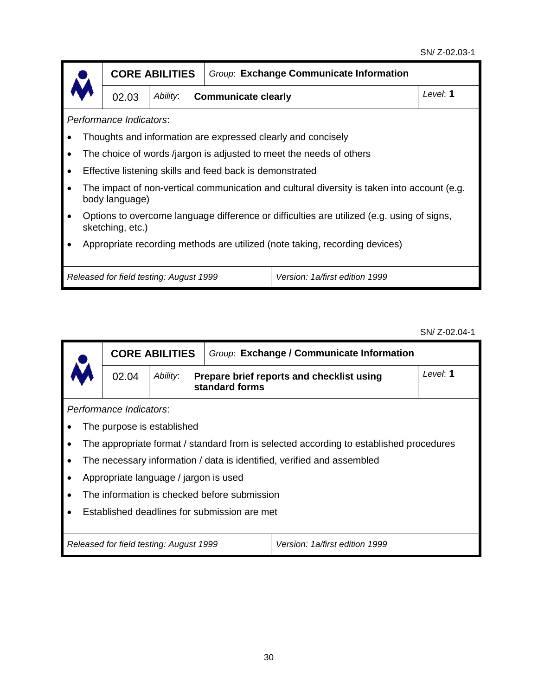#### SN/ Z-02.03-1

|                         |                                                                                                                | <b>CORE ABILITIES</b>                   |                                                          | Group: Exchange Communicate Information                                                     |          |  |  |  |  |
|-------------------------|----------------------------------------------------------------------------------------------------------------|-----------------------------------------|----------------------------------------------------------|---------------------------------------------------------------------------------------------|----------|--|--|--|--|
|                         | 02.03                                                                                                          | Ability:                                | <b>Communicate clearly</b>                               |                                                                                             | Level: 1 |  |  |  |  |
| Performance Indicators: |                                                                                                                |                                         |                                                          |                                                                                             |          |  |  |  |  |
|                         |                                                                                                                |                                         |                                                          | Thoughts and information are expressed clearly and concisely                                |          |  |  |  |  |
| ٠                       |                                                                                                                |                                         |                                                          | The choice of words /jargon is adjusted to meet the needs of others                         |          |  |  |  |  |
| $\bullet$               |                                                                                                                |                                         | Effective listening skills and feed back is demonstrated |                                                                                             |          |  |  |  |  |
| $\bullet$               | body language)                                                                                                 |                                         |                                                          | The impact of non-vertical communication and cultural diversity is taken into account (e.g. |          |  |  |  |  |
| $\bullet$               | Options to overcome language difference or difficulties are utilized (e.g. using of signs,<br>sketching, etc.) |                                         |                                                          |                                                                                             |          |  |  |  |  |
|                         | Appropriate recording methods are utilized (note taking, recording devices)                                    |                                         |                                                          |                                                                                             |          |  |  |  |  |
|                         |                                                                                                                |                                         |                                                          |                                                                                             |          |  |  |  |  |
|                         |                                                                                                                | Released for field testing: August 1999 |                                                          | Version: 1a/first edition 1999                                                              |          |  |  |  |  |

SN/ Z-02.04-1

| <b>CORE ABILITIES</b>                        |                                         | Group: Exchange / Communicate Information    |                                                                                        |  |  |  |
|----------------------------------------------|-----------------------------------------|----------------------------------------------|----------------------------------------------------------------------------------------|--|--|--|
| Ability:<br>02.04                            |                                         | standard forms                               | Level: 1<br>Prepare brief reports and checklist using                                  |  |  |  |
| Performance Indicators:                      |                                         |                                              |                                                                                        |  |  |  |
|                                              | The purpose is established              |                                              |                                                                                        |  |  |  |
|                                              |                                         |                                              | The appropriate format / standard from is selected according to established procedures |  |  |  |
|                                              |                                         |                                              | The necessary information / data is identified, verified and assembled                 |  |  |  |
|                                              | Appropriate language / jargon is used   |                                              |                                                                                        |  |  |  |
|                                              |                                         | The information is checked before submission |                                                                                        |  |  |  |
| Established deadlines for submission are met |                                         |                                              |                                                                                        |  |  |  |
|                                              |                                         |                                              |                                                                                        |  |  |  |
|                                              | Released for field testing: August 1999 |                                              | Version: 1a/first edition 1999                                                         |  |  |  |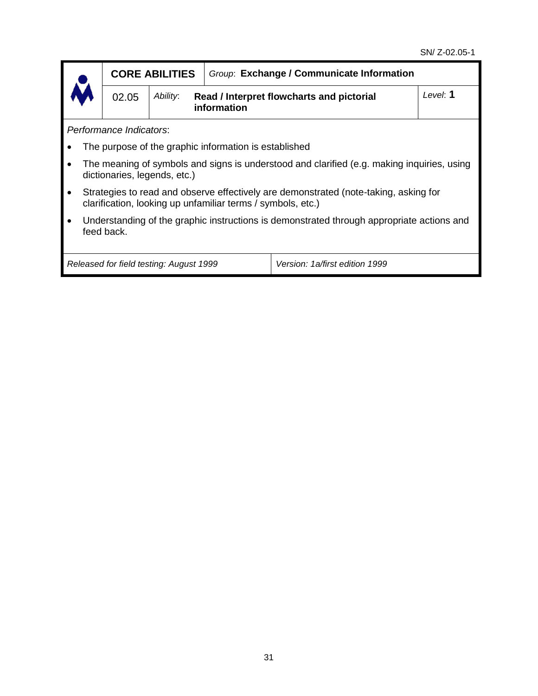|           | <b>CORE ABILITIES</b>                                                                                                                               |                                                                      | Group: Exchange / Communicate Information             |                                                                                            |          |  |  |
|-----------|-----------------------------------------------------------------------------------------------------------------------------------------------------|----------------------------------------------------------------------|-------------------------------------------------------|--------------------------------------------------------------------------------------------|----------|--|--|
|           | 02.05                                                                                                                                               | Ability:<br>Read / Interpret flowcharts and pictorial<br>information |                                                       |                                                                                            | Level: 1 |  |  |
|           | Performance Indicators:                                                                                                                             |                                                                      |                                                       |                                                                                            |          |  |  |
|           |                                                                                                                                                     |                                                                      | The purpose of the graphic information is established |                                                                                            |          |  |  |
|           | dictionaries, legends, etc.)                                                                                                                        |                                                                      |                                                       | The meaning of symbols and signs is understood and clarified (e.g. making inquiries, using |          |  |  |
| $\bullet$ | Strategies to read and observe effectively are demonstrated (note-taking, asking for<br>clarification, looking up unfamiliar terms / symbols, etc.) |                                                                      |                                                       |                                                                                            |          |  |  |
|           | Understanding of the graphic instructions is demonstrated through appropriate actions and<br>feed back.                                             |                                                                      |                                                       |                                                                                            |          |  |  |
|           |                                                                                                                                                     | Released for field testing: August 1999                              |                                                       | Version: 1a/first edition 1999                                                             |          |  |  |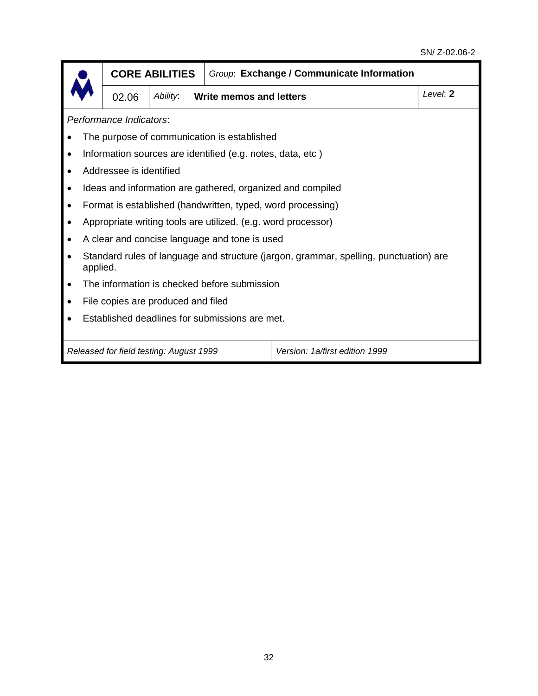|                                                                           | <b>CORE ABILITIES</b>                                                                             |                                            | Group: Exchange / Communicate Information |  |          |  |  |
|---------------------------------------------------------------------------|---------------------------------------------------------------------------------------------------|--------------------------------------------|-------------------------------------------|--|----------|--|--|
|                                                                           | 02.06                                                                                             | Ability:<br><b>Write memos and letters</b> |                                           |  | Level: 2 |  |  |
| Performance Indicators:                                                   |                                                                                                   |                                            |                                           |  |          |  |  |
|                                                                           | The purpose of communication is established                                                       |                                            |                                           |  |          |  |  |
| $\bullet$                                                                 | Information sources are identified (e.g. notes, data, etc)                                        |                                            |                                           |  |          |  |  |
|                                                                           | Addressee is identified                                                                           |                                            |                                           |  |          |  |  |
| $\bullet$                                                                 | Ideas and information are gathered, organized and compiled                                        |                                            |                                           |  |          |  |  |
| $\bullet$                                                                 | Format is established (handwritten, typed, word processing)                                       |                                            |                                           |  |          |  |  |
|                                                                           | Appropriate writing tools are utilized. (e.g. word processor)                                     |                                            |                                           |  |          |  |  |
|                                                                           | A clear and concise language and tone is used                                                     |                                            |                                           |  |          |  |  |
|                                                                           | Standard rules of language and structure (jargon, grammar, spelling, punctuation) are<br>applied. |                                            |                                           |  |          |  |  |
| $\bullet$                                                                 | The information is checked before submission                                                      |                                            |                                           |  |          |  |  |
|                                                                           | File copies are produced and filed                                                                |                                            |                                           |  |          |  |  |
| Established deadlines for submissions are met.                            |                                                                                                   |                                            |                                           |  |          |  |  |
| Version: 1a/first edition 1999<br>Released for field testing: August 1999 |                                                                                                   |                                            |                                           |  |          |  |  |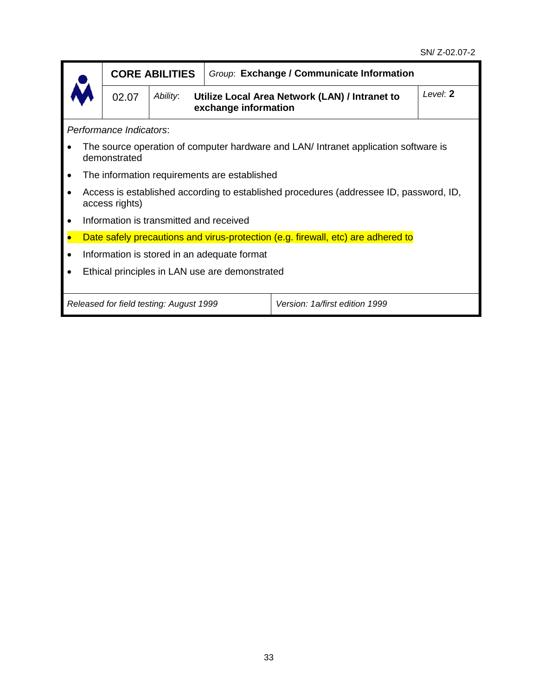**exchange information**

*Performance Indicators*:

- The source operation of computer hardware and LAN/ Intranet application software is demonstrated
- The information requirements are established
- Access is established according to established procedures (addressee ID, password, ID, access rights)
- Information is transmitted and received
- Date safely precautions and virus-protection (e.g. firewall, etc) are adhered to
- Information is stored in an adequate format
- Ethical principles in LAN use are demonstrated

*Released for field testing: August 1999 Version: 1a/first edition 1999*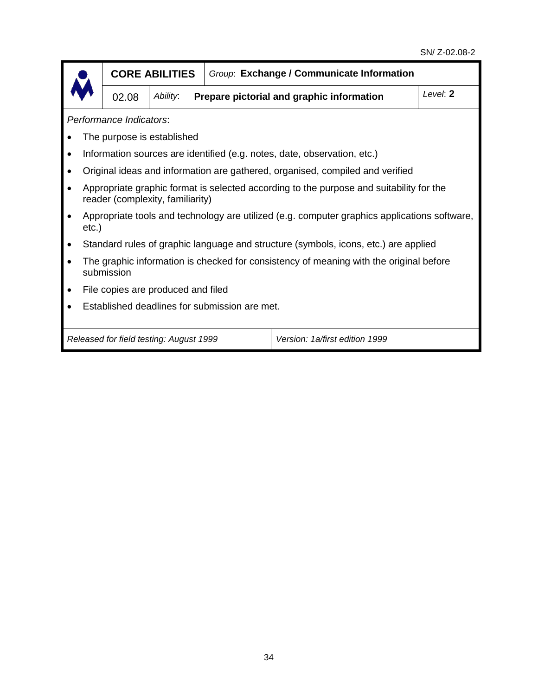|                                                                           | <b>CORE ABILITIES</b>                                                                                                       |          | Group: Exchange / Communicate Information |                                           |          |  |  |
|---------------------------------------------------------------------------|-----------------------------------------------------------------------------------------------------------------------------|----------|-------------------------------------------|-------------------------------------------|----------|--|--|
|                                                                           | 02.08                                                                                                                       | Ability: |                                           | Prepare pictorial and graphic information | Level: 2 |  |  |
|                                                                           | Performance Indicators:                                                                                                     |          |                                           |                                           |          |  |  |
|                                                                           | The purpose is established                                                                                                  |          |                                           |                                           |          |  |  |
|                                                                           | Information sources are identified (e.g. notes, date, observation, etc.)                                                    |          |                                           |                                           |          |  |  |
|                                                                           | Original ideas and information are gathered, organised, compiled and verified                                               |          |                                           |                                           |          |  |  |
|                                                                           | Appropriate graphic format is selected according to the purpose and suitability for the<br>reader (complexity, familiarity) |          |                                           |                                           |          |  |  |
| $etc.$ )                                                                  | Appropriate tools and technology are utilized (e.g. computer graphics applications software,                                |          |                                           |                                           |          |  |  |
|                                                                           | Standard rules of graphic language and structure (symbols, icons, etc.) are applied                                         |          |                                           |                                           |          |  |  |
|                                                                           | The graphic information is checked for consistency of meaning with the original before<br>submission                        |          |                                           |                                           |          |  |  |
|                                                                           | File copies are produced and filed                                                                                          |          |                                           |                                           |          |  |  |
|                                                                           | Established deadlines for submission are met.                                                                               |          |                                           |                                           |          |  |  |
| Released for field testing: August 1999<br>Version: 1a/first edition 1999 |                                                                                                                             |          |                                           |                                           |          |  |  |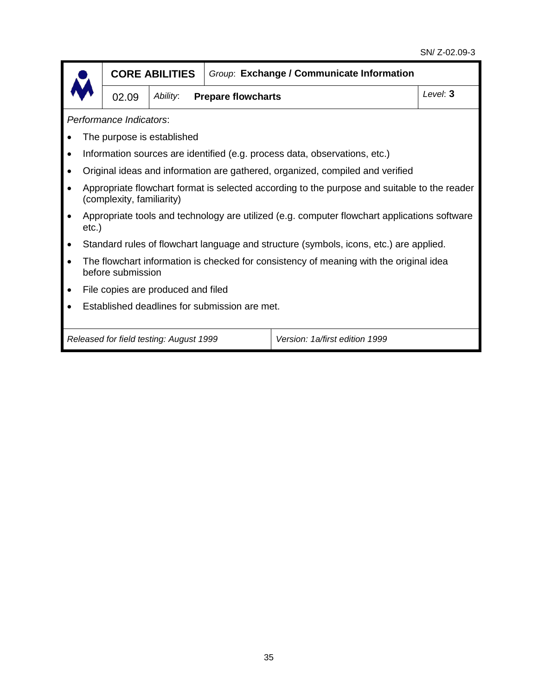|                                                                                                             | <b>CORE ABILITIES</b>                                                                                                     |                                       | Group: Exchange / Communicate Information |  |          |  |  |
|-------------------------------------------------------------------------------------------------------------|---------------------------------------------------------------------------------------------------------------------------|---------------------------------------|-------------------------------------------|--|----------|--|--|
|                                                                                                             | 02.09                                                                                                                     | Ability:<br><b>Prepare flowcharts</b> |                                           |  | Level: 3 |  |  |
|                                                                                                             | Performance Indicators:                                                                                                   |                                       |                                           |  |          |  |  |
|                                                                                                             | The purpose is established                                                                                                |                                       |                                           |  |          |  |  |
|                                                                                                             | Information sources are identified (e.g. process data, observations, etc.)                                                |                                       |                                           |  |          |  |  |
|                                                                                                             | Original ideas and information are gathered, organized, compiled and verified                                             |                                       |                                           |  |          |  |  |
|                                                                                                             | Appropriate flowchart format is selected according to the purpose and suitable to the reader<br>(complexity, familiarity) |                                       |                                           |  |          |  |  |
|                                                                                                             | Appropriate tools and technology are utilized (e.g. computer flowchart applications software<br>$etc.$ )                  |                                       |                                           |  |          |  |  |
|                                                                                                             | Standard rules of flowchart language and structure (symbols, icons, etc.) are applied.                                    |                                       |                                           |  |          |  |  |
| The flowchart information is checked for consistency of meaning with the original idea<br>before submission |                                                                                                                           |                                       |                                           |  |          |  |  |
|                                                                                                             | File copies are produced and filed                                                                                        |                                       |                                           |  |          |  |  |
|                                                                                                             | Established deadlines for submission are met.                                                                             |                                       |                                           |  |          |  |  |
|                                                                                                             |                                                                                                                           |                                       |                                           |  |          |  |  |
| Released for field testing: August 1999<br>Version: 1a/first edition 1999                                   |                                                                                                                           |                                       |                                           |  |          |  |  |
|                                                                                                             |                                                                                                                           |                                       |                                           |  |          |  |  |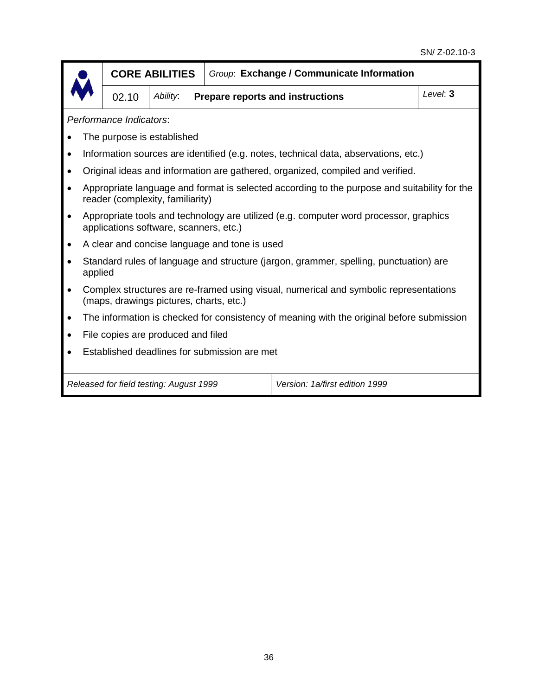|         | <b>CORE ABILITIES</b>                                                                                                            |                                         |                                               | Group: Exchange / Communicate Information                                                 |          |  |  |  |
|---------|----------------------------------------------------------------------------------------------------------------------------------|-----------------------------------------|-----------------------------------------------|-------------------------------------------------------------------------------------------|----------|--|--|--|
|         | 02.10                                                                                                                            | Ability:                                |                                               | <b>Prepare reports and instructions</b>                                                   | Level: 3 |  |  |  |
|         | Performance Indicators:                                                                                                          |                                         |                                               |                                                                                           |          |  |  |  |
|         |                                                                                                                                  | The purpose is established              |                                               |                                                                                           |          |  |  |  |
|         |                                                                                                                                  |                                         |                                               | Information sources are identified (e.g. notes, technical data, abservations, etc.)       |          |  |  |  |
|         |                                                                                                                                  |                                         |                                               | Original ideas and information are gathered, organized, compiled and verified.            |          |  |  |  |
|         | Appropriate language and format is selected according to the purpose and suitability for the<br>reader (complexity, familiarity) |                                         |                                               |                                                                                           |          |  |  |  |
|         | Appropriate tools and technology are utilized (e.g. computer word processor, graphics<br>applications software, scanners, etc.)  |                                         |                                               |                                                                                           |          |  |  |  |
|         |                                                                                                                                  |                                         | A clear and concise language and tone is used |                                                                                           |          |  |  |  |
| applied |                                                                                                                                  |                                         |                                               | Standard rules of language and structure (jargon, grammer, spelling, punctuation) are     |          |  |  |  |
|         |                                                                                                                                  | (maps, drawings pictures, charts, etc.) |                                               | Complex structures are re-framed using visual, numerical and symbolic representations     |          |  |  |  |
|         |                                                                                                                                  |                                         |                                               | The information is checked for consistency of meaning with the original before submission |          |  |  |  |
|         |                                                                                                                                  | File copies are produced and filed      |                                               |                                                                                           |          |  |  |  |
|         |                                                                                                                                  |                                         | Established deadlines for submission are met  |                                                                                           |          |  |  |  |
|         |                                                                                                                                  |                                         |                                               |                                                                                           |          |  |  |  |
|         |                                                                                                                                  | Released for field testing: August 1999 |                                               | Version: 1a/first edition 1999                                                            |          |  |  |  |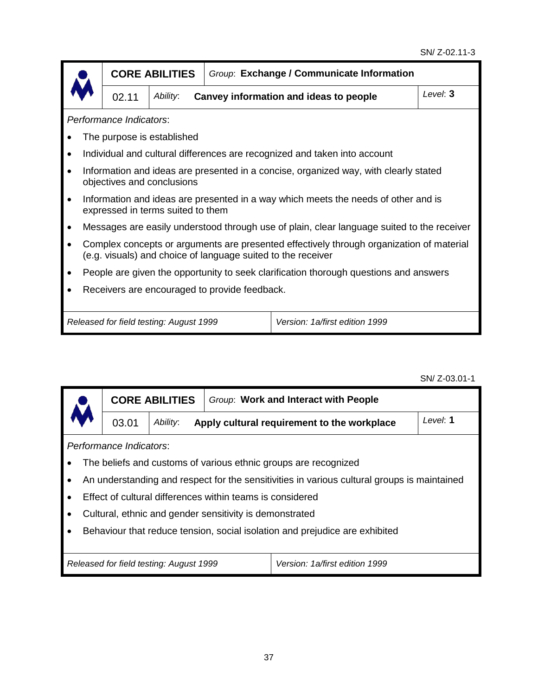|                                                                                                                                                          | <b>CORE ABILITIES</b>             |  | Group: Exchange / Communicate Information                                                  |          |  |  |  |  |
|----------------------------------------------------------------------------------------------------------------------------------------------------------|-----------------------------------|--|--------------------------------------------------------------------------------------------|----------|--|--|--|--|
| 02.11                                                                                                                                                    | Ability:                          |  | Canvey information and ideas to people                                                     | Level: 3 |  |  |  |  |
| Performance Indicators:                                                                                                                                  |                                   |  |                                                                                            |          |  |  |  |  |
|                                                                                                                                                          | The purpose is established        |  |                                                                                            |          |  |  |  |  |
|                                                                                                                                                          |                                   |  | Individual and cultural differences are recognized and taken into account                  |          |  |  |  |  |
| Information and ideas are presented in a concise, organized way, with clearly stated<br>objectives and conclusions                                       |                                   |  |                                                                                            |          |  |  |  |  |
|                                                                                                                                                          | expressed in terms suited to them |  | Information and ideas are presented in a way which meets the needs of other and is         |          |  |  |  |  |
|                                                                                                                                                          |                                   |  | Messages are easily understood through use of plain, clear language suited to the receiver |          |  |  |  |  |
| Complex concepts or arguments are presented effectively through organization of material<br>(e.g. visuals) and choice of language suited to the receiver |                                   |  |                                                                                            |          |  |  |  |  |
|                                                                                                                                                          |                                   |  | People are given the opportunity to seek clarification thorough questions and answers      |          |  |  |  |  |
| Receivers are encouraged to provide feedback.                                                                                                            |                                   |  |                                                                                            |          |  |  |  |  |
| Released for field testing: August 1999<br>Version: 1a/first edition 1999                                                                                |                                   |  |                                                                                            |          |  |  |  |  |

SN/ Z-03.01-1

|                                                                           | <b>CORE ABILITIES</b>                                           |          |                                                           | Group: Work and Interact with People                                                        |          |  |  |
|---------------------------------------------------------------------------|-----------------------------------------------------------------|----------|-----------------------------------------------------------|---------------------------------------------------------------------------------------------|----------|--|--|
|                                                                           | 03.01                                                           | Ability: |                                                           | Apply cultural requirement to the workplace                                                 | Level: 1 |  |  |
| Performance Indicators:                                                   |                                                                 |          |                                                           |                                                                                             |          |  |  |
|                                                                           | The beliefs and customs of various ethnic groups are recognized |          |                                                           |                                                                                             |          |  |  |
|                                                                           |                                                                 |          |                                                           | An understanding and respect for the sensitivities in various cultural groups is maintained |          |  |  |
|                                                                           |                                                                 |          | Effect of cultural differences within teams is considered |                                                                                             |          |  |  |
|                                                                           |                                                                 |          | Cultural, ethnic and gender sensitivity is demonstrated   |                                                                                             |          |  |  |
|                                                                           |                                                                 |          |                                                           | Behaviour that reduce tension, social isolation and prejudice are exhibited                 |          |  |  |
|                                                                           |                                                                 |          |                                                           |                                                                                             |          |  |  |
| Version: 1a/first edition 1999<br>Released for field testing: August 1999 |                                                                 |          |                                                           |                                                                                             |          |  |  |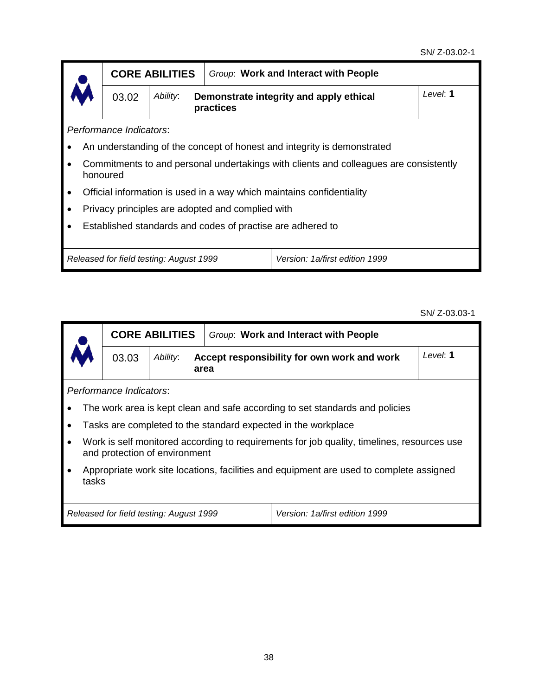|                                                                           | <b>CORE ABILITIES</b> |                                                  | Group: Work and Interact with People                                                  |          |  |  |  |
|---------------------------------------------------------------------------|-----------------------|--------------------------------------------------|---------------------------------------------------------------------------------------|----------|--|--|--|
| 03.02                                                                     | Ability:<br>practices |                                                  | Demonstrate integrity and apply ethical                                               | Level: 1 |  |  |  |
| Performance Indicators:                                                   |                       |                                                  |                                                                                       |          |  |  |  |
| An understanding of the concept of honest and integrity is demonstrated   |                       |                                                  |                                                                                       |          |  |  |  |
| honoured                                                                  |                       |                                                  | Commitments to and personal undertakings with clients and colleagues are consistently |          |  |  |  |
|                                                                           |                       |                                                  | Official information is used in a way which maintains confidentiality                 |          |  |  |  |
|                                                                           |                       | Privacy principles are adopted and complied with |                                                                                       |          |  |  |  |
|                                                                           |                       |                                                  | Established standards and codes of practise are adhered to                            |          |  |  |  |
|                                                                           |                       |                                                  |                                                                                       |          |  |  |  |
| Version: 1a/first edition 1999<br>Released for field testing: August 1999 |                       |                                                  |                                                                                       |          |  |  |  |

SN/ Z-03.03-1

|                                                                           | <b>CORE ABILITIES</b>                                                                                                       |          |      | Group: Work and Interact with People                          |          |  |  |  |
|---------------------------------------------------------------------------|-----------------------------------------------------------------------------------------------------------------------------|----------|------|---------------------------------------------------------------|----------|--|--|--|
|                                                                           | 03.03                                                                                                                       | Ability: | area | Accept responsibility for own work and work                   | Level: 1 |  |  |  |
|                                                                           | Performance Indicators:                                                                                                     |          |      |                                                               |          |  |  |  |
|                                                                           | The work area is kept clean and safe according to set standards and policies                                                |          |      |                                                               |          |  |  |  |
|                                                                           |                                                                                                                             |          |      | Tasks are completed to the standard expected in the workplace |          |  |  |  |
| $\bullet$                                                                 | Work is self monitored according to requirements for job quality, timelines, resources use<br>and protection of environment |          |      |                                                               |          |  |  |  |
|                                                                           | Appropriate work site locations, facilities and equipment are used to complete assigned<br>tasks                            |          |      |                                                               |          |  |  |  |
| Version: 1a/first edition 1999<br>Released for field testing: August 1999 |                                                                                                                             |          |      |                                                               |          |  |  |  |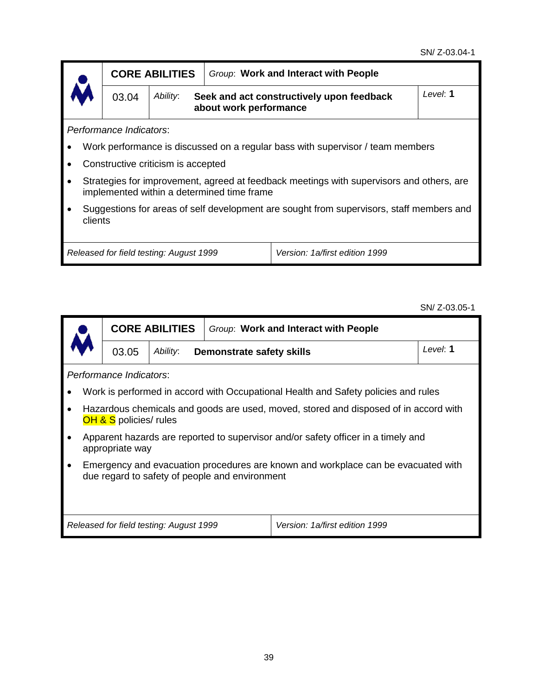|                                                                                             |                                                                                          | <b>CORE ABILITIES</b> | Group: Work and Interact with People                                |          |  |  |  |
|---------------------------------------------------------------------------------------------|------------------------------------------------------------------------------------------|-----------------------|---------------------------------------------------------------------|----------|--|--|--|
| $\lambda$                                                                                   | 03.04                                                                                    | Ability:              | Seek and act constructively upon feedback<br>about work performance | Level: 1 |  |  |  |
| Performance Indicators:                                                                     |                                                                                          |                       |                                                                     |          |  |  |  |
| Work performance is discussed on a regular bass with supervisor / team members<br>$\bullet$ |                                                                                          |                       |                                                                     |          |  |  |  |
| Constructive criticism is accepted<br>$\bullet$                                             |                                                                                          |                       |                                                                     |          |  |  |  |
| $\bullet$                                                                                   | Strategies for improvement, agreed at feedback meetings with supervisors and others, are |                       |                                                                     |          |  |  |  |

- implemented within a determined time frame
- Suggestions for areas of self development are sought from supervisors, staff members and clients

*Released for field testing: August 1999 Version: 1a/first edition 1999*

SN/ Z-03.05-1

|                                                                                                                                                  | <b>CORE ABILITIES</b>                                                                                                     |          | Group: Work and Interact with People |                                |          |  |  |  |
|--------------------------------------------------------------------------------------------------------------------------------------------------|---------------------------------------------------------------------------------------------------------------------------|----------|--------------------------------------|--------------------------------|----------|--|--|--|
|                                                                                                                                                  | 03.05                                                                                                                     | Ability: | Demonstrate safety skills            |                                | Level: 1 |  |  |  |
| Performance Indicators:                                                                                                                          |                                                                                                                           |          |                                      |                                |          |  |  |  |
|                                                                                                                                                  | Work is performed in accord with Occupational Health and Safety policies and rules                                        |          |                                      |                                |          |  |  |  |
|                                                                                                                                                  | Hazardous chemicals and goods are used, moved, stored and disposed of in accord with<br><b>OH &amp; S</b> policies/ rules |          |                                      |                                |          |  |  |  |
|                                                                                                                                                  | Apparent hazards are reported to supervisor and/or safety officer in a timely and<br>appropriate way                      |          |                                      |                                |          |  |  |  |
| Emergency and evacuation procedures are known and workplace can be evacuated with<br>$\bullet$<br>due regard to safety of people and environment |                                                                                                                           |          |                                      |                                |          |  |  |  |
|                                                                                                                                                  | Released for field testing: August 1999                                                                                   |          |                                      | Version: 1a/first edition 1999 |          |  |  |  |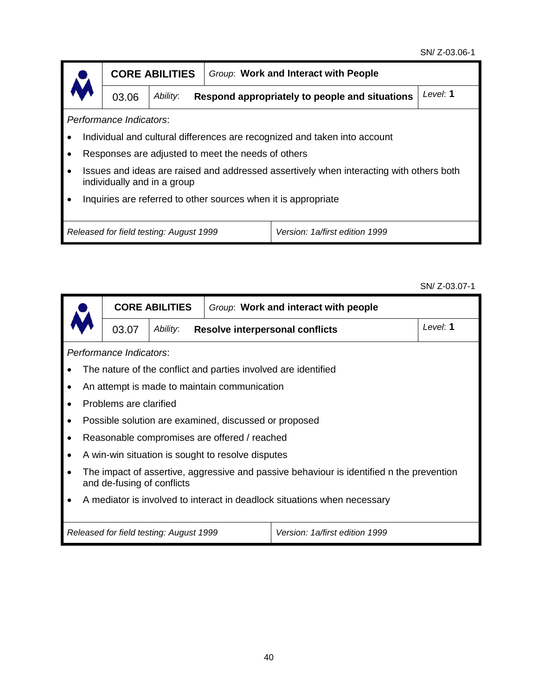|                                                                                                                        | <b>CORE ABILITIES</b>   |                                                            | Group: Work and Interact with People               |                                                                           |  |  |  |  |
|------------------------------------------------------------------------------------------------------------------------|-------------------------|------------------------------------------------------------|----------------------------------------------------|---------------------------------------------------------------------------|--|--|--|--|
|                                                                                                                        | 03.06                   | Ability:<br>Respond appropriately to people and situations | Level: 1                                           |                                                                           |  |  |  |  |
|                                                                                                                        | Performance Indicators: |                                                            |                                                    |                                                                           |  |  |  |  |
|                                                                                                                        |                         |                                                            |                                                    | Individual and cultural differences are recognized and taken into account |  |  |  |  |
|                                                                                                                        |                         |                                                            | Responses are adjusted to meet the needs of others |                                                                           |  |  |  |  |
| Issues and ideas are raised and addressed assertively when interacting with others both<br>individually and in a group |                         |                                                            |                                                    |                                                                           |  |  |  |  |
| Inquiries are referred to other sources when it is appropriate                                                         |                         |                                                            |                                                    |                                                                           |  |  |  |  |
| Released for field testing: August 1999<br>Version: 1a/first edition 1999                                              |                         |                                                            |                                                    |                                                                           |  |  |  |  |

SN/ Z-03.07-1

|   |                                                                                                                        | <b>CORE ABILITIES</b> |                                                       | Group: Work and interact with people |          |  |  |  |
|---|------------------------------------------------------------------------------------------------------------------------|-----------------------|-------------------------------------------------------|--------------------------------------|----------|--|--|--|
|   | 03.07                                                                                                                  | Ability:              | <b>Resolve interpersonal conflicts</b>                |                                      | Level: 1 |  |  |  |
|   | Performance Indicators:                                                                                                |                       |                                                       |                                      |          |  |  |  |
| ٠ | The nature of the conflict and parties involved are identified                                                         |                       |                                                       |                                      |          |  |  |  |
| ٠ |                                                                                                                        |                       | An attempt is made to maintain communication          |                                      |          |  |  |  |
|   | Problems are clarified                                                                                                 |                       |                                                       |                                      |          |  |  |  |
| ٠ |                                                                                                                        |                       | Possible solution are examined, discussed or proposed |                                      |          |  |  |  |
|   |                                                                                                                        |                       | Reasonable compromises are offered / reached          |                                      |          |  |  |  |
| ٠ |                                                                                                                        |                       | A win-win situation is sought to resolve disputes     |                                      |          |  |  |  |
| ٠ | The impact of assertive, aggressive and passive behaviour is identified n the prevention<br>and de-fusing of conflicts |                       |                                                       |                                      |          |  |  |  |
|   | A mediator is involved to interact in deadlock situations when necessary                                               |                       |                                                       |                                      |          |  |  |  |
|   | Version: 1a/first edition 1999<br>Released for field testing: August 1999                                              |                       |                                                       |                                      |          |  |  |  |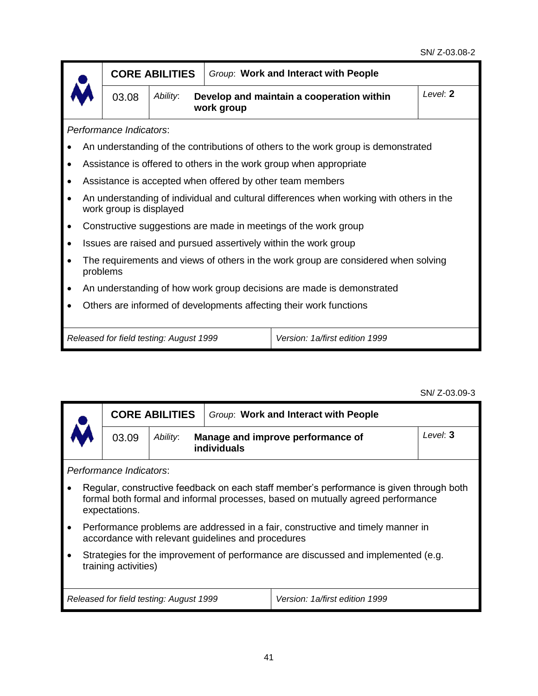|                                                                                                                    | <b>CORE ABILITIES</b>                                               |          | Group: Work and Interact with People                                              |  |  |  |
|--------------------------------------------------------------------------------------------------------------------|---------------------------------------------------------------------|----------|-----------------------------------------------------------------------------------|--|--|--|
| 03.08                                                                                                              | Ability:<br>Develop and maintain a cooperation within<br>work group | Level: 2 |                                                                                   |  |  |  |
| Performance Indicators:                                                                                            |                                                                     |          |                                                                                   |  |  |  |
|                                                                                                                    |                                                                     |          | An understanding of the contributions of others to the work group is demonstrated |  |  |  |
|                                                                                                                    |                                                                     |          | Assistance is offered to others in the work group when appropriate                |  |  |  |
|                                                                                                                    |                                                                     |          | Assistance is accepted when offered by other team members                         |  |  |  |
| An understanding of individual and cultural differences when working with others in the<br>work group is displayed |                                                                     |          |                                                                                   |  |  |  |
|                                                                                                                    |                                                                     |          | Constructive suggestions are made in meetings of the work group                   |  |  |  |
|                                                                                                                    |                                                                     |          | Issues are raised and pursued assertively within the work group                   |  |  |  |
| The requirements and views of others in the work group are considered when solving<br>problems                     |                                                                     |          |                                                                                   |  |  |  |
|                                                                                                                    |                                                                     |          | An understanding of how work group decisions are made is demonstrated             |  |  |  |
| Others are informed of developments affecting their work functions                                                 |                                                                     |          |                                                                                   |  |  |  |
| Version: 1a/first edition 1999<br>Released for field testing: August 1999                                          |                                                                     |          |                                                                                   |  |  |  |

SN/ Z-03.09-3

| <b>CORE ABILITIES</b>                                                                                                                                                                       |                                                              | Group: Work and Interact with People               |                                                                                 |          |  |  |  |
|---------------------------------------------------------------------------------------------------------------------------------------------------------------------------------------------|--------------------------------------------------------------|----------------------------------------------------|---------------------------------------------------------------------------------|----------|--|--|--|
| 03.09                                                                                                                                                                                       | Ability:<br>Manage and improve performance of<br>individuals |                                                    |                                                                                 | Level: 3 |  |  |  |
| Performance Indicators:                                                                                                                                                                     |                                                              |                                                    |                                                                                 |          |  |  |  |
| Regular, constructive feedback on each staff member's performance is given through both<br>formal both formal and informal processes, based on mutually agreed performance<br>expectations. |                                                              |                                                    |                                                                                 |          |  |  |  |
|                                                                                                                                                                                             |                                                              | accordance with relevant guidelines and procedures | Performance problems are addressed in a fair, constructive and timely manner in |          |  |  |  |
| Strategies for the improvement of performance are discussed and implemented (e.g.<br>training activities)                                                                                   |                                                              |                                                    |                                                                                 |          |  |  |  |
| Released for field testing: August 1999<br>Version: 1a/first edition 1999                                                                                                                   |                                                              |                                                    |                                                                                 |          |  |  |  |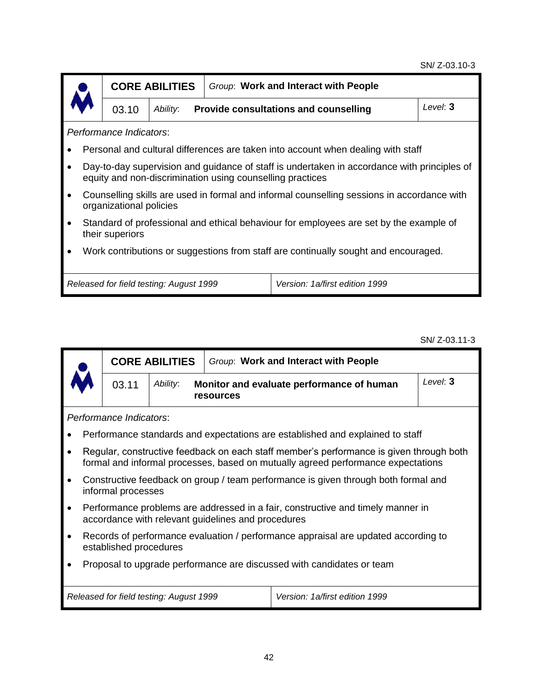#### SN/ Z-03.10-3



**CORE ABILITIES** *Group*: **Work and Interact with People** 03.10 *Ability*: **Provide consultations and counselling** *Level*: **3**

*Performance Indicators*:

- Personal and cultural differences are taken into account when dealing with staff
- Day-to-day supervision and guidance of staff is undertaken in accordance with principles of equity and non-discrimination using counselling practices
- Counselling skills are used in formal and informal counselling sessions in accordance with organizational policies
- Standard of professional and ethical behaviour for employees are set by the example of their superiors
- Work contributions or suggestions from staff are continually sought and encouraged.

|  | Released for field testing: August 1999 |  |
|--|-----------------------------------------|--|

*Released for field testing: August 1999 Version: 1a/first edition 1999*

SN/ Z-03.11-3

|                                                                       |                                                                                                                                       | <b>CORE ABILITIES</b>                                              | Group: Work and Interact with People |                                                                                                                                                                             |  |  |
|-----------------------------------------------------------------------|---------------------------------------------------------------------------------------------------------------------------------------|--------------------------------------------------------------------|--------------------------------------|-----------------------------------------------------------------------------------------------------------------------------------------------------------------------------|--|--|
|                                                                       | 03.11                                                                                                                                 | Ability:<br>Monitor and evaluate performance of human<br>resources |                                      | Level: 3                                                                                                                                                                    |  |  |
|                                                                       | Performance Indicators:                                                                                                               |                                                                    |                                      |                                                                                                                                                                             |  |  |
|                                                                       |                                                                                                                                       |                                                                    |                                      | Performance standards and expectations are established and explained to staff                                                                                               |  |  |
|                                                                       |                                                                                                                                       |                                                                    |                                      | Regular, constructive feedback on each staff member's performance is given through both<br>formal and informal processes, based on mutually agreed performance expectations |  |  |
|                                                                       | informal processes                                                                                                                    |                                                                    |                                      | Constructive feedback on group / team performance is given through both formal and                                                                                          |  |  |
|                                                                       | Performance problems are addressed in a fair, constructive and timely manner in<br>accordance with relevant guidelines and procedures |                                                                    |                                      |                                                                                                                                                                             |  |  |
|                                                                       | Records of performance evaluation / performance appraisal are updated according to<br>established procedures                          |                                                                    |                                      |                                                                                                                                                                             |  |  |
| Proposal to upgrade performance are discussed with candidates or team |                                                                                                                                       |                                                                    |                                      |                                                                                                                                                                             |  |  |
|                                                                       |                                                                                                                                       | Released for field testing: August 1999                            |                                      | Version: 1a/first edition 1999                                                                                                                                              |  |  |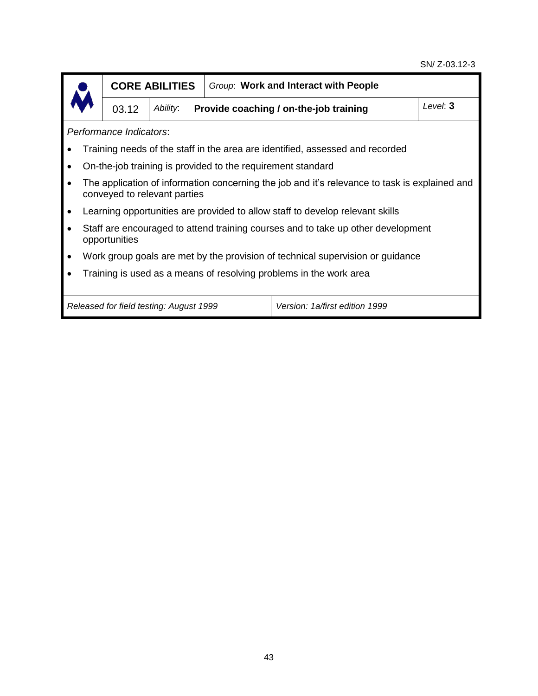#### SN/ Z-03.12-3



**CORE ABILITIES** *Group*: **Work and Interact with People**

03.12 *Ability*: **Provide coaching / on-the-job training** *Level*: **3**

*Performance Indicators*:

- Training needs of the staff in the area are identified, assessed and recorded
- On-the-job training is provided to the requirement standard
- The application of information concerning the job and it's relevance to task is explained and conveyed to relevant parties
- Learning opportunities are provided to allow staff to develop relevant skills
- Staff are encouraged to attend training courses and to take up other development opportunities
- Work group goals are met by the provision of technical supervision or guidance
- Training is used as a means of resolving problems in the work area

*Released for field testing: August 1999 Version: 1a/first edition 1999*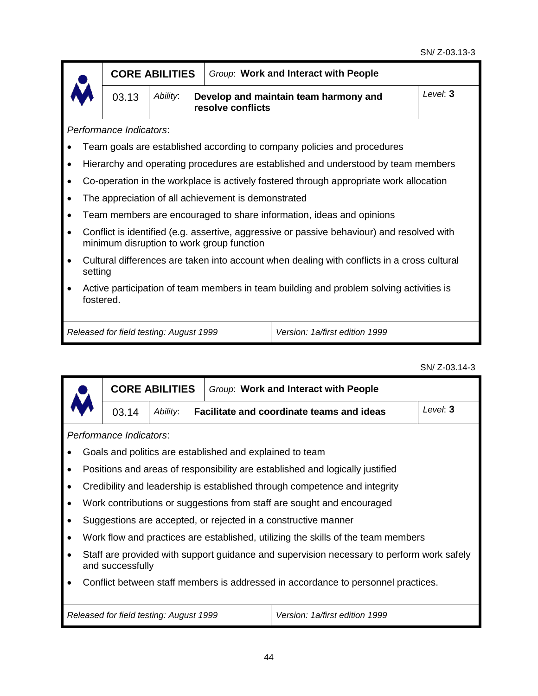|                                                                                                      |                                                                                                        | <b>CORE ABILITIES</b>                                                  |                                                     | Group: Work and Interact with People                                                       |          |  |
|------------------------------------------------------------------------------------------------------|--------------------------------------------------------------------------------------------------------|------------------------------------------------------------------------|-----------------------------------------------------|--------------------------------------------------------------------------------------------|----------|--|
|                                                                                                      | 03.13                                                                                                  | Ability:<br>Develop and maintain team harmony and<br>resolve conflicts |                                                     |                                                                                            | Level: 3 |  |
|                                                                                                      | Performance Indicators:                                                                                |                                                                        |                                                     |                                                                                            |          |  |
|                                                                                                      |                                                                                                        |                                                                        |                                                     | Team goals are established according to company policies and procedures                    |          |  |
| $\bullet$                                                                                            |                                                                                                        |                                                                        |                                                     | Hierarchy and operating procedures are established and understood by team members          |          |  |
|                                                                                                      |                                                                                                        |                                                                        |                                                     | Co-operation in the workplace is actively fostered through appropriate work allocation     |          |  |
|                                                                                                      |                                                                                                        |                                                                        | The appreciation of all achievement is demonstrated |                                                                                            |          |  |
|                                                                                                      |                                                                                                        |                                                                        |                                                     | Team members are encouraged to share information, ideas and opinions                       |          |  |
|                                                                                                      |                                                                                                        |                                                                        | minimum disruption to work group function           | Conflict is identified (e.g. assertive, aggressive or passive behaviour) and resolved with |          |  |
|                                                                                                      | Cultural differences are taken into account when dealing with conflicts in a cross cultural<br>setting |                                                                        |                                                     |                                                                                            |          |  |
| Active participation of team members in team building and problem solving activities is<br>fostered. |                                                                                                        |                                                                        |                                                     |                                                                                            |          |  |
|                                                                                                      | Released for field testing: August 1999<br>Version: 1a/first edition 1999                              |                                                                        |                                                     |                                                                                            |          |  |

SN/ Z-03.14-3

|  |                                                                                                               |       | <b>CORE ABILITIES</b>                                        |                                                          | Group: Work and Interact with People                                              |          |  |  |
|--|---------------------------------------------------------------------------------------------------------------|-------|--------------------------------------------------------------|----------------------------------------------------------|-----------------------------------------------------------------------------------|----------|--|--|
|  |                                                                                                               | 03.14 | Ability:<br><b>Facilitate and coordinate teams and ideas</b> |                                                          |                                                                                   | Level: 3 |  |  |
|  | Performance Indicators:                                                                                       |       |                                                              |                                                          |                                                                                   |          |  |  |
|  |                                                                                                               |       |                                                              | Goals and politics are established and explained to team |                                                                                   |          |  |  |
|  |                                                                                                               |       |                                                              |                                                          | Positions and areas of responsibility are established and logically justified     |          |  |  |
|  |                                                                                                               |       |                                                              |                                                          | Credibility and leadership is established through competence and integrity        |          |  |  |
|  |                                                                                                               |       |                                                              |                                                          | Work contributions or suggestions from staff are sought and encouraged            |          |  |  |
|  |                                                                                                               |       |                                                              |                                                          | Suggestions are accepted, or rejected in a constructive manner                    |          |  |  |
|  |                                                                                                               |       |                                                              |                                                          | Work flow and practices are established, utilizing the skills of the team members |          |  |  |
|  | Staff are provided with support guidance and supervision necessary to perform work safely<br>and successfully |       |                                                              |                                                          |                                                                                   |          |  |  |
|  | Conflict between staff members is addressed in accordance to personnel practices.                             |       |                                                              |                                                          |                                                                                   |          |  |  |
|  |                                                                                                               |       | Released for field testing: August 1999                      |                                                          | Version: 1a/first edition 1999                                                    |          |  |  |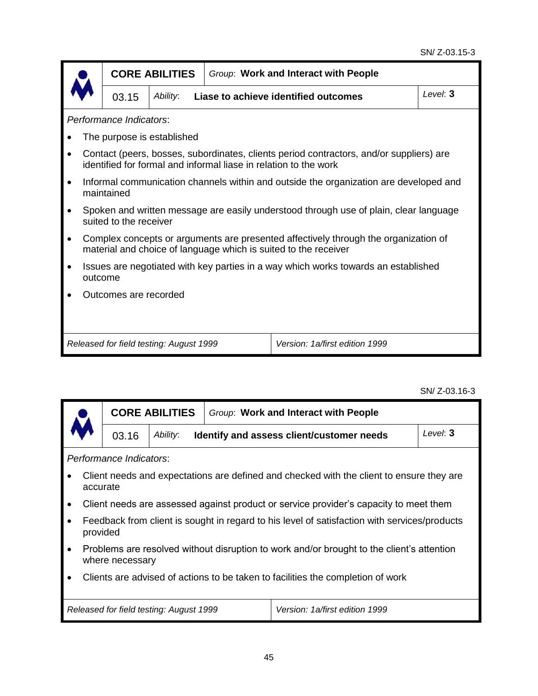|  |                                                                                               | <b>CORE ABILITIES</b>      | Group: Work and Interact with People |                                                                                                                                                             |          |  |  |  |
|--|-----------------------------------------------------------------------------------------------|----------------------------|--------------------------------------|-------------------------------------------------------------------------------------------------------------------------------------------------------------|----------|--|--|--|
|  | 03.15                                                                                         | Ability:                   |                                      | Liase to achieve identified outcomes                                                                                                                        | Level: 3 |  |  |  |
|  | Performance Indicators:                                                                       |                            |                                      |                                                                                                                                                             |          |  |  |  |
|  |                                                                                               | The purpose is established |                                      |                                                                                                                                                             |          |  |  |  |
|  |                                                                                               |                            |                                      | Contact (peers, bosses, subordinates, clients period contractors, and/or suppliers) are<br>identified for formal and informal liase in relation to the work |          |  |  |  |
|  | maintained                                                                                    |                            |                                      | Informal communication channels within and outside the organization are developed and                                                                       |          |  |  |  |
|  | suited to the receiver                                                                        |                            |                                      | Spoken and written message are easily understood through use of plain, clear language                                                                       |          |  |  |  |
|  |                                                                                               |                            |                                      | Complex concepts or arguments are presented affectively through the organization of<br>material and choice of language which is suited to the receiver      |          |  |  |  |
|  | Issues are negotiated with key parties in a way which works towards an established<br>outcome |                            |                                      |                                                                                                                                                             |          |  |  |  |
|  | Outcomes are recorded                                                                         |                            |                                      |                                                                                                                                                             |          |  |  |  |
|  |                                                                                               |                            |                                      |                                                                                                                                                             |          |  |  |  |
|  | Released for field testing: August 1999<br>Version: 1a/first edition 1999                     |                            |                                      |                                                                                                                                                             |          |  |  |  |

SN/ Z-03.16-3

| <b>CORE ABILITIES</b><br>03.16 |                                                                                                              |                         |                                           | Group: Work and Interact with People                                                  |  |  |  |
|--------------------------------|--------------------------------------------------------------------------------------------------------------|-------------------------|-------------------------------------------|---------------------------------------------------------------------------------------|--|--|--|
|                                |                                                                                                              | Ability:                | Identify and assess client/customer needs |                                                                                       |  |  |  |
|                                |                                                                                                              | Performance Indicators: |                                           |                                                                                       |  |  |  |
|                                | Client needs and expectations are defined and checked with the client to ensure they are<br>accurate         |                         |                                           |                                                                                       |  |  |  |
| $\bullet$                      |                                                                                                              |                         |                                           | Client needs are assessed against product or service provider's capacity to meet them |  |  |  |
| $\bullet$                      | Feedback from client is sought in regard to his level of satisfaction with services/products<br>provided     |                         |                                           |                                                                                       |  |  |  |
|                                | Problems are resolved without disruption to work and/or brought to the client's attention<br>where necessary |                         |                                           |                                                                                       |  |  |  |
|                                | Clients are advised of actions to be taken to facilities the completion of work                              |                         |                                           |                                                                                       |  |  |  |

*Released for field testing: August 1999 Version: 1a/first edition 1999*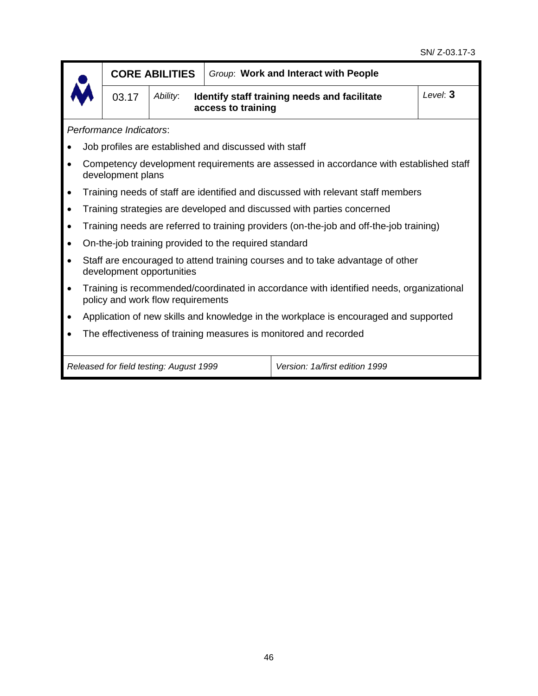

| 03.17 | Ability: | Identify staff training needs and facilitate<br>access to training | Level: 3 |
|-------|----------|--------------------------------------------------------------------|----------|
|       |          |                                                                    |          |

*Performance Indicators*:

- Job profiles are established and discussed with staff
- Competency development requirements are assessed in accordance with established staff development plans
- Training needs of staff are identified and discussed with relevant staff members
- Training strategies are developed and discussed with parties concerned
- Training needs are referred to training providers (on-the-job and off-the-job training)
- On-the-job training provided to the required standard
- Staff are encouraged to attend training courses and to take advantage of other development opportunities
- Training is recommended/coordinated in accordance with identified needs, organizational policy and work flow requirements
- Application of new skills and knowledge in the workplace is encouraged and supported
- The effectiveness of training measures is monitored and recorded

*Released for field testing: August 1999 Version: 1a/first edition 1999*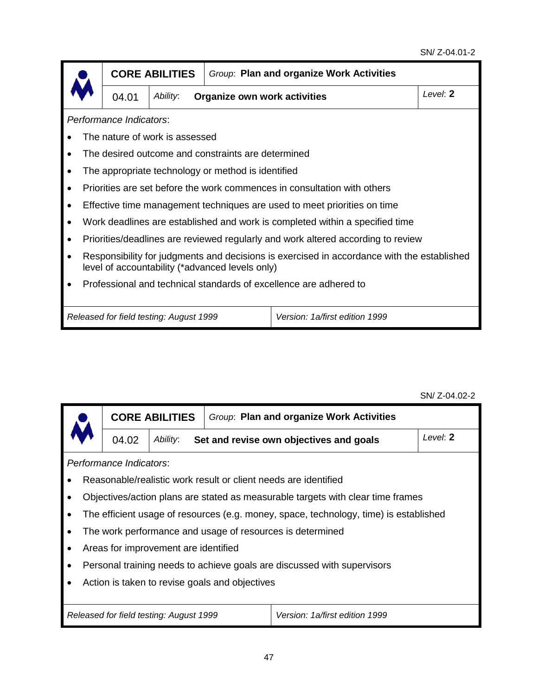|                                                                                                                                               | <b>CORE ABILITIES</b>                   | Group: Plan and organize Work Activities           |                                                                                  |          |  |  |  |
|-----------------------------------------------------------------------------------------------------------------------------------------------|-----------------------------------------|----------------------------------------------------|----------------------------------------------------------------------------------|----------|--|--|--|
| 04.01                                                                                                                                         | Ability:                                | Organize own work activities                       |                                                                                  | Level: 2 |  |  |  |
| Performance Indicators:                                                                                                                       |                                         |                                                    |                                                                                  |          |  |  |  |
|                                                                                                                                               | The nature of work is assessed          |                                                    |                                                                                  |          |  |  |  |
|                                                                                                                                               |                                         | The desired outcome and constraints are determined |                                                                                  |          |  |  |  |
|                                                                                                                                               |                                         | The appropriate technology or method is identified |                                                                                  |          |  |  |  |
|                                                                                                                                               |                                         |                                                    | Priorities are set before the work commences in consultation with others         |          |  |  |  |
|                                                                                                                                               |                                         |                                                    | Effective time management techniques are used to meet priorities on time         |          |  |  |  |
|                                                                                                                                               |                                         |                                                    | Work deadlines are established and work is completed within a specified time     |          |  |  |  |
|                                                                                                                                               |                                         |                                                    | Priorities/deadlines are reviewed regularly and work altered according to review |          |  |  |  |
| Responsibility for judgments and decisions is exercised in accordance with the established<br>level of accountability (*advanced levels only) |                                         |                                                    |                                                                                  |          |  |  |  |
| Professional and technical standards of excellence are adhered to                                                                             |                                         |                                                    |                                                                                  |          |  |  |  |
|                                                                                                                                               | Released for field testing: August 1999 |                                                    | Version: 1a/first edition 1999                                                   |          |  |  |  |

|                                                | <b>CORE ABILITIES</b>                               | Group: Plan and organize Work Activities |                                                                                       |  |  |  |  |
|------------------------------------------------|-----------------------------------------------------|------------------------------------------|---------------------------------------------------------------------------------------|--|--|--|--|
| 04.02                                          | Ability:<br>Set and revise own objectives and goals |                                          | Level: 2                                                                              |  |  |  |  |
| Performance Indicators:                        |                                                     |                                          |                                                                                       |  |  |  |  |
|                                                |                                                     |                                          | Reasonable/realistic work result or client needs are identified                       |  |  |  |  |
|                                                |                                                     |                                          | Objectives/action plans are stated as measurable targets with clear time frames       |  |  |  |  |
|                                                |                                                     |                                          | The efficient usage of resources (e.g. money, space, technology, time) is established |  |  |  |  |
|                                                |                                                     |                                          | The work performance and usage of resources is determined                             |  |  |  |  |
|                                                | Areas for improvement are identified                |                                          |                                                                                       |  |  |  |  |
|                                                |                                                     |                                          | Personal training needs to achieve goals are discussed with supervisors               |  |  |  |  |
| Action is taken to revise goals and objectives |                                                     |                                          |                                                                                       |  |  |  |  |
|                                                |                                                     |                                          |                                                                                       |  |  |  |  |
|                                                | Released for field testing: August 1999             |                                          | Version: 1a/first edition 1999                                                        |  |  |  |  |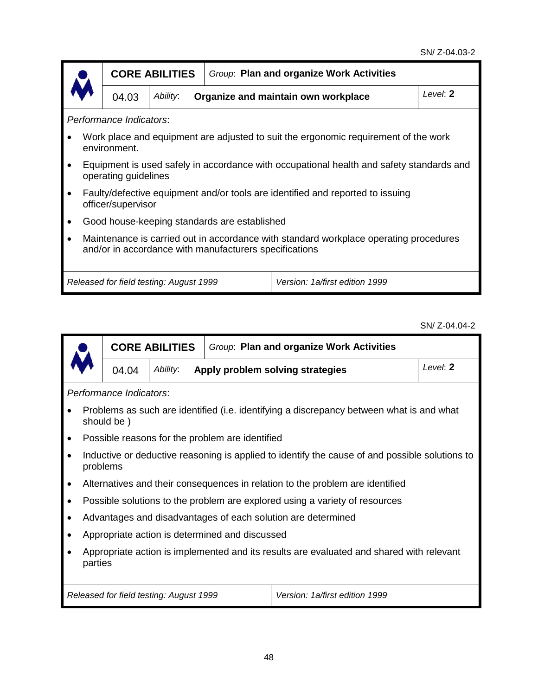|                                                                                                                                                 |                         | <b>CORE ABILITIES</b>                           |                                              | Group: Plan and organize Work Activities                                                 |  |  |
|-------------------------------------------------------------------------------------------------------------------------------------------------|-------------------------|-------------------------------------------------|----------------------------------------------|------------------------------------------------------------------------------------------|--|--|
|                                                                                                                                                 | 04.03                   | Organize and maintain own workplace<br>Ability: |                                              | Level: 2                                                                                 |  |  |
|                                                                                                                                                 | Performance Indicators: |                                                 |                                              |                                                                                          |  |  |
|                                                                                                                                                 | environment.            |                                                 |                                              | Work place and equipment are adjusted to suit the ergonomic requirement of the work      |  |  |
|                                                                                                                                                 | operating guidelines    |                                                 |                                              | Equipment is used safely in accordance with occupational health and safety standards and |  |  |
|                                                                                                                                                 | officer/supervisor      |                                                 |                                              | Faulty/defective equipment and/or tools are identified and reported to issuing           |  |  |
|                                                                                                                                                 |                         |                                                 | Good house-keeping standards are established |                                                                                          |  |  |
| Maintenance is carried out in accordance with standard workplace operating procedures<br>and/or in accordance with manufacturers specifications |                         |                                                 |                                              |                                                                                          |  |  |
|                                                                                                                                                 |                         | Released for field testing: August 1999         |                                              | Version: 1a/first edition 1999                                                           |  |  |

## SN/ Z-04.04-2

|                                                                                                     |                         | <b>CORE ABILITIES</b>                        | Group: Plan and organize Work Activities        |                                                                                                |  |  |  |  |
|-----------------------------------------------------------------------------------------------------|-------------------------|----------------------------------------------|-------------------------------------------------|------------------------------------------------------------------------------------------------|--|--|--|--|
|                                                                                                     | 04.04                   | Ability:<br>Apply problem solving strategies |                                                 | Level: 2                                                                                       |  |  |  |  |
|                                                                                                     | Performance Indicators: |                                              |                                                 |                                                                                                |  |  |  |  |
|                                                                                                     | should be)              |                                              |                                                 | Problems as such are identified (i.e. identifying a discrepancy between what is and what       |  |  |  |  |
|                                                                                                     |                         |                                              | Possible reasons for the problem are identified |                                                                                                |  |  |  |  |
|                                                                                                     | problems                |                                              |                                                 | Inductive or deductive reasoning is applied to identify the cause of and possible solutions to |  |  |  |  |
|                                                                                                     |                         |                                              |                                                 | Alternatives and their consequences in relation to the problem are identified                  |  |  |  |  |
|                                                                                                     |                         |                                              |                                                 | Possible solutions to the problem are explored using a variety of resources                    |  |  |  |  |
|                                                                                                     |                         |                                              |                                                 | Advantages and disadvantages of each solution are determined                                   |  |  |  |  |
|                                                                                                     |                         |                                              | Appropriate action is determined and discussed  |                                                                                                |  |  |  |  |
| Appropriate action is implemented and its results are evaluated and shared with relevant<br>parties |                         |                                              |                                                 |                                                                                                |  |  |  |  |
|                                                                                                     |                         | Released for field testing: August 1999      |                                                 | Version: 1a/first edition 1999                                                                 |  |  |  |  |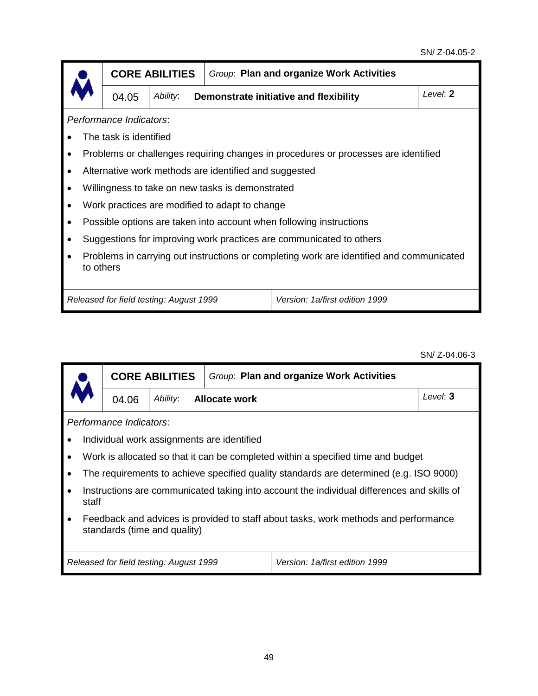|                                                                                                       |                         | <b>CORE ABILITIES</b> |                                                       | Group: Plan and organize Work Activities                                           |          |  |  |  |
|-------------------------------------------------------------------------------------------------------|-------------------------|-----------------------|-------------------------------------------------------|------------------------------------------------------------------------------------|----------|--|--|--|
|                                                                                                       | 04.05                   | Ability:              |                                                       | Demonstrate initiative and flexibility                                             | Level: 2 |  |  |  |
|                                                                                                       | Performance Indicators: |                       |                                                       |                                                                                    |          |  |  |  |
|                                                                                                       | The task is identified  |                       |                                                       |                                                                                    |          |  |  |  |
|                                                                                                       |                         |                       |                                                       | Problems or challenges requiring changes in procedures or processes are identified |          |  |  |  |
|                                                                                                       |                         |                       | Alternative work methods are identified and suggested |                                                                                    |          |  |  |  |
|                                                                                                       |                         |                       | Willingness to take on new tasks is demonstrated      |                                                                                    |          |  |  |  |
|                                                                                                       |                         |                       | Work practices are modified to adapt to change        |                                                                                    |          |  |  |  |
|                                                                                                       |                         |                       |                                                       | Possible options are taken into account when following instructions                |          |  |  |  |
|                                                                                                       |                         |                       |                                                       | Suggestions for improving work practices are communicated to others                |          |  |  |  |
| Problems in carrying out instructions or completing work are identified and communicated<br>to others |                         |                       |                                                       |                                                                                    |          |  |  |  |
| Version: 1a/first edition 1999<br>Released for field testing: August 1999                             |                         |                       |                                                       |                                                                                    |          |  |  |  |

SN/ Z-04.06-3

|                         |                                                                                                                     | <b>CORE ABILITIES</b>                   | Group: Plan and organize Work Activities   |                                                                                            |          |  |  |  |
|-------------------------|---------------------------------------------------------------------------------------------------------------------|-----------------------------------------|--------------------------------------------|--------------------------------------------------------------------------------------------|----------|--|--|--|
|                         | 04.06                                                                                                               | Ability:                                | Allocate work                              |                                                                                            | Level: 3 |  |  |  |
| Performance Indicators: |                                                                                                                     |                                         |                                            |                                                                                            |          |  |  |  |
|                         |                                                                                                                     |                                         | Individual work assignments are identified |                                                                                            |          |  |  |  |
| $\bullet$               |                                                                                                                     |                                         |                                            | Work is allocated so that it can be completed within a specified time and budget           |          |  |  |  |
|                         |                                                                                                                     |                                         |                                            | The requirements to achieve specified quality standards are determined (e.g. ISO 9000)     |          |  |  |  |
| staff                   |                                                                                                                     |                                         |                                            | Instructions are communicated taking into account the individual differences and skills of |          |  |  |  |
| $\bullet$               | Feedback and advices is provided to staff about tasks, work methods and performance<br>standards (time and quality) |                                         |                                            |                                                                                            |          |  |  |  |
|                         |                                                                                                                     | Released for field testing: August 1999 |                                            | Version: 1a/first edition 1999                                                             |          |  |  |  |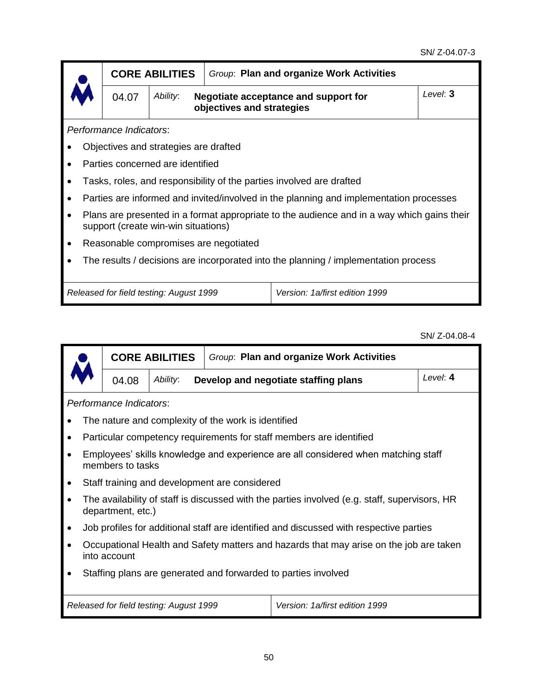|                                                                                     |                                                                                                                                   | Group: Plan and organize Work Activities<br><b>CORE ABILITIES</b> |                                                                   |                                                                                        |  |  |  |  |  |
|-------------------------------------------------------------------------------------|-----------------------------------------------------------------------------------------------------------------------------------|-------------------------------------------------------------------|-------------------------------------------------------------------|----------------------------------------------------------------------------------------|--|--|--|--|--|
|                                                                                     | 04.07                                                                                                                             | Ability:                                                          | Negotiate acceptance and support for<br>objectives and strategies | Level: 3                                                                               |  |  |  |  |  |
|                                                                                     | Performance Indicators:                                                                                                           |                                                                   |                                                                   |                                                                                        |  |  |  |  |  |
|                                                                                     |                                                                                                                                   | Objectives and strategies are drafted                             |                                                                   |                                                                                        |  |  |  |  |  |
|                                                                                     |                                                                                                                                   | Parties concerned are identified                                  |                                                                   |                                                                                        |  |  |  |  |  |
|                                                                                     |                                                                                                                                   |                                                                   |                                                                   | Tasks, roles, and responsibility of the parties involved are drafted                   |  |  |  |  |  |
|                                                                                     |                                                                                                                                   |                                                                   |                                                                   | Parties are informed and invited/involved in the planning and implementation processes |  |  |  |  |  |
|                                                                                     | Plans are presented in a format appropriate to the audience and in a way which gains their<br>support (create win-win situations) |                                                                   |                                                                   |                                                                                        |  |  |  |  |  |
|                                                                                     | Reasonable compromises are negotiated                                                                                             |                                                                   |                                                                   |                                                                                        |  |  |  |  |  |
| The results / decisions are incorporated into the planning / implementation process |                                                                                                                                   |                                                                   |                                                                   |                                                                                        |  |  |  |  |  |
|                                                                                     | Version: 1a/first edition 1999<br>Released for field testing: August 1999                                                         |                                                                   |                                                                   |                                                                                        |  |  |  |  |  |

SN/ Z-04.08-4

|                                                                |                                                                                                        | <b>CORE ABILITIES</b>                   | Group: Plan and organize Work Activities      |                                                                                               |          |  |  |  |  |  |
|----------------------------------------------------------------|--------------------------------------------------------------------------------------------------------|-----------------------------------------|-----------------------------------------------|-----------------------------------------------------------------------------------------------|----------|--|--|--|--|--|
|                                                                | 04.08                                                                                                  | Ability:                                |                                               | Develop and negotiate staffing plans                                                          | Level: 4 |  |  |  |  |  |
|                                                                | Performance Indicators:                                                                                |                                         |                                               |                                                                                               |          |  |  |  |  |  |
|                                                                | The nature and complexity of the work is identified                                                    |                                         |                                               |                                                                                               |          |  |  |  |  |  |
| $\bullet$                                                      |                                                                                                        |                                         |                                               | Particular competency requirements for staff members are identified                           |          |  |  |  |  |  |
| ٠                                                              | Employees' skills knowledge and experience are all considered when matching staff<br>members to tasks  |                                         |                                               |                                                                                               |          |  |  |  |  |  |
| ٠                                                              |                                                                                                        |                                         | Staff training and development are considered |                                                                                               |          |  |  |  |  |  |
| $\bullet$                                                      | department, etc.)                                                                                      |                                         |                                               | The availability of staff is discussed with the parties involved (e.g. staff, supervisors, HR |          |  |  |  |  |  |
|                                                                |                                                                                                        |                                         |                                               | Job profiles for additional staff are identified and discussed with respective parties        |          |  |  |  |  |  |
|                                                                | Occupational Health and Safety matters and hazards that may arise on the job are taken<br>into account |                                         |                                               |                                                                                               |          |  |  |  |  |  |
| Staffing plans are generated and forwarded to parties involved |                                                                                                        |                                         |                                               |                                                                                               |          |  |  |  |  |  |
|                                                                |                                                                                                        | Released for field testing: August 1999 |                                               | Version: 1a/first edition 1999                                                                |          |  |  |  |  |  |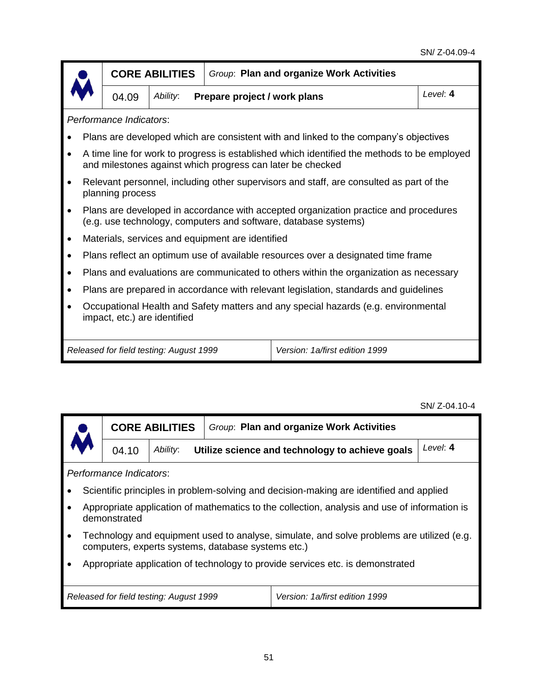|                         |                                                                                                                    | <b>CORE ABILITIES</b>                   | Group: Plan and organize Work Activities         |                                                                                                                                                           |  |  |  |  |
|-------------------------|--------------------------------------------------------------------------------------------------------------------|-----------------------------------------|--------------------------------------------------|-----------------------------------------------------------------------------------------------------------------------------------------------------------|--|--|--|--|
|                         | Level: 4<br>Ability:<br>Prepare project / work plans<br>04.09                                                      |                                         |                                                  |                                                                                                                                                           |  |  |  |  |
| Performance Indicators: |                                                                                                                    |                                         |                                                  |                                                                                                                                                           |  |  |  |  |
|                         |                                                                                                                    |                                         |                                                  | Plans are developed which are consistent with and linked to the company's objectives                                                                      |  |  |  |  |
|                         |                                                                                                                    |                                         |                                                  | A time line for work to progress is established which identified the methods to be employed<br>and milestones against which progress can later be checked |  |  |  |  |
|                         | planning process                                                                                                   |                                         |                                                  | Relevant personnel, including other supervisors and staff, are consulted as part of the                                                                   |  |  |  |  |
|                         |                                                                                                                    |                                         |                                                  | Plans are developed in accordance with accepted organization practice and procedures<br>(e.g. use technology, computers and software, database systems)   |  |  |  |  |
|                         |                                                                                                                    |                                         | Materials, services and equipment are identified |                                                                                                                                                           |  |  |  |  |
|                         |                                                                                                                    |                                         |                                                  | Plans reflect an optimum use of available resources over a designated time frame                                                                          |  |  |  |  |
|                         |                                                                                                                    |                                         |                                                  | Plans and evaluations are communicated to others within the organization as necessary                                                                     |  |  |  |  |
|                         |                                                                                                                    |                                         |                                                  | Plans are prepared in accordance with relevant legislation, standards and guidelines                                                                      |  |  |  |  |
|                         | Occupational Health and Safety matters and any special hazards (e.g. environmental<br>impact, etc.) are identified |                                         |                                                  |                                                                                                                                                           |  |  |  |  |
|                         |                                                                                                                    | Released for field testing: August 1999 |                                                  | Version: 1a/first edition 1999                                                                                                                            |  |  |  |  |

SN/ Z-04.10-4

|                                                                                | <b>CORE ABILITIES</b>                                                                                                                           |  |                                                 |                                                                                              |          |  |  |  |  |
|--------------------------------------------------------------------------------|-------------------------------------------------------------------------------------------------------------------------------------------------|--|-------------------------------------------------|----------------------------------------------------------------------------------------------|----------|--|--|--|--|
| Ability:<br>04.10                                                              |                                                                                                                                                 |  | Utilize science and technology to achieve goals |                                                                                              | Level: 4 |  |  |  |  |
|                                                                                | Performance Indicators:                                                                                                                         |  |                                                 |                                                                                              |          |  |  |  |  |
|                                                                                |                                                                                                                                                 |  |                                                 | Scientific principles in problem-solving and decision-making are identified and applied      |          |  |  |  |  |
|                                                                                | demonstrated                                                                                                                                    |  |                                                 | Appropriate application of mathematics to the collection, analysis and use of information is |          |  |  |  |  |
| $\bullet$                                                                      | Technology and equipment used to analyse, simulate, and solve problems are utilized (e.g.<br>computers, experts systems, database systems etc.) |  |                                                 |                                                                                              |          |  |  |  |  |
| Appropriate application of technology to provide services etc. is demonstrated |                                                                                                                                                 |  |                                                 |                                                                                              |          |  |  |  |  |
|                                                                                | Version: 1a/first edition 1999<br>Released for field testing: August 1999                                                                       |  |                                                 |                                                                                              |          |  |  |  |  |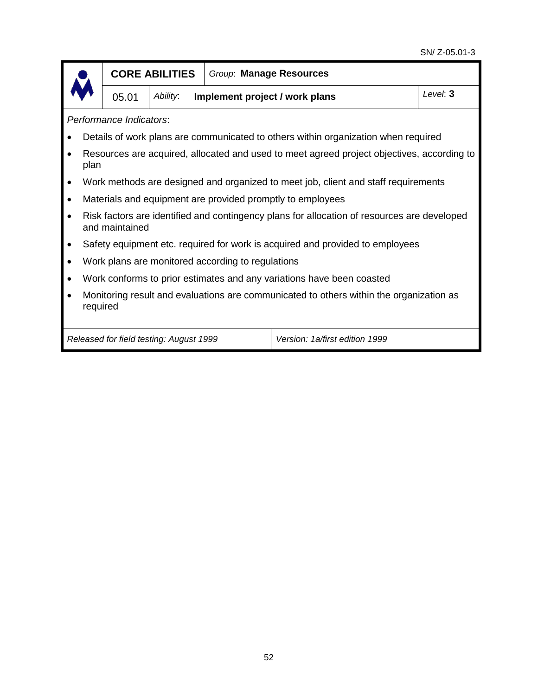|                         |                                                                                                     | <b>CORE ABILITIES</b>                   |                                                   | Group: Manage Resources                                                                     |  |  |  |  |  |
|-------------------------|-----------------------------------------------------------------------------------------------------|-----------------------------------------|---------------------------------------------------|---------------------------------------------------------------------------------------------|--|--|--|--|--|
|                         | Level: 3<br>Implement project / work plans<br>05.01<br>Ability:                                     |                                         |                                                   |                                                                                             |  |  |  |  |  |
| Performance Indicators: |                                                                                                     |                                         |                                                   |                                                                                             |  |  |  |  |  |
|                         |                                                                                                     |                                         |                                                   | Details of work plans are communicated to others within organization when required          |  |  |  |  |  |
| plan                    |                                                                                                     |                                         |                                                   | Resources are acquired, allocated and used to meet agreed project objectives, according to  |  |  |  |  |  |
|                         |                                                                                                     |                                         |                                                   | Work methods are designed and organized to meet job, client and staff requirements          |  |  |  |  |  |
|                         |                                                                                                     |                                         |                                                   | Materials and equipment are provided promptly to employees                                  |  |  |  |  |  |
|                         | and maintained                                                                                      |                                         |                                                   | Risk factors are identified and contingency plans for allocation of resources are developed |  |  |  |  |  |
|                         |                                                                                                     |                                         |                                                   | Safety equipment etc. required for work is acquired and provided to employees               |  |  |  |  |  |
|                         |                                                                                                     |                                         | Work plans are monitored according to regulations |                                                                                             |  |  |  |  |  |
|                         |                                                                                                     |                                         |                                                   | Work conforms to prior estimates and any variations have been coasted                       |  |  |  |  |  |
|                         | Monitoring result and evaluations are communicated to others within the organization as<br>required |                                         |                                                   |                                                                                             |  |  |  |  |  |
|                         |                                                                                                     | Released for field testing: August 1999 |                                                   | Version: 1a/first edition 1999                                                              |  |  |  |  |  |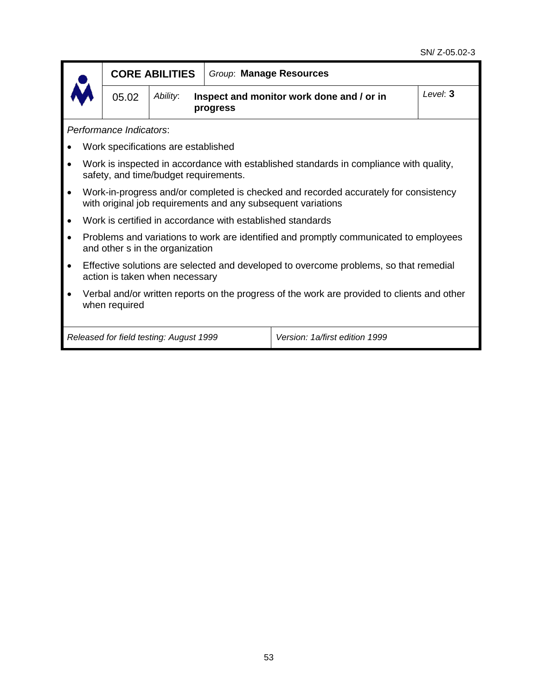|                                                                                                              |                                                                                                                         | <b>CORE ABILITIES</b>                                             | Group: Manage Resources                                    |                                                                                                                                                      |  |  |  |  |  |  |
|--------------------------------------------------------------------------------------------------------------|-------------------------------------------------------------------------------------------------------------------------|-------------------------------------------------------------------|------------------------------------------------------------|------------------------------------------------------------------------------------------------------------------------------------------------------|--|--|--|--|--|--|
|                                                                                                              | 05.02                                                                                                                   | Ability:<br>Inspect and monitor work done and / or in<br>progress | Level: 3                                                   |                                                                                                                                                      |  |  |  |  |  |  |
|                                                                                                              | Performance Indicators:                                                                                                 |                                                                   |                                                            |                                                                                                                                                      |  |  |  |  |  |  |
|                                                                                                              |                                                                                                                         | Work specifications are established                               |                                                            |                                                                                                                                                      |  |  |  |  |  |  |
|                                                                                                              |                                                                                                                         | safety, and time/budget requirements.                             |                                                            | Work is inspected in accordance with established standards in compliance with quality,                                                               |  |  |  |  |  |  |
|                                                                                                              |                                                                                                                         |                                                                   |                                                            | Work-in-progress and/or completed is checked and recorded accurately for consistency<br>with original job requirements and any subsequent variations |  |  |  |  |  |  |
|                                                                                                              |                                                                                                                         |                                                                   | Work is certified in accordance with established standards |                                                                                                                                                      |  |  |  |  |  |  |
|                                                                                                              |                                                                                                                         | and other s in the organization                                   |                                                            | Problems and variations to work are identified and promptly communicated to employees                                                                |  |  |  |  |  |  |
|                                                                                                              | Effective solutions are selected and developed to overcome problems, so that remedial<br>action is taken when necessary |                                                                   |                                                            |                                                                                                                                                      |  |  |  |  |  |  |
| Verbal and/or written reports on the progress of the work are provided to clients and other<br>when required |                                                                                                                         |                                                                   |                                                            |                                                                                                                                                      |  |  |  |  |  |  |
|                                                                                                              |                                                                                                                         | Released for field testing: August 1999                           |                                                            | Version: 1a/first edition 1999                                                                                                                       |  |  |  |  |  |  |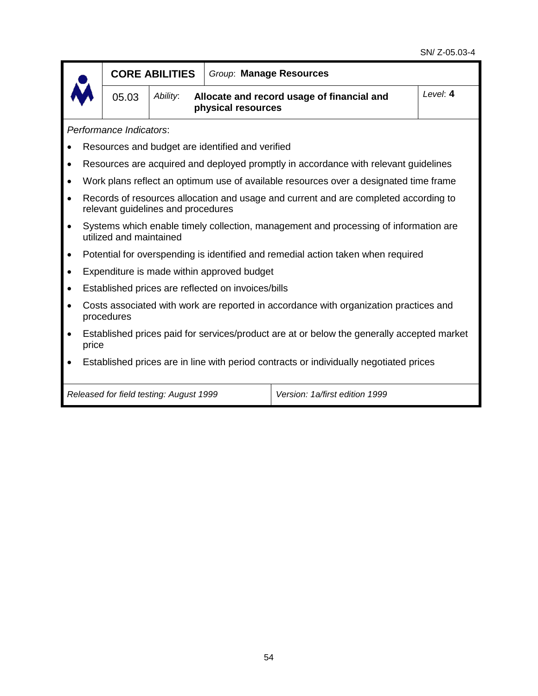|                                                                                        |                                                                                                                            | <b>CORE ABILITIES</b>                   | Group: Manage Resources                            |                                                                                       |          |  |  |  |
|----------------------------------------------------------------------------------------|----------------------------------------------------------------------------------------------------------------------------|-----------------------------------------|----------------------------------------------------|---------------------------------------------------------------------------------------|----------|--|--|--|
|                                                                                        | 05.03                                                                                                                      | Ability:                                | physical resources                                 | Allocate and record usage of financial and                                            | Level: 4 |  |  |  |
| Performance Indicators:                                                                |                                                                                                                            |                                         |                                                    |                                                                                       |          |  |  |  |
|                                                                                        |                                                                                                                            |                                         | Resources and budget are identified and verified   |                                                                                       |          |  |  |  |
|                                                                                        |                                                                                                                            |                                         |                                                    | Resources are acquired and deployed promptly in accordance with relevant guidelines   |          |  |  |  |
|                                                                                        |                                                                                                                            |                                         |                                                    | Work plans reflect an optimum use of available resources over a designated time frame |          |  |  |  |
|                                                                                        | Records of resources allocation and usage and current and are completed according to<br>relevant guidelines and procedures |                                         |                                                    |                                                                                       |          |  |  |  |
|                                                                                        | Systems which enable timely collection, management and processing of information are<br>utilized and maintained            |                                         |                                                    |                                                                                       |          |  |  |  |
|                                                                                        |                                                                                                                            |                                         |                                                    | Potential for overspending is identified and remedial action taken when required      |          |  |  |  |
|                                                                                        |                                                                                                                            |                                         | Expenditure is made within approved budget         |                                                                                       |          |  |  |  |
|                                                                                        |                                                                                                                            |                                         | Established prices are reflected on invoices/bills |                                                                                       |          |  |  |  |
|                                                                                        | procedures                                                                                                                 |                                         |                                                    | Costs associated with work are reported in accordance with organization practices and |          |  |  |  |
|                                                                                        | Established prices paid for services/product are at or below the generally accepted market<br>price                        |                                         |                                                    |                                                                                       |          |  |  |  |
| Established prices are in line with period contracts or individually negotiated prices |                                                                                                                            |                                         |                                                    |                                                                                       |          |  |  |  |
|                                                                                        |                                                                                                                            | Released for field testing: August 1999 |                                                    | Version: 1a/first edition 1999                                                        |          |  |  |  |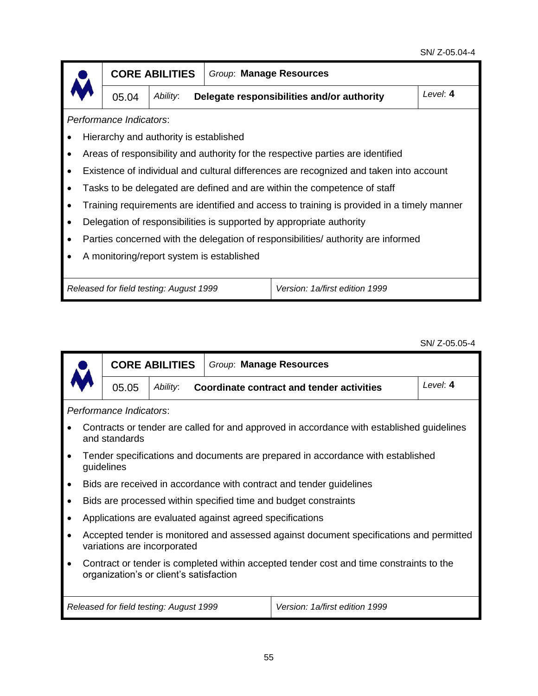|                                           |                         | <b>CORE ABILITIES</b>                   |  | Group: Manage Resources                                                                    |          |  |  |  |  |
|-------------------------------------------|-------------------------|-----------------------------------------|--|--------------------------------------------------------------------------------------------|----------|--|--|--|--|
|                                           | 05.04                   | Ability:                                |  | Delegate responsibilities and/or authority                                                 | Level: 4 |  |  |  |  |
|                                           | Performance Indicators: |                                         |  |                                                                                            |          |  |  |  |  |
|                                           |                         | Hierarchy and authority is established  |  |                                                                                            |          |  |  |  |  |
|                                           |                         |                                         |  | Areas of responsibility and authority for the respective parties are identified            |          |  |  |  |  |
|                                           |                         |                                         |  | Existence of individual and cultural differences are recognized and taken into account     |          |  |  |  |  |
|                                           |                         |                                         |  | Tasks to be delegated are defined and are within the competence of staff                   |          |  |  |  |  |
|                                           |                         |                                         |  | Training requirements are identified and access to training is provided in a timely manner |          |  |  |  |  |
|                                           |                         |                                         |  | Delegation of responsibilities is supported by appropriate authority                       |          |  |  |  |  |
|                                           |                         |                                         |  | Parties concerned with the delegation of responsibilities/ authority are informed          |          |  |  |  |  |
| A monitoring/report system is established |                         |                                         |  |                                                                                            |          |  |  |  |  |
|                                           |                         |                                         |  |                                                                                            |          |  |  |  |  |
|                                           |                         | Released for field testing: August 1999 |  | Version: 1a/first edition 1999                                                             |          |  |  |  |  |

SN/ Z-05.05-4

|                                                                                                                                                 |                                                                                                                        | <b>CORE ABILITIES</b> |                                                          | Group: Manage Resources                                                         |            |  |  |  |  |
|-------------------------------------------------------------------------------------------------------------------------------------------------|------------------------------------------------------------------------------------------------------------------------|-----------------------|----------------------------------------------------------|---------------------------------------------------------------------------------|------------|--|--|--|--|
|                                                                                                                                                 | 05.05                                                                                                                  | Ability:              |                                                          | <b>Coordinate contract and tender activities</b>                                | Level: $4$ |  |  |  |  |
| Performance Indicators:                                                                                                                         |                                                                                                                        |                       |                                                          |                                                                                 |            |  |  |  |  |
|                                                                                                                                                 | Contracts or tender are called for and approved in accordance with established guidelines<br>and standards             |                       |                                                          |                                                                                 |            |  |  |  |  |
| $\bullet$                                                                                                                                       | guidelines                                                                                                             |                       |                                                          | Tender specifications and documents are prepared in accordance with established |            |  |  |  |  |
| $\bullet$                                                                                                                                       |                                                                                                                        |                       |                                                          | Bids are received in accordance with contract and tender guidelines             |            |  |  |  |  |
|                                                                                                                                                 |                                                                                                                        |                       |                                                          | Bids are processed within specified time and budget constraints                 |            |  |  |  |  |
|                                                                                                                                                 |                                                                                                                        |                       | Applications are evaluated against agreed specifications |                                                                                 |            |  |  |  |  |
| $\bullet$                                                                                                                                       | Accepted tender is monitored and assessed against document specifications and permitted<br>variations are incorporated |                       |                                                          |                                                                                 |            |  |  |  |  |
| Contract or tender is completed within accepted tender cost and time constraints to the<br>$\bullet$<br>organization's or client's satisfaction |                                                                                                                        |                       |                                                          |                                                                                 |            |  |  |  |  |
|                                                                                                                                                 | Version: 1a/first edition 1999<br>Released for field testing: August 1999                                              |                       |                                                          |                                                                                 |            |  |  |  |  |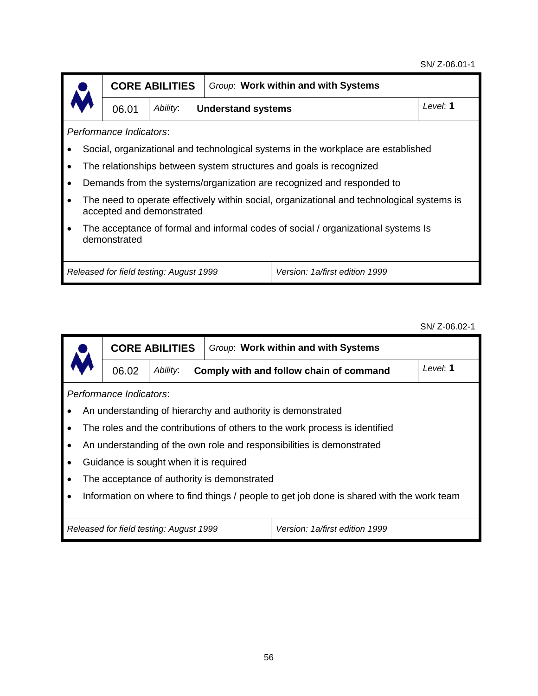#### SN/ Z-06.01-1



**CORE ABILITIES** *Group*: **Work within and with Systems**

06.01 *Ability*: **Understand systems** *Level*: **1**

*Performance Indicators*:

- Social, organizational and technological systems in the workplace are established
- The relationships between system structures and goals is recognized
- Demands from the systems/organization are recognized and responded to
- The need to operate effectively within social, organizational and technological systems is accepted and demonstrated
- The acceptance of formal and informal codes of social / organizational systems Is demonstrated

*Released for field testing: August 1999 Version: 1a/first edition 1999*

SN/ Z-06.02-1

|                   |                                                                                           | <b>CORE ABILITIES</b>                  | Group: Work within and with Systems         |                                                                             |          |  |  |  |  |
|-------------------|-------------------------------------------------------------------------------------------|----------------------------------------|---------------------------------------------|-----------------------------------------------------------------------------|----------|--|--|--|--|
| Ability:<br>06.02 |                                                                                           |                                        | Comply with and follow chain of command     |                                                                             | Level: 1 |  |  |  |  |
|                   | Performance Indicators:                                                                   |                                        |                                             |                                                                             |          |  |  |  |  |
|                   |                                                                                           |                                        |                                             | An understanding of hierarchy and authority is demonstrated                 |          |  |  |  |  |
|                   |                                                                                           |                                        |                                             | The roles and the contributions of others to the work process is identified |          |  |  |  |  |
|                   |                                                                                           |                                        |                                             | An understanding of the own role and responsibilities is demonstrated       |          |  |  |  |  |
| ٠                 |                                                                                           | Guidance is sought when it is required |                                             |                                                                             |          |  |  |  |  |
|                   |                                                                                           |                                        | The acceptance of authority is demonstrated |                                                                             |          |  |  |  |  |
|                   | Information on where to find things / people to get job done is shared with the work team |                                        |                                             |                                                                             |          |  |  |  |  |
|                   |                                                                                           |                                        |                                             |                                                                             |          |  |  |  |  |
|                   | Version: 1a/first edition 1999<br>Released for field testing: August 1999                 |                                        |                                             |                                                                             |          |  |  |  |  |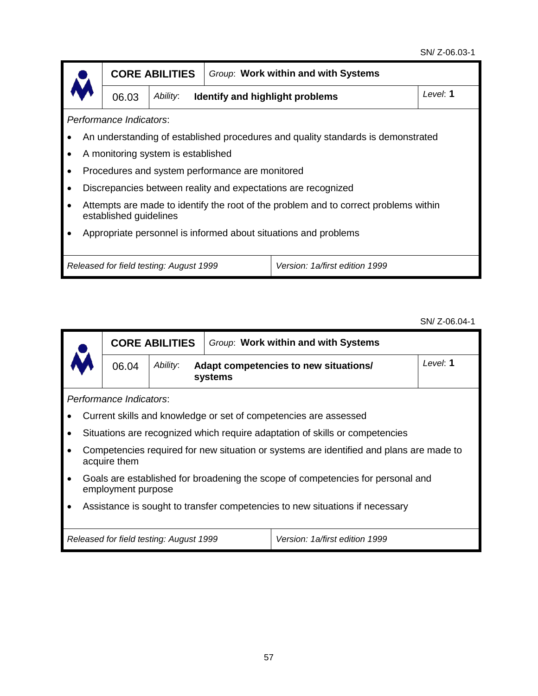|                                                                 |                                                                                                                | <b>CORE ABILITIES</b>                   | Group: Work within and with Systems             |                                                                                  |  |  |  |  |  |
|-----------------------------------------------------------------|----------------------------------------------------------------------------------------------------------------|-----------------------------------------|-------------------------------------------------|----------------------------------------------------------------------------------|--|--|--|--|--|
|                                                                 | 06.03                                                                                                          | Ability:                                | Identify and highlight problems                 | Level: 1                                                                         |  |  |  |  |  |
|                                                                 | Performance Indicators:                                                                                        |                                         |                                                 |                                                                                  |  |  |  |  |  |
|                                                                 |                                                                                                                |                                         |                                                 | An understanding of established procedures and quality standards is demonstrated |  |  |  |  |  |
|                                                                 |                                                                                                                | A monitoring system is established      |                                                 |                                                                                  |  |  |  |  |  |
|                                                                 |                                                                                                                |                                         | Procedures and system performance are monitored |                                                                                  |  |  |  |  |  |
|                                                                 |                                                                                                                |                                         |                                                 | Discrepancies between reality and expectations are recognized                    |  |  |  |  |  |
|                                                                 | Attempts are made to identify the root of the problem and to correct problems within<br>established guidelines |                                         |                                                 |                                                                                  |  |  |  |  |  |
| Appropriate personnel is informed about situations and problems |                                                                                                                |                                         |                                                 |                                                                                  |  |  |  |  |  |
|                                                                 |                                                                                                                |                                         |                                                 |                                                                                  |  |  |  |  |  |
|                                                                 |                                                                                                                | Released for field testing: August 1999 |                                                 | Version: 1a/first edition 1999                                                   |  |  |  |  |  |

SN/ Z-06.04-1

|                                                                                                            | <b>CORE ABILITIES</b>                                                        |                                                              | Group: Work within and with Systems |  |          |  |  |
|------------------------------------------------------------------------------------------------------------|------------------------------------------------------------------------------|--------------------------------------------------------------|-------------------------------------|--|----------|--|--|
|                                                                                                            | 06.04                                                                        | Ability:<br>Adapt competencies to new situations/<br>systems |                                     |  | Level: 1 |  |  |
| Performance Indicators:                                                                                    |                                                                              |                                                              |                                     |  |          |  |  |
|                                                                                                            | Current skills and knowledge or set of competencies are assessed             |                                                              |                                     |  |          |  |  |
|                                                                                                            | Situations are recognized which require adaptation of skills or competencies |                                                              |                                     |  |          |  |  |
| Competencies required for new situation or systems are identified and plans are made to<br>acquire them    |                                                                              |                                                              |                                     |  |          |  |  |
| Goals are established for broadening the scope of competencies for personal and<br>٠<br>employment purpose |                                                                              |                                                              |                                     |  |          |  |  |
|                                                                                                            | Assistance is sought to transfer competencies to new situations if necessary |                                                              |                                     |  |          |  |  |
|                                                                                                            | Version: 1a/first edition 1999<br>Released for field testing: August 1999    |                                                              |                                     |  |          |  |  |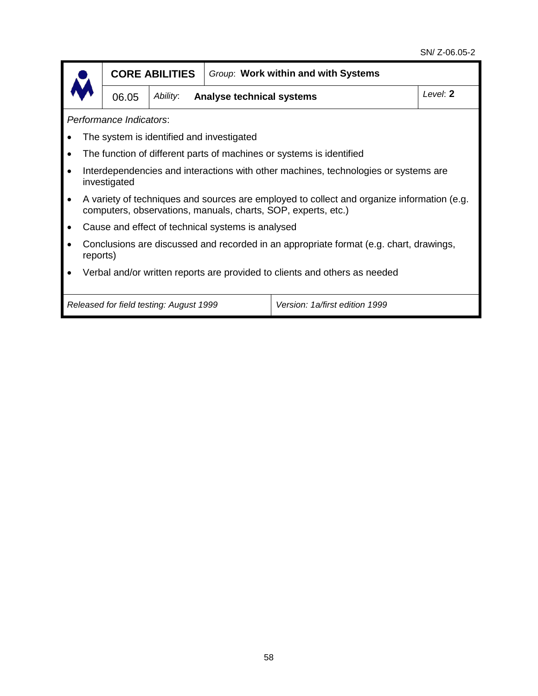|                                                                                                     |                                                                                                                                                             | <b>CORE ABILITIES</b> |                                  | Group: Work within and with Systems |          |  |  |  |
|-----------------------------------------------------------------------------------------------------|-------------------------------------------------------------------------------------------------------------------------------------------------------------|-----------------------|----------------------------------|-------------------------------------|----------|--|--|--|
|                                                                                                     | 06.05                                                                                                                                                       | Ability:              | <b>Analyse technical systems</b> |                                     | Level: 2 |  |  |  |
| Performance Indicators:                                                                             |                                                                                                                                                             |                       |                                  |                                     |          |  |  |  |
|                                                                                                     | The system is identified and investigated                                                                                                                   |                       |                                  |                                     |          |  |  |  |
|                                                                                                     | The function of different parts of machines or systems is identified                                                                                        |                       |                                  |                                     |          |  |  |  |
| Interdependencies and interactions with other machines, technologies or systems are<br>investigated |                                                                                                                                                             |                       |                                  |                                     |          |  |  |  |
| $\bullet$                                                                                           | A variety of techniques and sources are employed to collect and organize information (e.g.<br>computers, observations, manuals, charts, SOP, experts, etc.) |                       |                                  |                                     |          |  |  |  |
|                                                                                                     | Cause and effect of technical systems is analysed                                                                                                           |                       |                                  |                                     |          |  |  |  |
|                                                                                                     | Conclusions are discussed and recorded in an appropriate format (e.g. chart, drawings,<br>reports)                                                          |                       |                                  |                                     |          |  |  |  |
|                                                                                                     | Verbal and/or written reports are provided to clients and others as needed                                                                                  |                       |                                  |                                     |          |  |  |  |
|                                                                                                     | Released for field testing: August 1999<br>Version: 1a/first edition 1999                                                                                   |                       |                                  |                                     |          |  |  |  |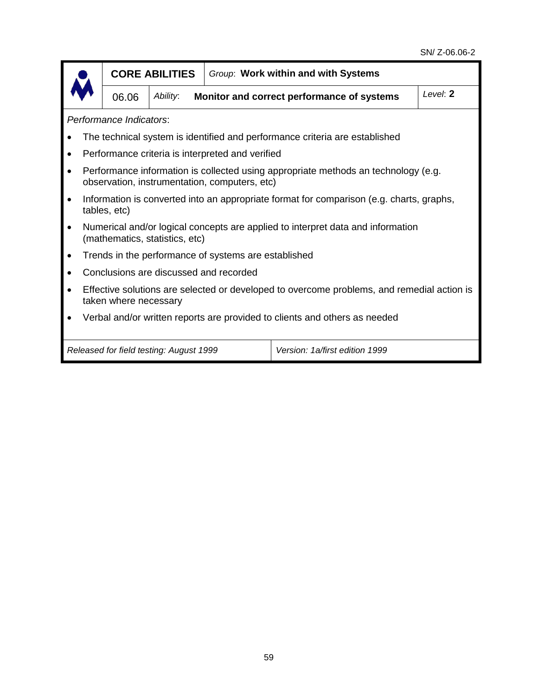|                                                                                                                                     | <b>CORE ABILITIES</b>                                                                                    |          | Group: Work within and with Systems |                                            |          |  |  |  |
|-------------------------------------------------------------------------------------------------------------------------------------|----------------------------------------------------------------------------------------------------------|----------|-------------------------------------|--------------------------------------------|----------|--|--|--|
|                                                                                                                                     | 06.06                                                                                                    | Ability: |                                     | Monitor and correct performance of systems | Level: 2 |  |  |  |
|                                                                                                                                     | Performance Indicators:                                                                                  |          |                                     |                                            |          |  |  |  |
|                                                                                                                                     | The technical system is identified and performance criteria are established                              |          |                                     |                                            |          |  |  |  |
|                                                                                                                                     | Performance criteria is interpreted and verified                                                         |          |                                     |                                            |          |  |  |  |
| Performance information is collected using appropriate methods an technology (e.g.<br>observation, instrumentation, computers, etc) |                                                                                                          |          |                                     |                                            |          |  |  |  |
|                                                                                                                                     | Information is converted into an appropriate format for comparison (e.g. charts, graphs,<br>tables, etc) |          |                                     |                                            |          |  |  |  |
| Numerical and/or logical concepts are applied to interpret data and information<br>(mathematics, statistics, etc)                   |                                                                                                          |          |                                     |                                            |          |  |  |  |
| Trends in the performance of systems are established                                                                                |                                                                                                          |          |                                     |                                            |          |  |  |  |
| Conclusions are discussed and recorded                                                                                              |                                                                                                          |          |                                     |                                            |          |  |  |  |
| Effective solutions are selected or developed to overcome problems, and remedial action is<br>taken where necessary                 |                                                                                                          |          |                                     |                                            |          |  |  |  |
| Verbal and/or written reports are provided to clients and others as needed                                                          |                                                                                                          |          |                                     |                                            |          |  |  |  |
|                                                                                                                                     | Released for field testing: August 1999<br>Version: 1a/first edition 1999                                |          |                                     |                                            |          |  |  |  |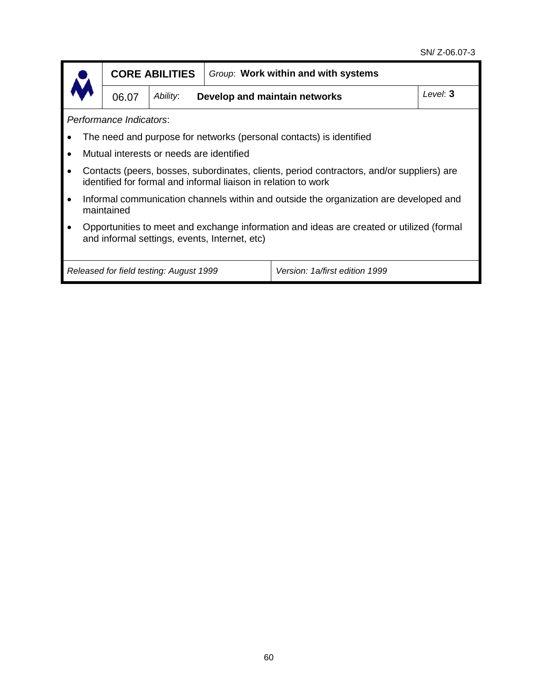|                                                                                                                                                             |                                                                           | <b>CORE ABILITIES</b>                     |          | Group: Work within and with systems |  |  |  |
|-------------------------------------------------------------------------------------------------------------------------------------------------------------|---------------------------------------------------------------------------|-------------------------------------------|----------|-------------------------------------|--|--|--|
|                                                                                                                                                             | 06.07                                                                     | Ability:<br>Develop and maintain networks | Level: 3 |                                     |  |  |  |
| Performance Indicators:                                                                                                                                     |                                                                           |                                           |          |                                     |  |  |  |
| The need and purpose for networks (personal contacts) is identified                                                                                         |                                                                           |                                           |          |                                     |  |  |  |
|                                                                                                                                                             | Mutual interests or needs are identified                                  |                                           |          |                                     |  |  |  |
| Contacts (peers, bosses, subordinates, clients, period contractors, and/or suppliers) are<br>identified for formal and informal liaison in relation to work |                                                                           |                                           |          |                                     |  |  |  |
| Informal communication channels within and outside the organization are developed and<br>maintained                                                         |                                                                           |                                           |          |                                     |  |  |  |
| Opportunities to meet and exchange information and ideas are created or utilized (formal<br>and informal settings, events, Internet, etc)                   |                                                                           |                                           |          |                                     |  |  |  |
|                                                                                                                                                             | Version: 1a/first edition 1999<br>Released for field testing: August 1999 |                                           |          |                                     |  |  |  |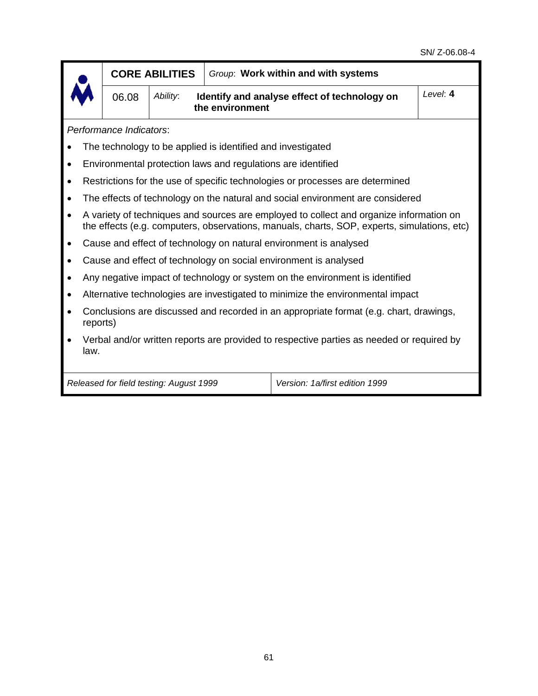|                                                                                                                                                                                        | <b>CORE ABILITIES</b>                                                                              |          | Group: Work within and with systems |                                                                                |          |  |  |  |
|----------------------------------------------------------------------------------------------------------------------------------------------------------------------------------------|----------------------------------------------------------------------------------------------------|----------|-------------------------------------|--------------------------------------------------------------------------------|----------|--|--|--|
|                                                                                                                                                                                        | 06.08                                                                                              | Ability: | the environment                     | Identify and analyse effect of technology on                                   | Level: 4 |  |  |  |
|                                                                                                                                                                                        | Performance Indicators:                                                                            |          |                                     |                                                                                |          |  |  |  |
|                                                                                                                                                                                        | The technology to be applied is identified and investigated                                        |          |                                     |                                                                                |          |  |  |  |
| Environmental protection laws and regulations are identified<br>$\bullet$                                                                                                              |                                                                                                    |          |                                     |                                                                                |          |  |  |  |
|                                                                                                                                                                                        | Restrictions for the use of specific technologies or processes are determined                      |          |                                     |                                                                                |          |  |  |  |
|                                                                                                                                                                                        |                                                                                                    |          |                                     | The effects of technology on the natural and social environment are considered |          |  |  |  |
| A variety of techniques and sources are employed to collect and organize information on<br>the effects (e.g. computers, observations, manuals, charts, SOP, experts, simulations, etc) |                                                                                                    |          |                                     |                                                                                |          |  |  |  |
|                                                                                                                                                                                        | Cause and effect of technology on natural environment is analysed                                  |          |                                     |                                                                                |          |  |  |  |
|                                                                                                                                                                                        | Cause and effect of technology on social environment is analysed                                   |          |                                     |                                                                                |          |  |  |  |
|                                                                                                                                                                                        | Any negative impact of technology or system on the environment is identified                       |          |                                     |                                                                                |          |  |  |  |
|                                                                                                                                                                                        | Alternative technologies are investigated to minimize the environmental impact                     |          |                                     |                                                                                |          |  |  |  |
|                                                                                                                                                                                        | Conclusions are discussed and recorded in an appropriate format (e.g. chart, drawings,<br>reports) |          |                                     |                                                                                |          |  |  |  |
| law.                                                                                                                                                                                   | Verbal and/or written reports are provided to respective parties as needed or required by          |          |                                     |                                                                                |          |  |  |  |
|                                                                                                                                                                                        | Version: 1a/first edition 1999<br>Released for field testing: August 1999                          |          |                                     |                                                                                |          |  |  |  |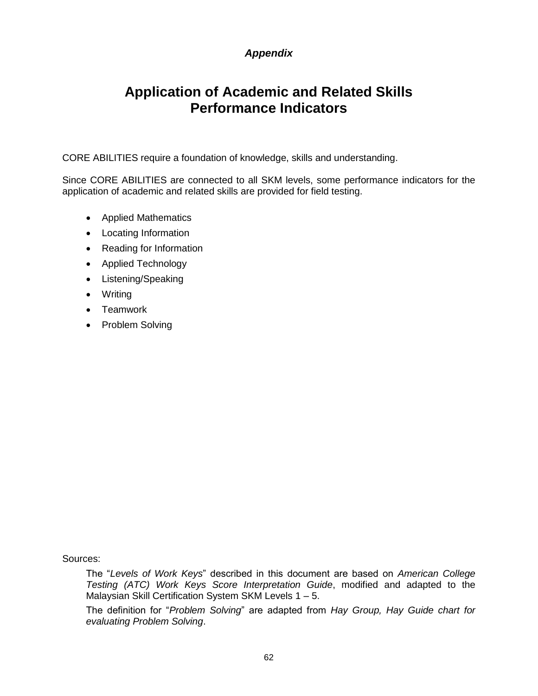# *Appendix*

# **Application of Academic and Related Skills Performance Indicators**

CORE ABILITIES require a foundation of knowledge, skills and understanding.

Since CORE ABILITIES are connected to all SKM levels, some performance indicators for the application of academic and related skills are provided for field testing.

- Applied Mathematics
- Locating Information
- Reading for Information
- Applied Technology
- Listening/Speaking
- Writing
- Teamwork
- Problem Solving

Sources:

The "*Levels of Work Keys*" described in this document are based on *American College Testing (ATC) Work Keys Score Interpretation Guide*, modified and adapted to the Malaysian Skill Certification System SKM Levels 1 – 5.

The definition for "*Problem Solving*" are adapted from *Hay Group, Hay Guide chart for evaluating Problem Solving*.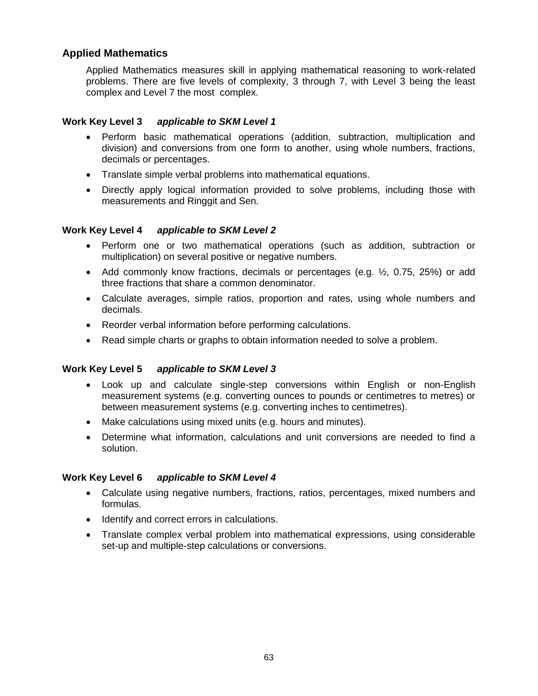## **Applied Mathematics**

Applied Mathematics measures skill in applying mathematical reasoning to work-related problems. There are five levels of complexity, 3 through 7, with Level 3 being the least complex and Level 7 the most complex.

#### **Work Key Level 3** *applicable to SKM Level 1*

- Perform basic mathematical operations (addition, subtraction, multiplication and division) and conversions from one form to another, using whole numbers, fractions, decimals or percentages.
- Translate simple verbal problems into mathematical equations.
- Directly apply logical information provided to solve problems, including those with measurements and Ringgit and Sen.

#### **Work Key Level 4** *applicable to SKM Level 2*

- Perform one or two mathematical operations (such as addition, subtraction or multiplication) on several positive or negative numbers.
- Add commonly know fractions, decimals or percentages (e.g.  $\frac{1}{2}$ , 0.75, 25%) or add three fractions that share a common denominator.
- Calculate averages, simple ratios, proportion and rates, using whole numbers and decimals.
- Reorder verbal information before performing calculations.
- Read simple charts or graphs to obtain information needed to solve a problem.

#### **Work Key Level 5** *applicable to SKM Level 3*

- Look up and calculate single-step conversions within English or non-English measurement systems (e.g. converting ounces to pounds or centimetres to metres) or between measurement systems (e.g. converting inches to centimetres).
- Make calculations using mixed units (e.g. hours and minutes).
- Determine what information, calculations and unit conversions are needed to find a solution.

#### **Work Key Level 6** *applicable to SKM Level 4*

- Calculate using negative numbers, fractions, ratios, percentages, mixed numbers and formulas.
- Identify and correct errors in calculations.
- Translate complex verbal problem into mathematical expressions, using considerable set-up and multiple-step calculations or conversions.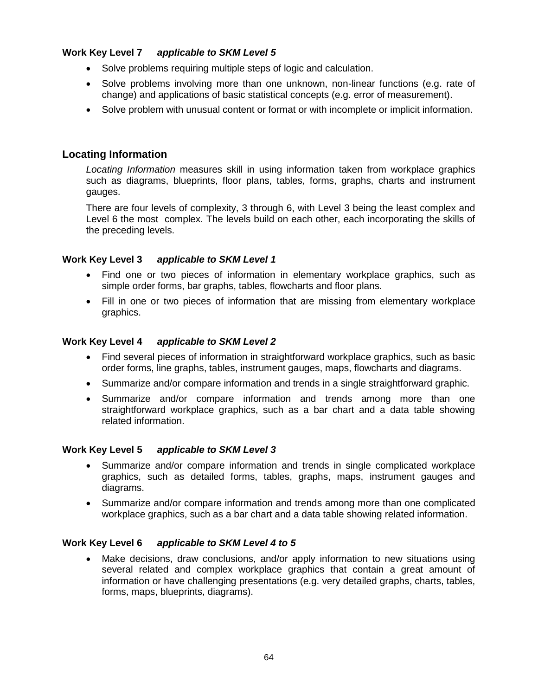## **Work Key Level 7** *applicable to SKM Level 5*

- Solve problems requiring multiple steps of logic and calculation.
- Solve problems involving more than one unknown, non-linear functions (e.g. rate of change) and applications of basic statistical concepts (e.g. error of measurement).
- Solve problem with unusual content or format or with incomplete or implicit information.

## **Locating Information**

*Locating Information* measures skill in using information taken from workplace graphics such as diagrams, blueprints, floor plans, tables, forms, graphs, charts and instrument gauges.

There are four levels of complexity, 3 through 6, with Level 3 being the least complex and Level 6 the most complex. The levels build on each other, each incorporating the skills of the preceding levels.

#### **Work Key Level 3** *applicable to SKM Level 1*

- Find one or two pieces of information in elementary workplace graphics, such as simple order forms, bar graphs, tables, flowcharts and floor plans.
- Fill in one or two pieces of information that are missing from elementary workplace graphics.

#### **Work Key Level 4** *applicable to SKM Level 2*

- Find several pieces of information in straightforward workplace graphics, such as basic order forms, line graphs, tables, instrument gauges, maps, flowcharts and diagrams.
- Summarize and/or compare information and trends in a single straightforward graphic.
- Summarize and/or compare information and trends among more than one straightforward workplace graphics, such as a bar chart and a data table showing related information.

#### **Work Key Level 5** *applicable to SKM Level 3*

- Summarize and/or compare information and trends in single complicated workplace graphics, such as detailed forms, tables, graphs, maps, instrument gauges and diagrams.
- Summarize and/or compare information and trends among more than one complicated workplace graphics, such as a bar chart and a data table showing related information.

#### **Work Key Level 6** *applicable to SKM Level 4 to 5*

 Make decisions, draw conclusions, and/or apply information to new situations using several related and complex workplace graphics that contain a great amount of information or have challenging presentations (e.g. very detailed graphs, charts, tables, forms, maps, blueprints, diagrams).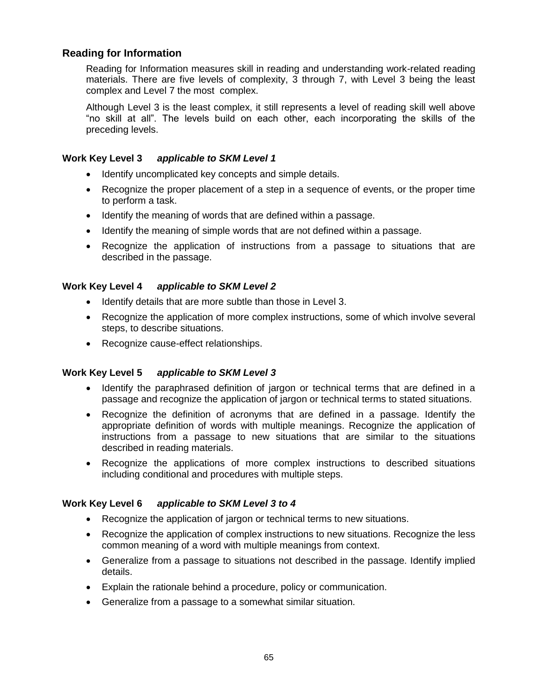# **Reading for Information**

Reading for Information measures skill in reading and understanding work-related reading materials. There are five levels of complexity, 3 through 7, with Level 3 being the least complex and Level 7 the most complex.

Although Level 3 is the least complex, it still represents a level of reading skill well above "no skill at all". The levels build on each other, each incorporating the skills of the preceding levels.

## **Work Key Level 3** *applicable to SKM Level 1*

- Identify uncomplicated key concepts and simple details.
- Recognize the proper placement of a step in a sequence of events, or the proper time to perform a task.
- Identify the meaning of words that are defined within a passage.
- Identify the meaning of simple words that are not defined within a passage.
- Recognize the application of instructions from a passage to situations that are described in the passage.

## **Work Key Level 4** *applicable to SKM Level 2*

- Identify details that are more subtle than those in Level 3.
- Recognize the application of more complex instructions, some of which involve several steps, to describe situations.
- Recognize cause-effect relationships.

## **Work Key Level 5** *applicable to SKM Level 3*

- Identify the paraphrased definition of jargon or technical terms that are defined in a passage and recognize the application of jargon or technical terms to stated situations.
- Recognize the definition of acronyms that are defined in a passage. Identify the appropriate definition of words with multiple meanings. Recognize the application of instructions from a passage to new situations that are similar to the situations described in reading materials.
- Recognize the applications of more complex instructions to described situations including conditional and procedures with multiple steps.

## **Work Key Level 6** *applicable to SKM Level 3 to 4*

- Recognize the application of jargon or technical terms to new situations.
- Recognize the application of complex instructions to new situations. Recognize the less common meaning of a word with multiple meanings from context.
- Generalize from a passage to situations not described in the passage. Identify implied details.
- Explain the rationale behind a procedure, policy or communication.
- Generalize from a passage to a somewhat similar situation.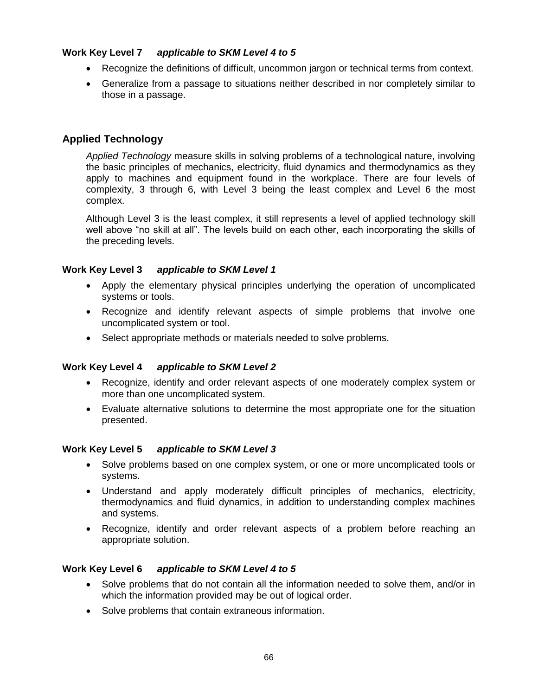## **Work Key Level 7** *applicable to SKM Level 4 to 5*

- Recognize the definitions of difficult, uncommon jargon or technical terms from context.
- Generalize from a passage to situations neither described in nor completely similar to those in a passage.

# **Applied Technology**

*Applied Technology* measure skills in solving problems of a technological nature, involving the basic principles of mechanics, electricity, fluid dynamics and thermodynamics as they apply to machines and equipment found in the workplace. There are four levels of complexity, 3 through 6, with Level 3 being the least complex and Level 6 the most complex.

Although Level 3 is the least complex, it still represents a level of applied technology skill well above "no skill at all". The levels build on each other, each incorporating the skills of the preceding levels.

## **Work Key Level 3** *applicable to SKM Level 1*

- Apply the elementary physical principles underlying the operation of uncomplicated systems or tools.
- Recognize and identify relevant aspects of simple problems that involve one uncomplicated system or tool.
- Select appropriate methods or materials needed to solve problems.

## **Work Key Level 4** *applicable to SKM Level 2*

- Recognize, identify and order relevant aspects of one moderately complex system or more than one uncomplicated system.
- Evaluate alternative solutions to determine the most appropriate one for the situation presented.

## **Work Key Level 5** *applicable to SKM Level 3*

- Solve problems based on one complex system, or one or more uncomplicated tools or systems.
- Understand and apply moderately difficult principles of mechanics, electricity, thermodynamics and fluid dynamics, in addition to understanding complex machines and systems.
- Recognize, identify and order relevant aspects of a problem before reaching an appropriate solution.

## **Work Key Level 6** *applicable to SKM Level 4 to 5*

- Solve problems that do not contain all the information needed to solve them, and/or in which the information provided may be out of logical order.
- Solve problems that contain extraneous information.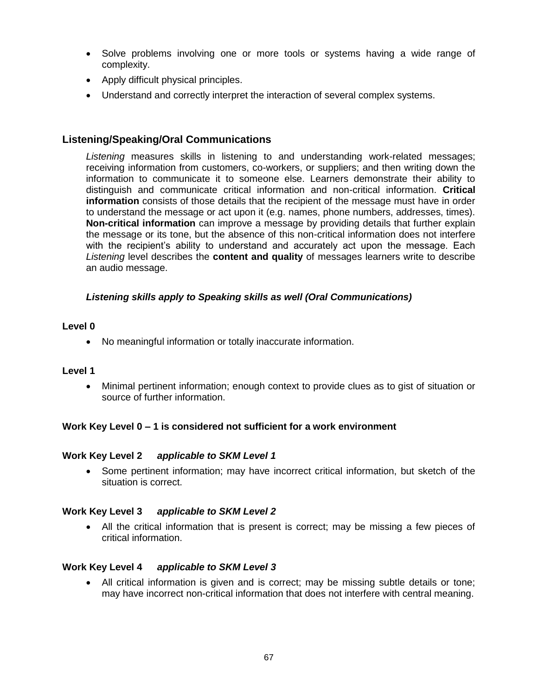- Solve problems involving one or more tools or systems having a wide range of complexity.
- Apply difficult physical principles.
- Understand and correctly interpret the interaction of several complex systems.

# **Listening/Speaking/Oral Communications**

*Listening* measures skills in listening to and understanding work-related messages; receiving information from customers, co-workers, or suppliers; and then writing down the information to communicate it to someone else. Learners demonstrate their ability to distinguish and communicate critical information and non-critical information. **Critical information** consists of those details that the recipient of the message must have in order to understand the message or act upon it (e.g. names, phone numbers, addresses, times). **Non-critical information** can improve a message by providing details that further explain the message or its tone, but the absence of this non-critical information does not interfere with the recipient"s ability to understand and accurately act upon the message. Each *Listening* level describes the **content and quality** of messages learners write to describe an audio message.

## *Listening skills apply to Speaking skills as well (Oral Communications)*

## **Level 0**

No meaningful information or totally inaccurate information.

## **Level 1**

 Minimal pertinent information; enough context to provide clues as to gist of situation or source of further information.

## **Work Key Level 0 – 1 is considered not sufficient for a work environment**

## **Work Key Level 2** *applicable to SKM Level 1*

• Some pertinent information; may have incorrect critical information, but sketch of the situation is correct.

#### **Work Key Level 3** *applicable to SKM Level 2*

 All the critical information that is present is correct; may be missing a few pieces of critical information.

#### **Work Key Level 4** *applicable to SKM Level 3*

 All critical information is given and is correct; may be missing subtle details or tone; may have incorrect non-critical information that does not interfere with central meaning.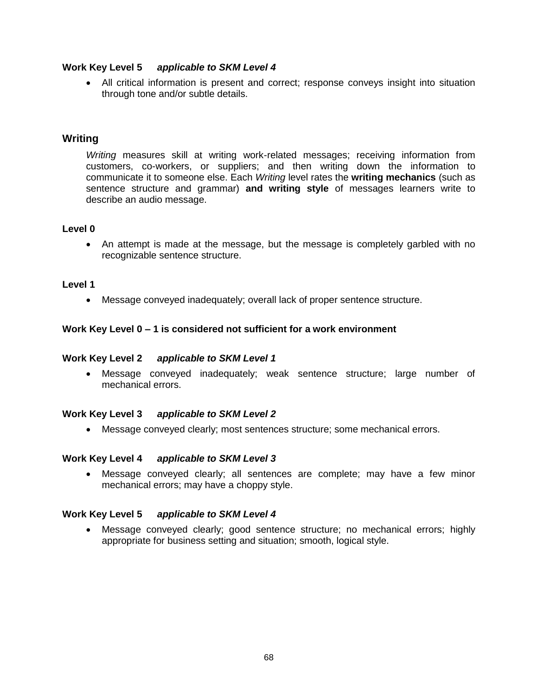#### **Work Key Level 5** *applicable to SKM Level 4*

 All critical information is present and correct; response conveys insight into situation through tone and/or subtle details.

#### **Writing**

*Writing* measures skill at writing work-related messages; receiving information from customers, co-workers, or suppliers; and then writing down the information to communicate it to someone else. Each *Writing* level rates the **writing mechanics** (such as sentence structure and grammar) **and writing style** of messages learners write to describe an audio message.

#### **Level 0**

 An attempt is made at the message, but the message is completely garbled with no recognizable sentence structure.

#### **Level 1**

Message conveyed inadequately; overall lack of proper sentence structure.

#### **Work Key Level 0 – 1 is considered not sufficient for a work environment**

#### **Work Key Level 2** *applicable to SKM Level 1*

 Message conveyed inadequately; weak sentence structure; large number of mechanical errors.

#### **Work Key Level 3** *applicable to SKM Level 2*

Message conveyed clearly; most sentences structure; some mechanical errors.

#### **Work Key Level 4** *applicable to SKM Level 3*

 Message conveyed clearly; all sentences are complete; may have a few minor mechanical errors; may have a choppy style.

#### **Work Key Level 5** *applicable to SKM Level 4*

 Message conveyed clearly; good sentence structure; no mechanical errors; highly appropriate for business setting and situation; smooth, logical style.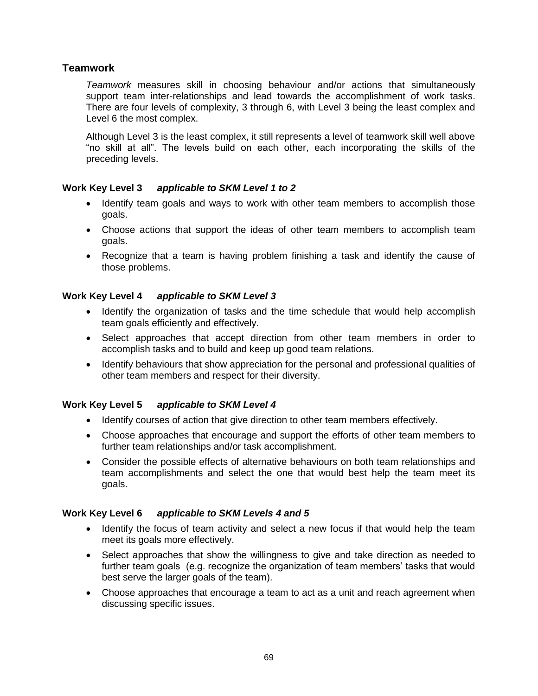# **Teamwork**

*Teamwork* measures skill in choosing behaviour and/or actions that simultaneously support team inter-relationships and lead towards the accomplishment of work tasks. There are four levels of complexity, 3 through 6, with Level 3 being the least complex and Level 6 the most complex.

Although Level 3 is the least complex, it still represents a level of teamwork skill well above "no skill at all". The levels build on each other, each incorporating the skills of the preceding levels.

## **Work Key Level 3** *applicable to SKM Level 1 to 2*

- Identify team goals and ways to work with other team members to accomplish those goals.
- Choose actions that support the ideas of other team members to accomplish team goals.
- Recognize that a team is having problem finishing a task and identify the cause of those problems.

## **Work Key Level 4** *applicable to SKM Level 3*

- Identify the organization of tasks and the time schedule that would help accomplish team goals efficiently and effectively.
- Select approaches that accept direction from other team members in order to accomplish tasks and to build and keep up good team relations.
- Identify behaviours that show appreciation for the personal and professional qualities of other team members and respect for their diversity.

## **Work Key Level 5** *applicable to SKM Level 4*

- Identify courses of action that give direction to other team members effectively.
- Choose approaches that encourage and support the efforts of other team members to further team relationships and/or task accomplishment.
- Consider the possible effects of alternative behaviours on both team relationships and team accomplishments and select the one that would best help the team meet its goals.

## **Work Key Level 6** *applicable to SKM Levels 4 and 5*

- Identify the focus of team activity and select a new focus if that would help the team meet its goals more effectively.
- Select approaches that show the willingness to give and take direction as needed to further team goals (e.g. recognize the organization of team members' tasks that would best serve the larger goals of the team).
- Choose approaches that encourage a team to act as a unit and reach agreement when discussing specific issues.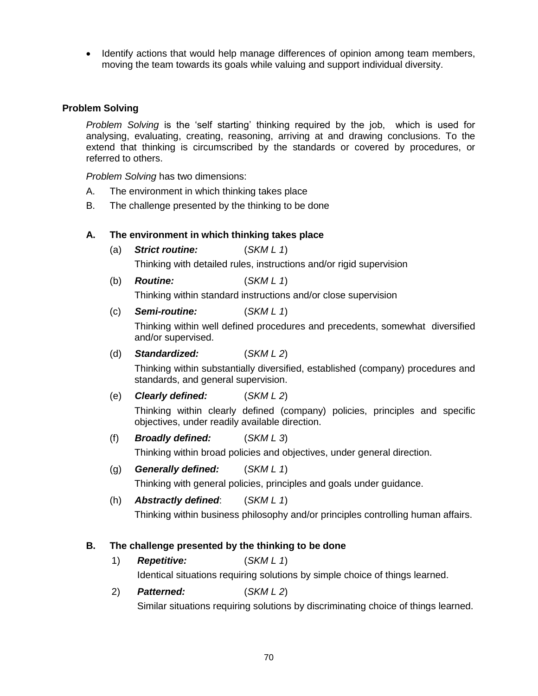Identify actions that would help manage differences of opinion among team members, moving the team towards its goals while valuing and support individual diversity.

## **Problem Solving**

*Problem Solving* is the "self starting" thinking required by the job, which is used for analysing, evaluating, creating, reasoning, arriving at and drawing conclusions. To the extend that thinking is circumscribed by the standards or covered by procedures, or referred to others.

*Problem Solving* has two dimensions:

- A. The environment in which thinking takes place
- B. The challenge presented by the thinking to be done

## **A. The environment in which thinking takes place**

(a) *Strict routine:* (*SKM L 1*)

Thinking with detailed rules, instructions and/or rigid supervision

(b) *Routine:* (*SKM L 1*)

Thinking within standard instructions and/or close supervision

## (c) *Semi-routine:* (*SKM L 1*)

Thinking within well defined procedures and precedents, somewhat diversified and/or supervised.

#### (d) *Standardized:* (*SKM L 2*)

Thinking within substantially diversified, established (company) procedures and standards, and general supervision.

(e) *Clearly defined:* (*SKM L 2*)

Thinking within clearly defined (company) policies, principles and specific objectives, under readily available direction.

(f) *Broadly defined:* (*SKM L 3*)

Thinking within broad policies and objectives, under general direction.

## (g) *Generally defined:* (*SKM L 1*)

Thinking with general policies, principles and goals under guidance.

(h) *Abstractly defined*: (*SKM L 1*)

Thinking within business philosophy and/or principles controlling human affairs.

#### **B. The challenge presented by the thinking to be done**

1) *Repetitive:* (*SKM L 1*)

Identical situations requiring solutions by simple choice of things learned.

2) *Patterned:* (*SKM L 2*) Similar situations requiring solutions by discriminating choice of things learned.